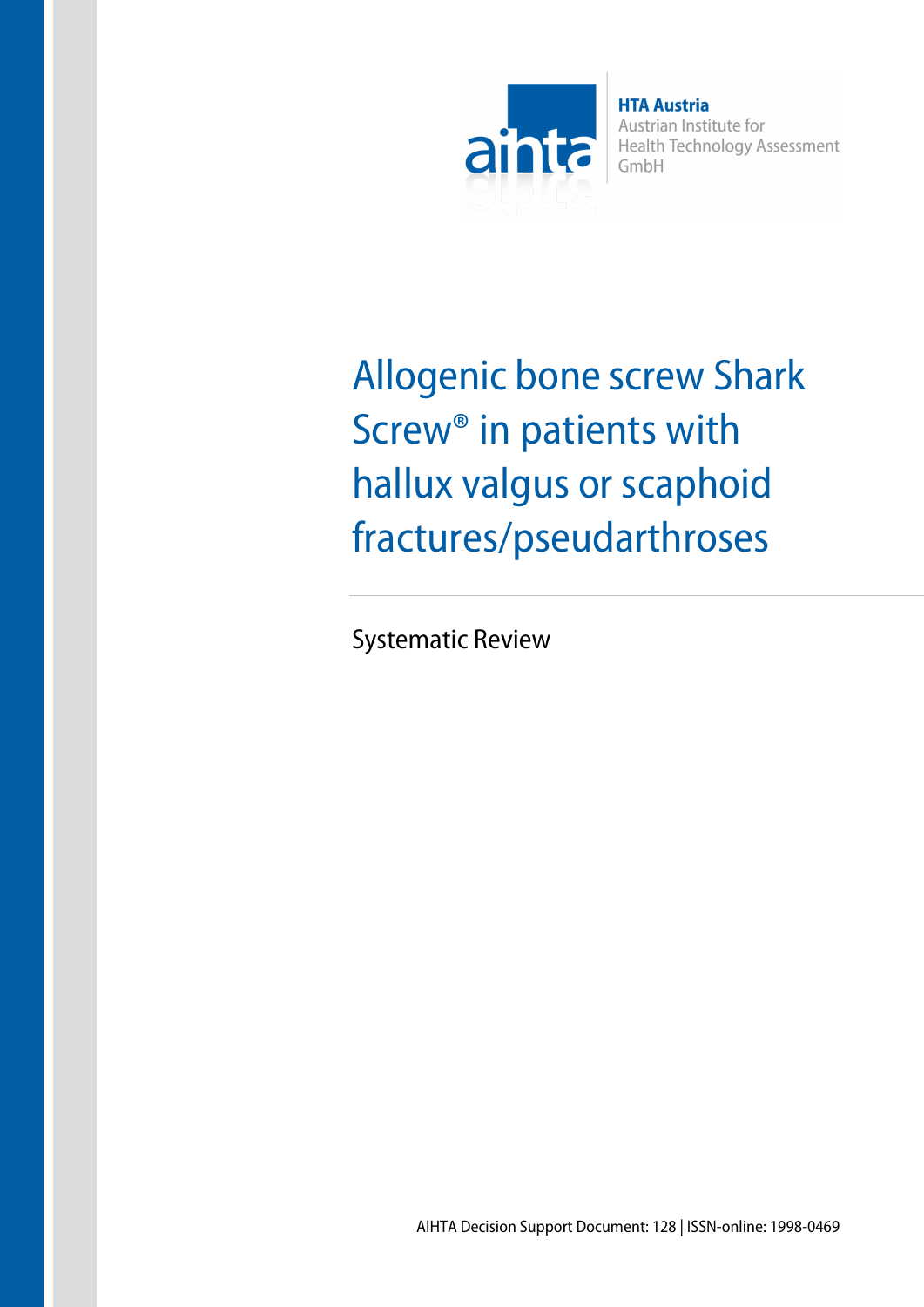

**HTA Austria** Austrian Institute for **Health Technology Assessment** GmbH

Allogenic bone screw Shark Screw® in patients with hallux valgus or scaphoid fractures/pseudarthroses

Systematic Review

AIHTA Decision Support Document: 128 | ISSN-online: 1998-0469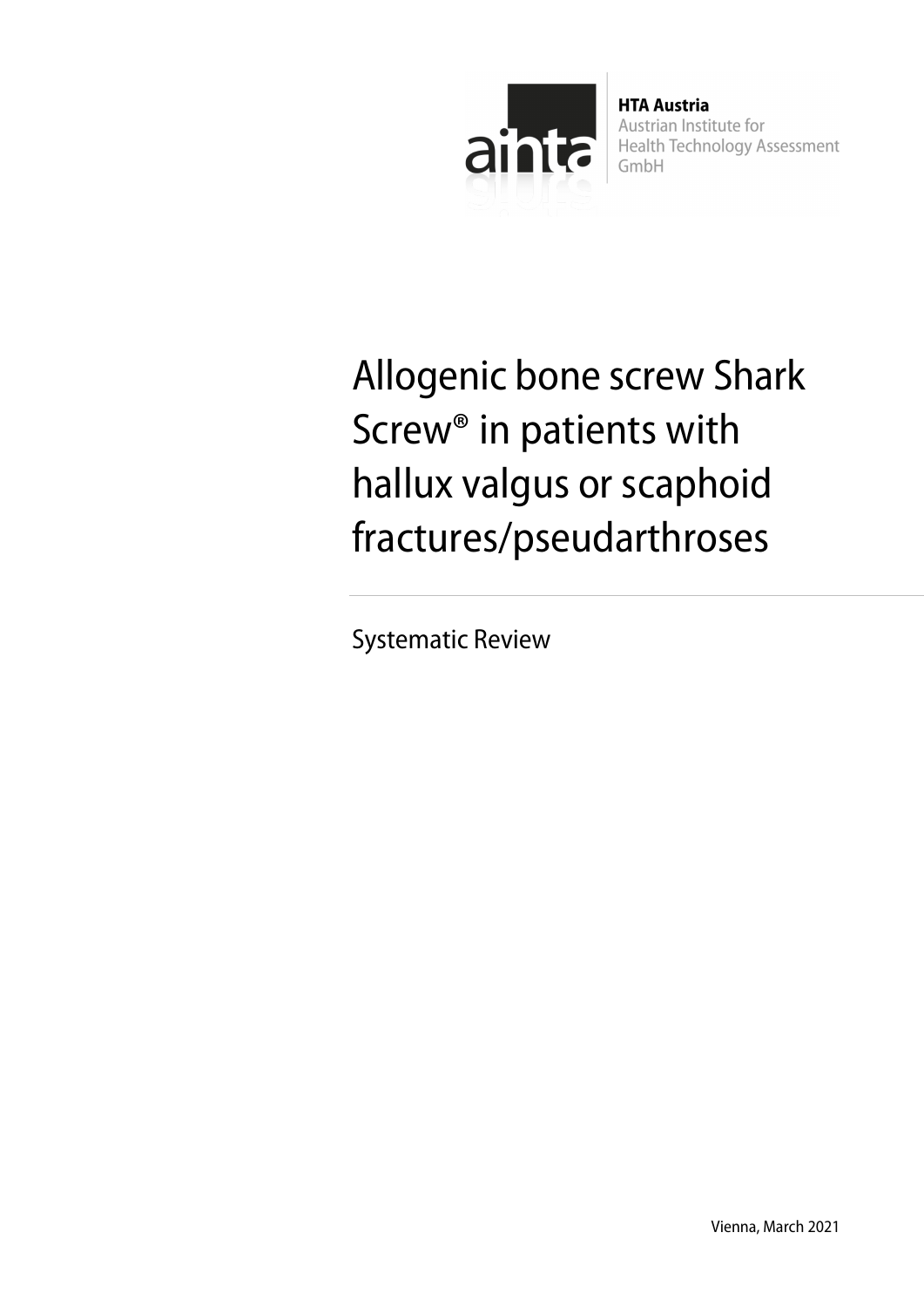

**HTA Austria** Austrian Institute for **Health Technology Assessment** GmbH

Allogenic bone screw Shark Screw® in patients with hallux valgus or scaphoid fractures/pseudarthroses

Systematic Review

Vienna, March 2021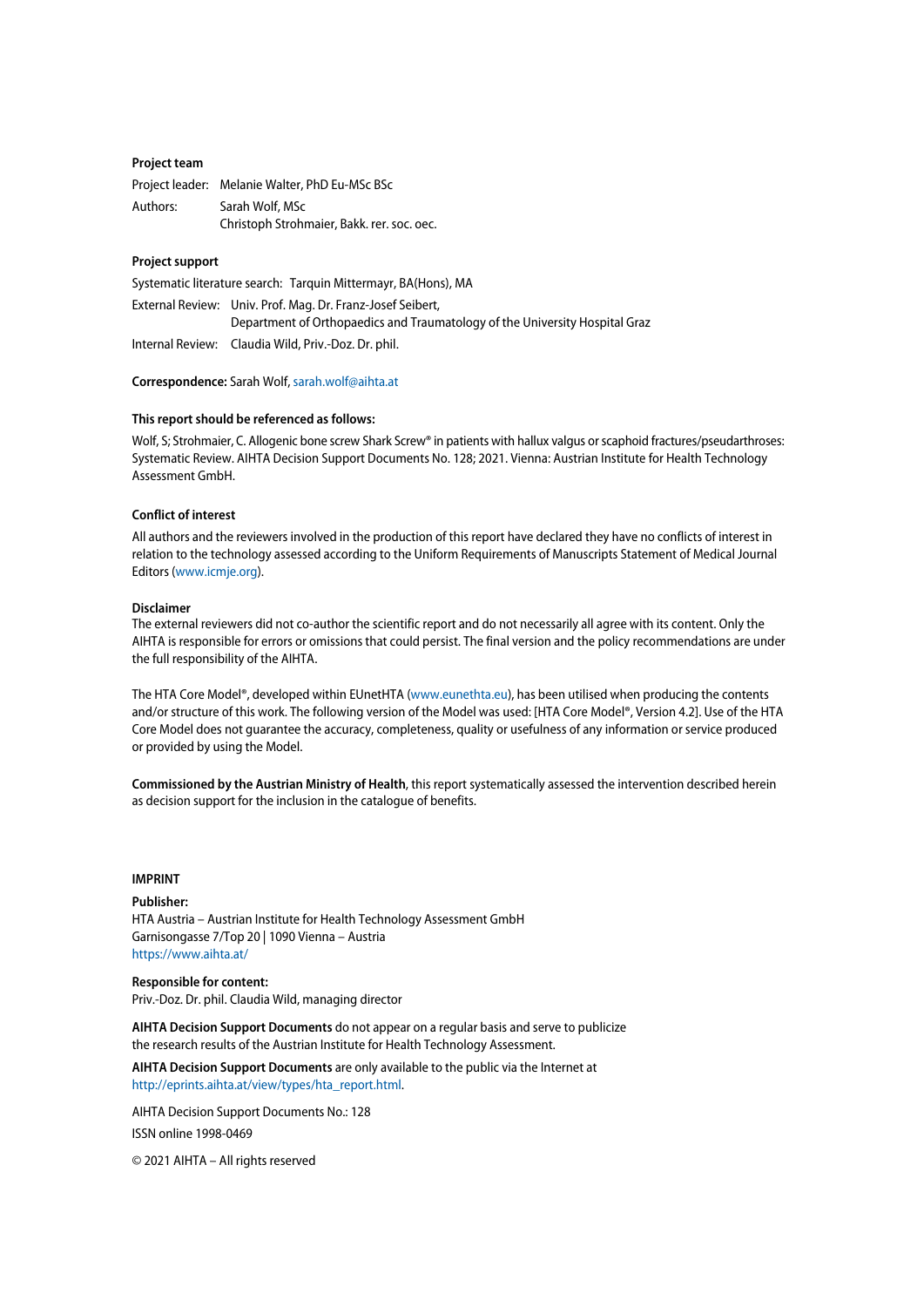#### **Project team**

|          | Project leader: Melanie Walter, PhD Eu-MSc BSc |
|----------|------------------------------------------------|
| Authors: | Sarah Wolf, MSc                                |
|          | Christoph Strohmaier, Bakk. rer. soc. oec.     |

#### **Project support**

Systematic literature search: Tarquin Mittermayr, BA(Hons), MA

External Review: Univ. Prof. Mag. Dr. Franz-Josef Seibert, Department of Orthopaedics and Traumatology of the University Hospital Graz Internal Review: Claudia Wild, Priv.-Doz. Dr. phil.

**Correspondence:** Sarah Wolf[, sarah.wolf@aihta.at](mailto:sarah.wolf@aihta.at)

#### **This report should be referenced as follows:**

Wolf, S; Strohmaier, C. Allogenic bone screw Shark Screw® in patients with hallux valgus or scaphoid fractures/pseudarthroses: Systematic Review. AIHTA Decision Support Documents No. 128; 2021. Vienna: Austrian Institute for Health Technology Assessment GmbH.

#### **Conflict of interest**

All authors and the reviewers involved in the production of this report have declared they have no conflicts of interest in relation to the technology assessed according to the Uniform Requirements of Manuscripts Statement of Medical Journal Editors [\(www.icmje.org\)](http://www.icmje.org/).

#### **Disclaimer**

The external reviewers did not co-author the scientific report and do not necessarily all agree with its content. Only the AIHTA is responsible for errors or omissions that could persist. The final version and the policy recommendations are under the full responsibility of the AIHTA.

The HTA Core Model®, developed within EUnetHTA [\(www.eunethta.eu\)](http://www.eunethta.eu/), has been utilised when producing the contents and/or structure of this work. The following version of the Model was used: [HTA Core Model®, Version 4.2]. Use of the HTA Core Model does not guarantee the accuracy, completeness, quality or usefulness of any information or service produced or provided by using the Model.

**Commissioned by the Austrian Ministry of Health**, this report systematically assessed the intervention described herein as decision support for the inclusion in the catalogue of benefits.

#### **IMPRINT**

### **Publisher:** HTA Austria – Austrian Institute for Health Technology Assessment GmbH Garnisongasse 7/Top 20 | 1090 Vienna – Austria <https://www.aihta.at/>

**Responsible for content:** Priv.-Doz. Dr. phil. Claudia Wild, managing director

**AIHTA Decision Support Documents** do not appear on a regular basis and serve to publicize the research results of the Austrian Institute for Health Technology Assessment.

**AIHTA Decision Support Documents** are only available to the public via the Internet at [http://eprints.aihta.at/view/types/hta\\_report.html.](http://eprints.aihta.at/view/types/hta_report.html)

AIHTA Decision Support Documents No.: 128 ISSN online 1998-0469

© 2021 AIHTA – All rights reserved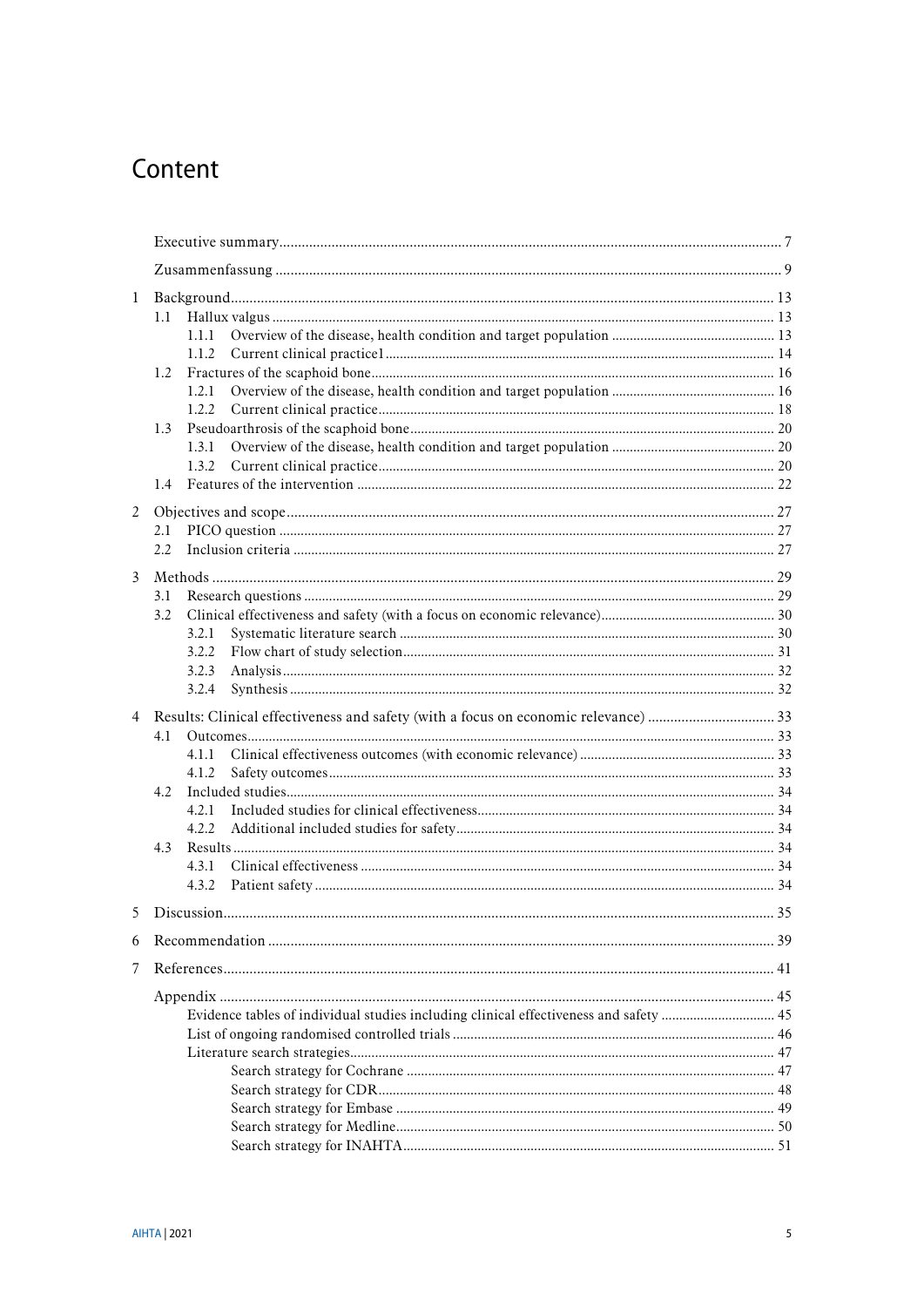# Content

| $\mathbf{1}$ |                                                                                       |  |
|--------------|---------------------------------------------------------------------------------------|--|
|              | 1.1                                                                                   |  |
|              | 1.1.1                                                                                 |  |
|              | 1.1.2                                                                                 |  |
|              | 1.2                                                                                   |  |
|              | 1.2.1                                                                                 |  |
|              | 1.2.2                                                                                 |  |
|              | 1.3                                                                                   |  |
|              | 1.3.1                                                                                 |  |
|              | 1.3.2                                                                                 |  |
|              |                                                                                       |  |
| 2            |                                                                                       |  |
|              | 2.1                                                                                   |  |
|              | 2.2                                                                                   |  |
| 3            |                                                                                       |  |
|              | 3.1                                                                                   |  |
|              | 3.2                                                                                   |  |
|              | 3.2.1                                                                                 |  |
|              | 3.2.2                                                                                 |  |
|              | 3.2.3                                                                                 |  |
|              | 3.2.4                                                                                 |  |
|              |                                                                                       |  |
|              | 4.1                                                                                   |  |
|              | 4.1.1                                                                                 |  |
|              | 4.1.2                                                                                 |  |
|              | 4.2                                                                                   |  |
|              | 4.2.1                                                                                 |  |
|              | 4.2.2                                                                                 |  |
|              | 4.3                                                                                   |  |
|              | 4.3.1                                                                                 |  |
|              | 4.3.2                                                                                 |  |
| 5            |                                                                                       |  |
| 6            |                                                                                       |  |
| 7            |                                                                                       |  |
|              |                                                                                       |  |
|              | Evidence tables of individual studies including clinical effectiveness and safety  45 |  |
|              |                                                                                       |  |
|              |                                                                                       |  |
|              |                                                                                       |  |
|              |                                                                                       |  |
|              |                                                                                       |  |
|              |                                                                                       |  |
|              |                                                                                       |  |
|              |                                                                                       |  |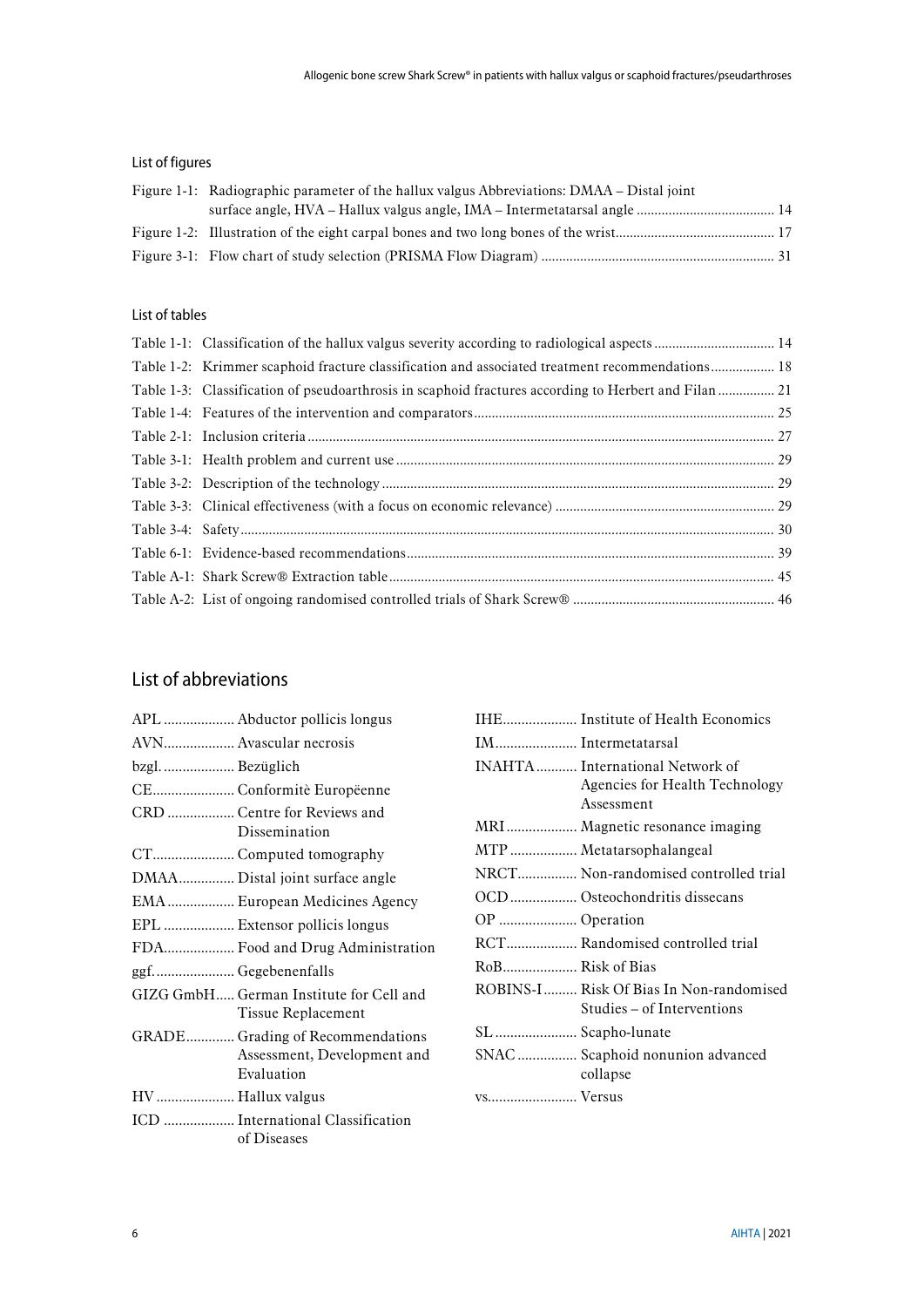### List of figures

| Figure 1-1: Radiographic parameter of the hallux valgus Abbreviations: DMAA – Distal joint |  |
|--------------------------------------------------------------------------------------------|--|
|                                                                                            |  |
|                                                                                            |  |
|                                                                                            |  |

### List of tables

| Table 1-1: Classification of the hallux valgus severity according to radiological aspects  14   |  |
|-------------------------------------------------------------------------------------------------|--|
| Table 1-2: Krimmer scaphoid fracture classification and associated treatment recommendations 18 |  |
|                                                                                                 |  |
|                                                                                                 |  |
|                                                                                                 |  |
|                                                                                                 |  |
|                                                                                                 |  |
|                                                                                                 |  |
|                                                                                                 |  |
|                                                                                                 |  |
|                                                                                                 |  |
|                                                                                                 |  |

## List of abbreviations

|                |                                                                      |                    | IHE Institute of Health Economics                                     |
|----------------|----------------------------------------------------------------------|--------------------|-----------------------------------------------------------------------|
|                | AVN Avascular necrosis                                               | IM Intermetatarsal |                                                                       |
| bzgl Bezüglich |                                                                      |                    | INAHTA International Network of                                       |
|                | CE Conformitè Europëenne                                             |                    | Agencies for Health Technology<br>Assessment                          |
|                | CRD  Centre for Reviews and<br>Dissemination                         |                    | MRI  Magnetic resonance imaging                                       |
|                | CT Computed tomography                                               |                    | MTP  Metatarsophalangeal                                              |
|                | DMAA Distal joint surface angle                                      |                    | NRCT Non-randomised controlled trial                                  |
|                | EMA  European Medicines Agency                                       |                    | OCD Osteochondritis dissecans                                         |
|                | EPL  Extensor pollicis longus                                        | OP  Operation      |                                                                       |
|                | FDA Food and Drug Administration                                     |                    | RCT Randomised controlled trial                                       |
|                | ggf Gegebenenfalls                                                   |                    |                                                                       |
|                | GIZG GmbH German Institute for Cell and<br><b>Tissue Replacement</b> |                    | ROBINS-I Risk Of Bias In Non-randomised<br>Studies – of Interventions |
|                | GRADE Grading of Recommendations                                     | SL  Scapho-lunate  |                                                                       |
|                | Assessment, Development and<br>Evaluation                            |                    | SNAC  Scaphoid nonunion advanced<br>collapse                          |
|                | HV  Hallux valgus                                                    | vs Versus          |                                                                       |
|                | ICD  International Classification<br>of Diseases                     |                    |                                                                       |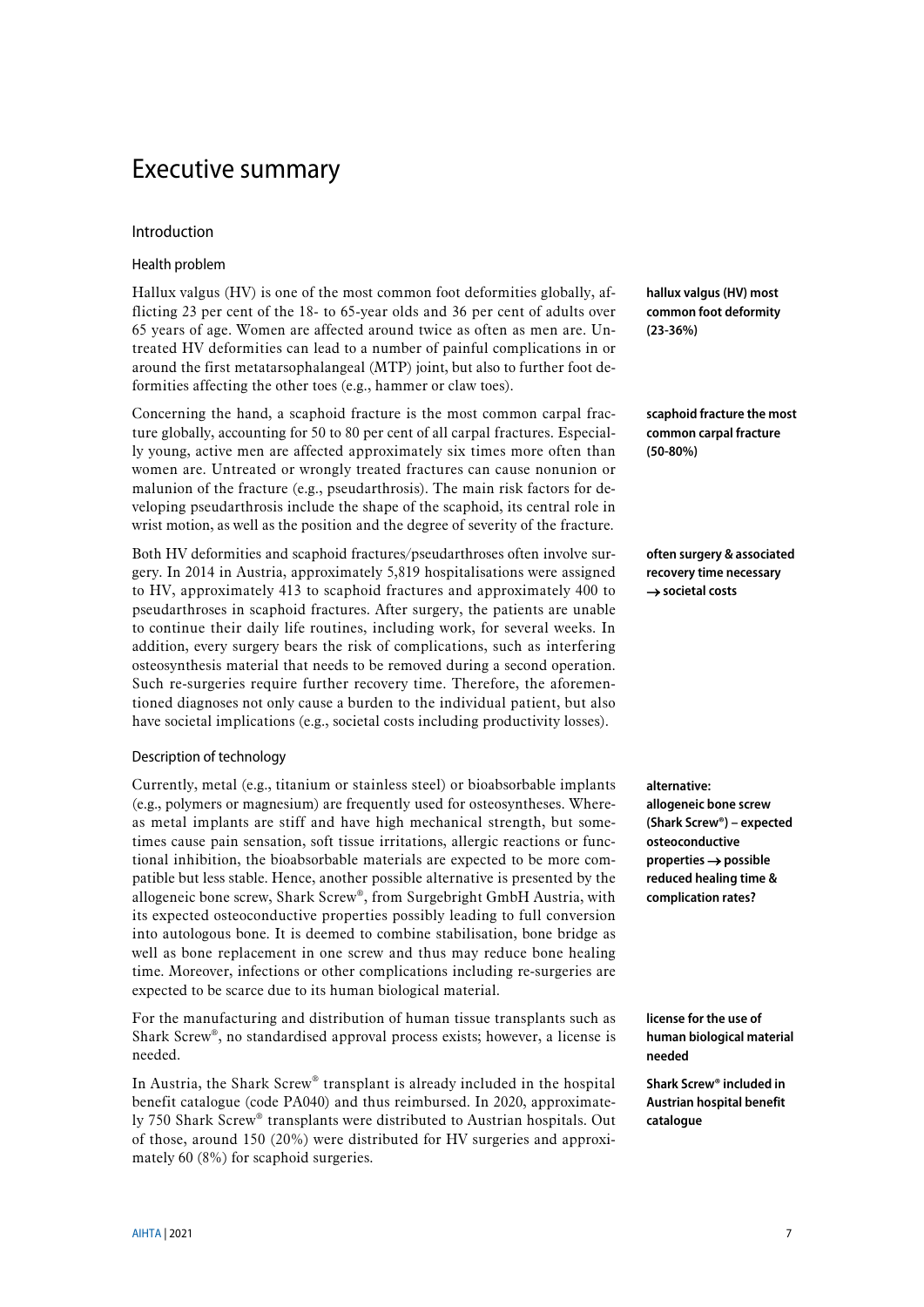# <span id="page-6-0"></span>Executive summary

### Introduction

### Health problem

Hallux valgus (HV) is one of the most common foot deformities globally, afflicting 23 per cent of the 18- to 65-year olds and 36 per cent of adults over 65 years of age. Women are affected around twice as often as men are. Untreated HV deformities can lead to a number of painful complications in or around the first metatarsophalangeal (MTP) joint, but also to further foot deformities affecting the other toes (e.g., hammer or claw toes).

Concerning the hand, a scaphoid fracture is the most common carpal fracture globally, accounting for 50 to 80 per cent of all carpal fractures. Especially young, active men are affected approximately six times more often than women are. Untreated or wrongly treated fractures can cause nonunion or malunion of the fracture (e.g., pseudarthrosis). The main risk factors for developing pseudarthrosis include the shape of the scaphoid, its central role in wrist motion, as well as the position and the degree of severity of the fracture.

Both HV deformities and scaphoid fractures/pseudarthroses often involve surgery. In 2014 in Austria, approximately 5,819 hospitalisations were assigned to HV, approximately 413 to scaphoid fractures and approximately 400 to pseudarthroses in scaphoid fractures. After surgery, the patients are unable to continue their daily life routines, including work, for several weeks. In addition, every surgery bears the risk of complications, such as interfering osteosynthesis material that needs to be removed during a second operation. Such re-surgeries require further recovery time. Therefore, the aforementioned diagnoses not only cause a burden to the individual patient, but also have societal implications (e.g., societal costs including productivity losses).

### Description of technology

Currently, metal (e.g., titanium or stainless steel) or bioabsorbable implants (e.g., polymers or magnesium) are frequently used for osteosyntheses. Whereas metal implants are stiff and have high mechanical strength, but sometimes cause pain sensation, soft tissue irritations, allergic reactions or functional inhibition, the bioabsorbable materials are expected to be more compatible but less stable. Hence, another possible alternative is presented by the allogeneic bone screw, Shark Screw®, from Surgebright GmbH Austria, with its expected osteoconductive properties possibly leading to full conversion into autologous bone. It is deemed to combine stabilisation, bone bridge as well as bone replacement in one screw and thus may reduce bone healing time. Moreover, infections or other complications including re-surgeries are expected to be scarce due to its human biological material.

For the manufacturing and distribution of human tissue transplants such as Shark Screw®, no standardised approval process exists; however, a license is needed.

In Austria, the Shark Screw® transplant is already included in the hospital benefit catalogue (code PA040) and thus reimbursed. In 2020, approximately 750 Shark Screw® transplants were distributed to Austrian hospitals. Out of those, around 150 (20%) were distributed for HV surgeries and approximately 60 (8%) for scaphoid surgeries.

**hallux valgus (HV) most common foot deformity (23-36%)**

**scaphoid fracture the most common carpal fracture (50-80%)**

**often surgery & associated recovery time necessary**  → **societal costs**

**alternative: allogeneic bone screw (Shark Screw®) – expected osteoconductive properties** → **possible reduced healing time & complication rates?**

**license for the use of human biological material needed**

**Shark Screw® included in Austrian hospital benefit catalogue**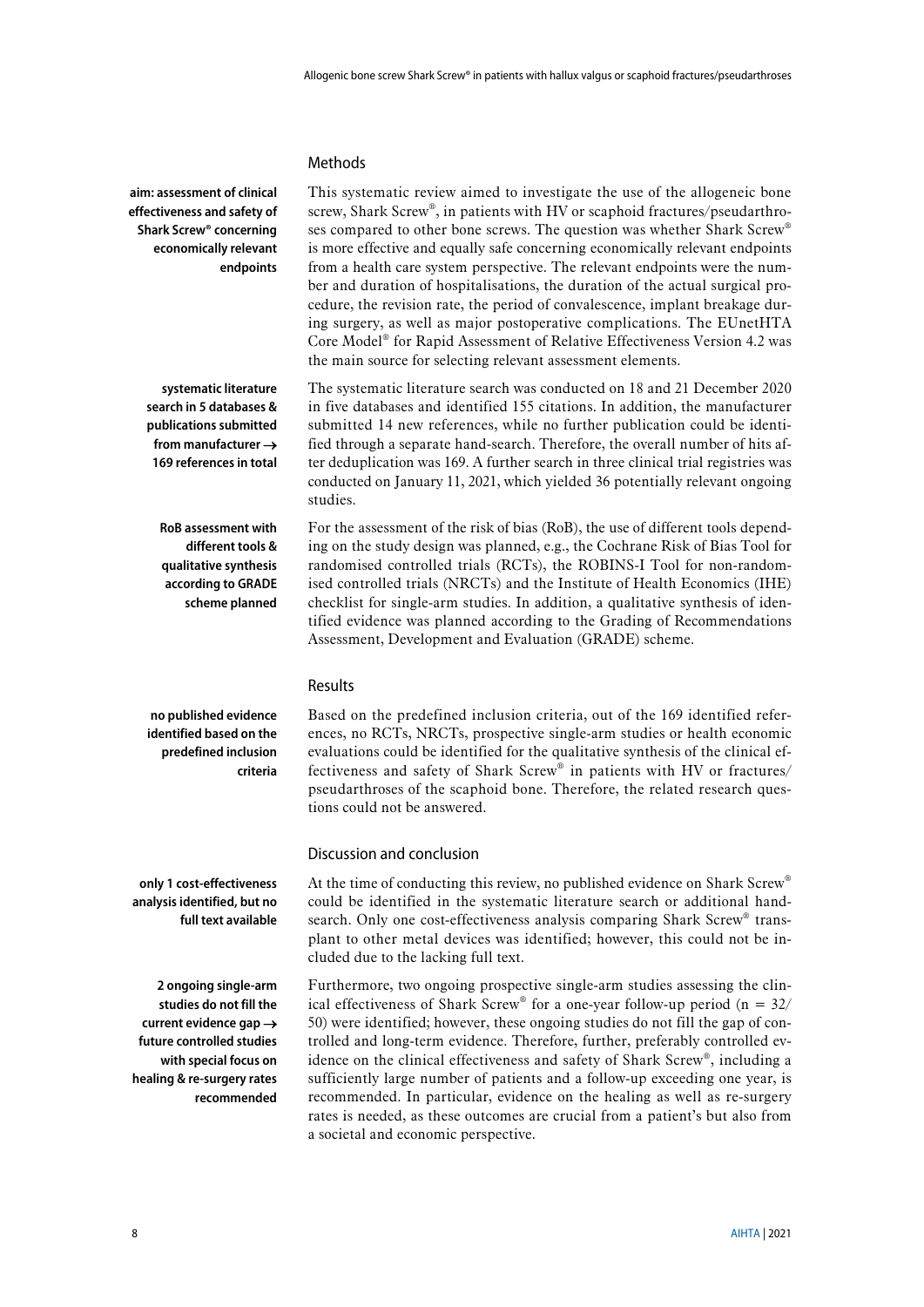This systematic review aimed to investigate the use of the allogeneic bone screw, Shark Screw®, in patients with HV or scaphoid fractures/pseudarthroses compared to other bone screws. The question was whether Shark Screw® is more effective and equally safe concerning economically relevant endpoints from a health care system perspective. The relevant endpoints were the number and duration of hospitalisations, the duration of the actual surgical procedure, the revision rate, the period of convalescence, implant breakage during surgery, as well as major postoperative complications. The EUnetHTA Core Model® for Rapid Assessment of Relative Effectiveness Version 4.2 was

### Methods

**aim: assessment of clinical effectiveness and safety of Shark Screw® concerning economically relevant endpoints**

> **systematic literature search in 5 databases & publications submitted from manufacturer** → **169 references in total**

in five databases and identified 155 citations. In addition, the manufacturer submitted 14 new references, while no further publication could be identified through a separate hand-search. Therefore, the overall number of hits after deduplication was 169. A further search in three clinical trial registries was conducted on January 11, 2021, which yielded 36 potentially relevant ongoing studies.

The systematic literature search was conducted on 18 and 21 December 2020

the main source for selecting relevant assessment elements.

**RoB assessment with different tools & qualitative synthesis according to GRADE scheme planned**

For the assessment of the risk of bias (RoB), the use of different tools depending on the study design was planned, e.g., the Cochrane Risk of Bias Tool for randomised controlled trials (RCTs), the ROBINS-I Tool for non-randomised controlled trials (NRCTs) and the Institute of Health Economics (IHE) checklist for single-arm studies. In addition, a qualitative synthesis of identified evidence was planned according to the Grading of Recommendations Assessment, Development and Evaluation (GRADE) scheme.

### Results

**no published evidence identified based on the predefined inclusion criteria**

Based on the predefined inclusion criteria, out of the 169 identified references, no RCTs, NRCTs, prospective single-arm studies or health economic evaluations could be identified for the qualitative synthesis of the clinical effectiveness and safety of Shark Screw® in patients with HV or fractures/ pseudarthroses of the scaphoid bone. Therefore, the related research questions could not be answered.

### Discussion and conclusion

At the time of conducting this review, no published evidence on Shark Screw® could be identified in the systematic literature search or additional handsearch. Only one cost-effectiveness analysis comparing Shark Screw® transplant to other metal devices was identified; however, this could not be included due to the lacking full text.

Furthermore, two ongoing prospective single-arm studies assessing the clinical effectiveness of Shark Screw® for a one-year follow-up period (n =  $32/$ ) 50) were identified; however, these ongoing studies do not fill the gap of controlled and long-term evidence. Therefore, further, preferably controlled evidence on the clinical effectiveness and safety of Shark Screw®, including a sufficiently large number of patients and a follow-up exceeding one year, is recommended. In particular, evidence on the healing as well as re-surgery rates is needed, as these outcomes are crucial from a patient's but also from a societal and economic perspective.

**only 1 cost-effectiveness analysis identified, but no full text available**

**2 ongoing single-arm studies do not fill the current evidence gap** → **future controlled studies with special focus on healing & re-surgery rates recommended**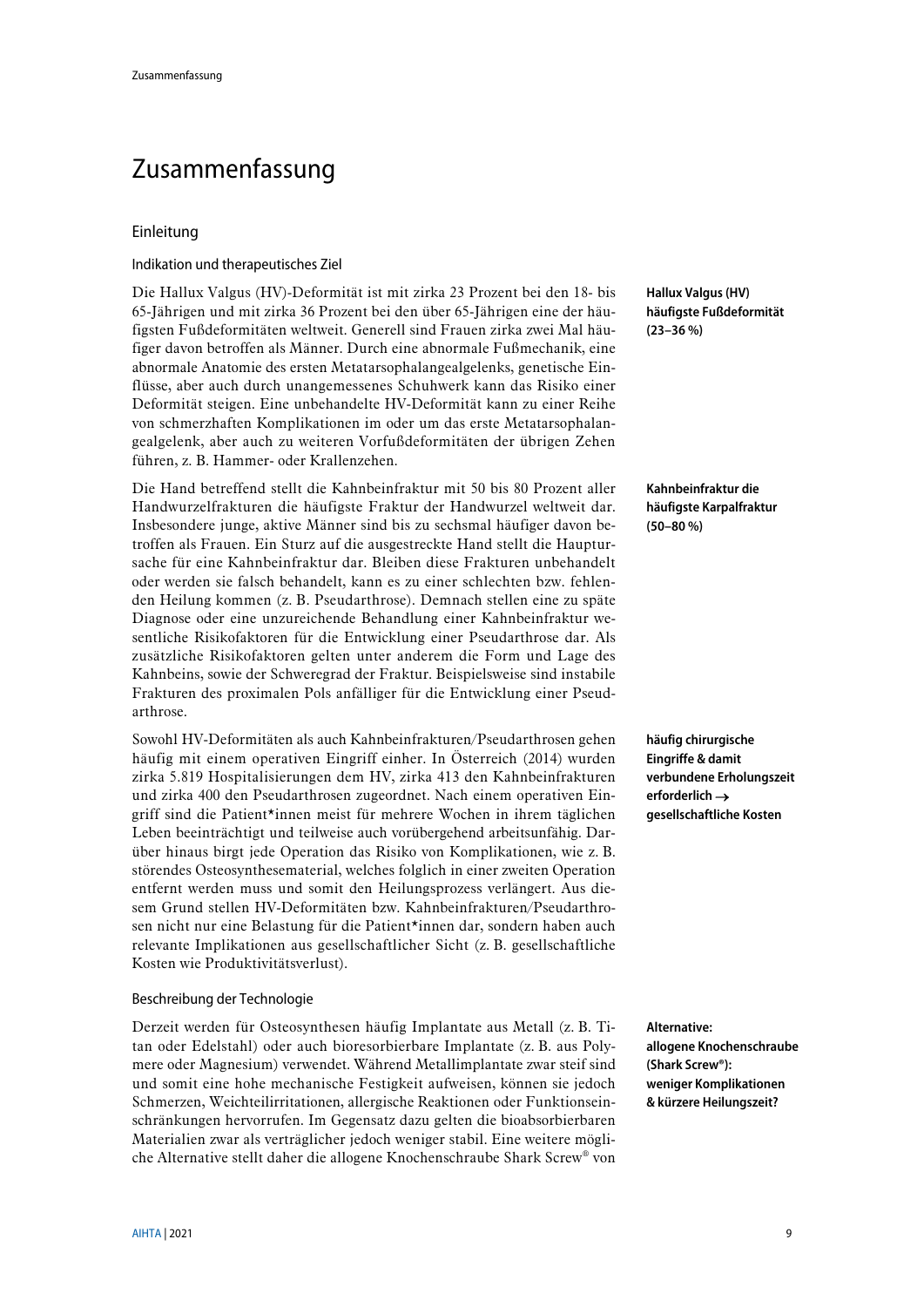# <span id="page-8-0"></span>Zusammenfassung

### Einleitung

#### Indikation und therapeutisches Ziel

Die Hallux Valgus (HV)-Deformität ist mit zirka 23 Prozent bei den 18- bis 65-Jährigen und mit zirka 36 Prozent bei den über 65-Jährigen eine der häufigsten Fußdeformitäten weltweit. Generell sind Frauen zirka zwei Mal häufiger davon betroffen als Männer. Durch eine abnormale Fußmechanik, eine abnormale Anatomie des ersten Metatarsophalangealgelenks, genetische Einflüsse, aber auch durch unangemessenes Schuhwerk kann das Risiko einer Deformität steigen. Eine unbehandelte HV-Deformität kann zu einer Reihe von schmerzhaften Komplikationen im oder um das erste Metatarsophalangealgelenk, aber auch zu weiteren Vorfußdeformitäten der übrigen Zehen führen, z. B. Hammer- oder Krallenzehen.

Die Hand betreffend stellt die Kahnbeinfraktur mit 50 bis 80 Prozent aller Handwurzelfrakturen die häufigste Fraktur der Handwurzel weltweit dar. Insbesondere junge, aktive Männer sind bis zu sechsmal häufiger davon betroffen als Frauen. Ein Sturz auf die ausgestreckte Hand stellt die Hauptursache für eine Kahnbeinfraktur dar. Bleiben diese Frakturen unbehandelt oder werden sie falsch behandelt, kann es zu einer schlechten bzw. fehlenden Heilung kommen (z. B. Pseudarthrose). Demnach stellen eine zu späte Diagnose oder eine unzureichende Behandlung einer Kahnbeinfraktur wesentliche Risikofaktoren für die Entwicklung einer Pseudarthrose dar. Als zusätzliche Risikofaktoren gelten unter anderem die Form und Lage des Kahnbeins, sowie der Schweregrad der Fraktur. Beispielsweise sind instabile Frakturen des proximalen Pols anfälliger für die Entwicklung einer Pseudarthrose.

Sowohl HV-Deformitäten als auch Kahnbeinfrakturen/Pseudarthrosen gehen häufig mit einem operativen Eingriff einher. In Österreich (2014) wurden zirka 5.819 Hospitalisierungen dem HV, zirka 413 den Kahnbeinfrakturen und zirka 400 den Pseudarthrosen zugeordnet. Nach einem operativen Eingriff sind die Patient\*innen meist für mehrere Wochen in ihrem täglichen Leben beeinträchtigt und teilweise auch vorübergehend arbeitsunfähig. Darüber hinaus birgt jede Operation das Risiko von Komplikationen, wie z. B. störendes Osteosynthesematerial, welches folglich in einer zweiten Operation entfernt werden muss und somit den Heilungsprozess verlängert. Aus diesem Grund stellen HV-Deformitäten bzw. Kahnbeinfrakturen/Pseudarthrosen nicht nur eine Belastung für die Patient\*innen dar, sondern haben auch relevante Implikationen aus gesellschaftlicher Sicht (z. B. gesellschaftliche Kosten wie Produktivitätsverlust).

#### Beschreibung der Technologie

Derzeit werden für Osteosynthesen häufig Implantate aus Metall (z. B. Titan oder Edelstahl) oder auch bioresorbierbare Implantate (z. B. aus Polymere oder Magnesium) verwendet. Während Metallimplantate zwar steif sind und somit eine hohe mechanische Festigkeit aufweisen, können sie jedoch Schmerzen, Weichteilirritationen, allergische Reaktionen oder Funktionseinschränkungen hervorrufen. Im Gegensatz dazu gelten die bioabsorbierbaren Materialien zwar als verträglicher jedoch weniger stabil. Eine weitere mögliche Alternative stellt daher die allogene Knochenschraube Shark Screw® von

**Hallux Valgus (HV) häufigste Fußdeformität (23–36 %)**

**Kahnbeinfraktur die häufigste Karpalfraktur (50–80 %)**

**häufig chirurgische Eingriffe & damit verbundene Erholungszeit erforderlich** → **gesellschaftliche Kosten**

**Alternative: allogene Knochenschraube (Shark Screw®): weniger Komplikationen & kürzere Heilungszeit?**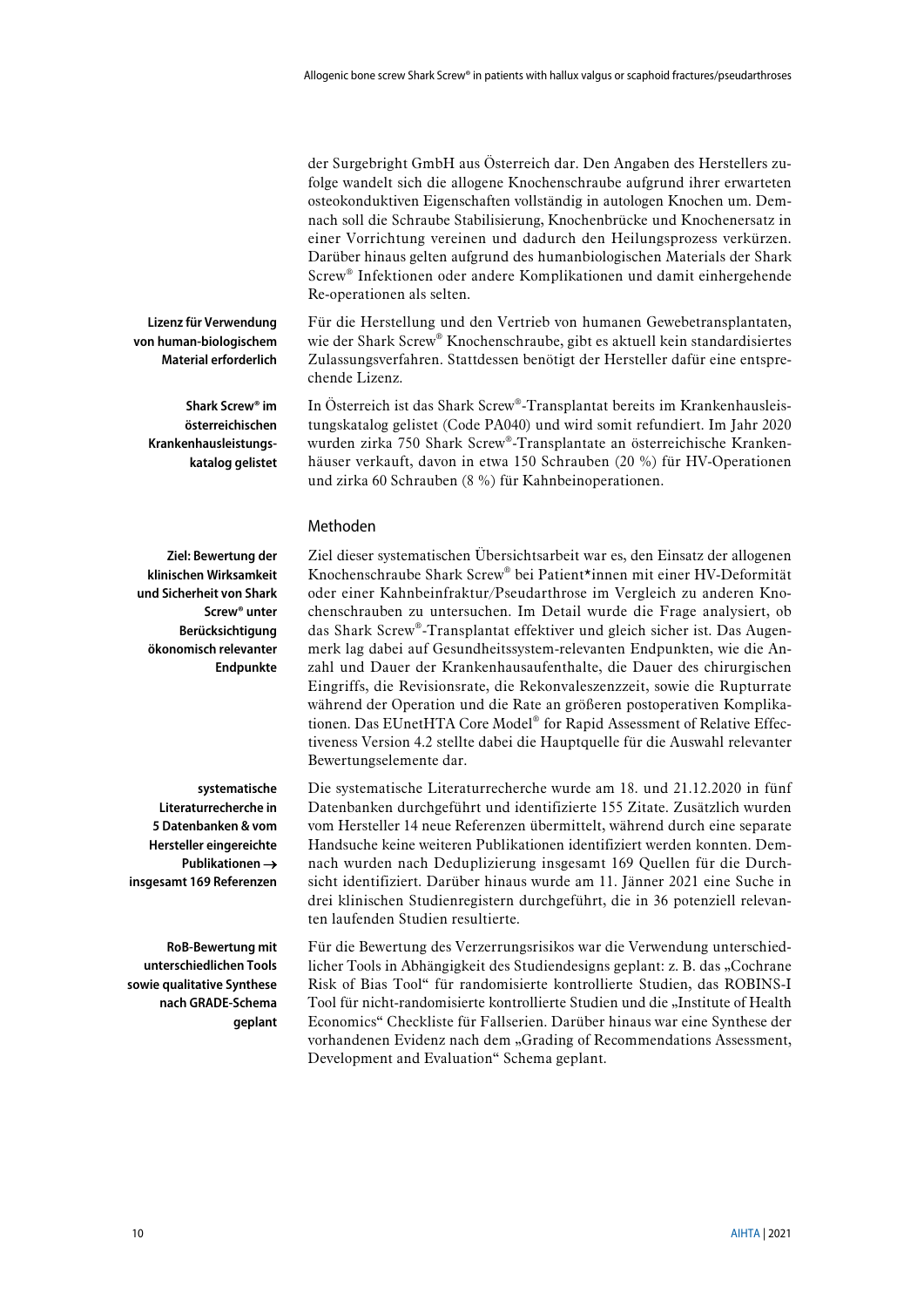der Surgebright GmbH aus Österreich dar. Den Angaben des Herstellers zufolge wandelt sich die allogene Knochenschraube aufgrund ihrer erwarteten osteokonduktiven Eigenschaften vollständig in autologen Knochen um. Demnach soll die Schraube Stabilisierung, Knochenbrücke und Knochenersatz in einer Vorrichtung vereinen und dadurch den Heilungsprozess verkürzen. Darüber hinaus gelten aufgrund des humanbiologischen Materials der Shark Screw® Infektionen oder andere Komplikationen und damit einhergehende Re-operationen als selten.

Für die Herstellung und den Vertrieb von humanen Gewebetransplantaten, wie der Shark Screw® Knochenschraube, gibt es aktuell kein standardisiertes Zulassungsverfahren. Stattdessen benötigt der Hersteller dafür eine entsprechende Lizenz.

In Österreich ist das Shark Screw®-Transplantat bereits im Krankenhausleistungskatalog gelistet (Code PA040) und wird somit refundiert. Im Jahr 2020 wurden zirka 750 Shark Screw®-Transplantate an österreichische Krankenhäuser verkauft, davon in etwa 150 Schrauben (20 %) für HV-Operationen und zirka 60 Schrauben (8 %) für Kahnbeinoperationen.

#### Methoden

**Ziel: Bewertung der klinischen Wirksamkeit und Sicherheit von Shark Screw® unter Berücksichtigung ökonomisch relevanter Endpunkte**

**Lizenz für Verwendung von human-biologischem Material erforderlich**

> **Shark Screw® im österreichischen Krankenhausleistungskatalog gelistet**

> > Knochenschraube Shark Screw® bei Patient\*innen mit einer HV-Deformität oder einer Kahnbeinfraktur/Pseudarthrose im Vergleich zu anderen Knochenschrauben zu untersuchen. Im Detail wurde die Frage analysiert, ob das Shark Screw®-Transplantat effektiver und gleich sicher ist. Das Augenmerk lag dabei auf Gesundheitssystem-relevanten Endpunkten, wie die Anzahl und Dauer der Krankenhausaufenthalte, die Dauer des chirurgischen Eingriffs, die Revisionsrate, die Rekonvaleszenzzeit, sowie die Rupturrate während der Operation und die Rate an größeren postoperativen Komplikationen. Das EUnetHTA Core Model® for Rapid Assessment of Relative Effectiveness Version 4.2 stellte dabei die Hauptquelle für die Auswahl relevanter Bewertungselemente dar.

> > Ziel dieser systematischen Übersichtsarbeit war es, den Einsatz der allogenen

Die systematische Literaturrecherche wurde am 18. und 21.12.2020 in fünf Datenbanken durchgeführt und identifizierte 155 Zitate. Zusätzlich wurden vom Hersteller 14 neue Referenzen übermittelt, während durch eine separate Handsuche keine weiteren Publikationen identifiziert werden konnten. Demnach wurden nach Deduplizierung insgesamt 169 Quellen für die Durchsicht identifiziert. Darüber hinaus wurde am 11. Jänner 2021 eine Suche in drei klinischen Studienregistern durchgeführt, die in 36 potenziell relevanten laufenden Studien resultierte.

Für die Bewertung des Verzerrungsrisikos war die Verwendung unterschiedlicher Tools in Abhängigkeit des Studiendesigns geplant: z. B. das "Cochrane Risk of Bias Tool" für randomisierte kontrollierte Studien, das ROBINS-I Tool für nicht-randomisierte kontrollierte Studien und die "Institute of Health Economics" Checkliste für Fallserien. Darüber hinaus war eine Synthese der vorhandenen Evidenz nach dem "Grading of Recommendations Assessment, Development and Evaluation" Schema geplant.

**systematische Literaturrecherche in 5 Datenbanken & vom Hersteller eingereichte Publikationen** →

**insgesamt 169 Referenzen**

**RoB-Bewertung mit unterschiedlichen Tools sowie qualitative Synthese nach GRADE-Schema geplant**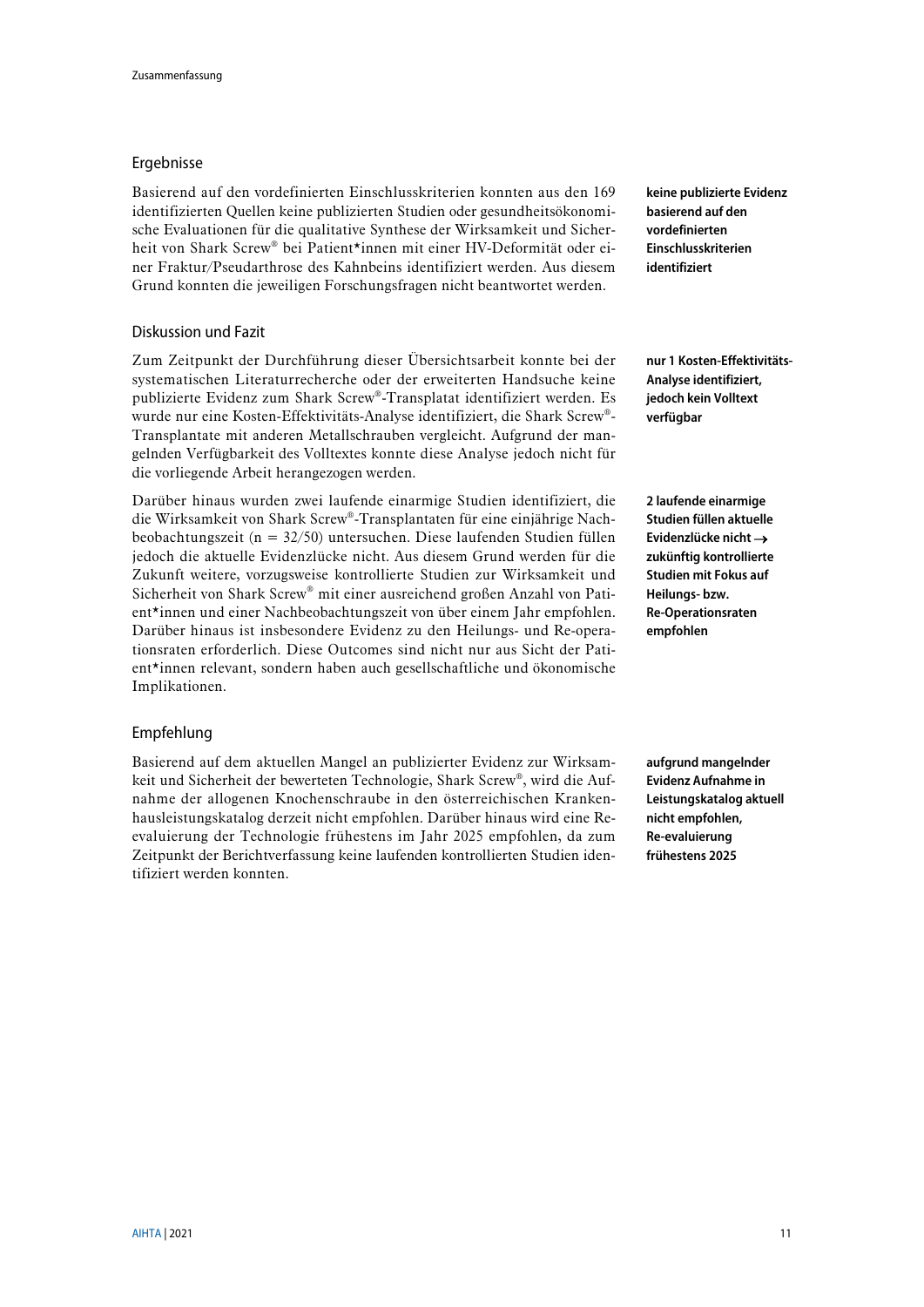### Ergebnisse

Basierend auf den vordefinierten Einschlusskriterien konnten aus den 169 identifizierten Quellen keine publizierten Studien oder gesundheitsökonomische Evaluationen für die qualitative Synthese der Wirksamkeit und Sicherheit von Shark Screw® bei Patient\*innen mit einer HV-Deformität oder einer Fraktur/Pseudarthrose des Kahnbeins identifiziert werden. Aus diesem Grund konnten die jeweiligen Forschungsfragen nicht beantwortet werden.

### Diskussion und Fazit

Zum Zeitpunkt der Durchführung dieser Übersichtsarbeit konnte bei der systematischen Literaturrecherche oder der erweiterten Handsuche keine publizierte Evidenz zum Shark Screw®-Transplatat identifiziert werden. Es wurde nur eine Kosten-Effektivitäts-Analyse identifiziert, die Shark Screw®- Transplantate mit anderen Metallschrauben vergleicht. Aufgrund der mangelnden Verfügbarkeit des Volltextes konnte diese Analyse jedoch nicht für die vorliegende Arbeit herangezogen werden.

Darüber hinaus wurden zwei laufende einarmige Studien identifiziert, die die Wirksamkeit von Shark Screw®-Transplantaten für eine einjährige Nachbeobachtungszeit (n = 32/50) untersuchen. Diese laufenden Studien füllen jedoch die aktuelle Evidenzlücke nicht. Aus diesem Grund werden für die Zukunft weitere, vorzugsweise kontrollierte Studien zur Wirksamkeit und Sicherheit von Shark Screw® mit einer ausreichend großen Anzahl von Patient\*innen und einer Nachbeobachtungszeit von über einem Jahr empfohlen. Darüber hinaus ist insbesondere Evidenz zu den Heilungs- und Re-operationsraten erforderlich. Diese Outcomes sind nicht nur aus Sicht der Patient\*innen relevant, sondern haben auch gesellschaftliche und ökonomische Implikationen.

### Empfehlung

Basierend auf dem aktuellen Mangel an publizierter Evidenz zur Wirksamkeit und Sicherheit der bewerteten Technologie, Shark Screw®, wird die Aufnahme der allogenen Knochenschraube in den österreichischen Krankenhausleistungskatalog derzeit nicht empfohlen. Darüber hinaus wird eine Reevaluierung der Technologie frühestens im Jahr 2025 empfohlen, da zum Zeitpunkt der Berichtverfassung keine laufenden kontrollierten Studien identifiziert werden konnten.

**keine publizierte Evidenz basierend auf den vordefinierten Einschlusskriterien identifiziert**

**nur 1 Kosten-Effektivitäts-Analyse identifiziert, jedoch kein Volltext verfügbar**

**2 laufende einarmige Studien füllen aktuelle Evidenzlücke nicht** → **zukünftig kontrollierte Studien mit Fokus auf Heilungs- bzw. Re-Operationsraten empfohlen**

**aufgrund mangelnder Evidenz Aufnahme in Leistungskatalog aktuell nicht empfohlen, Re-evaluierung frühestens 2025**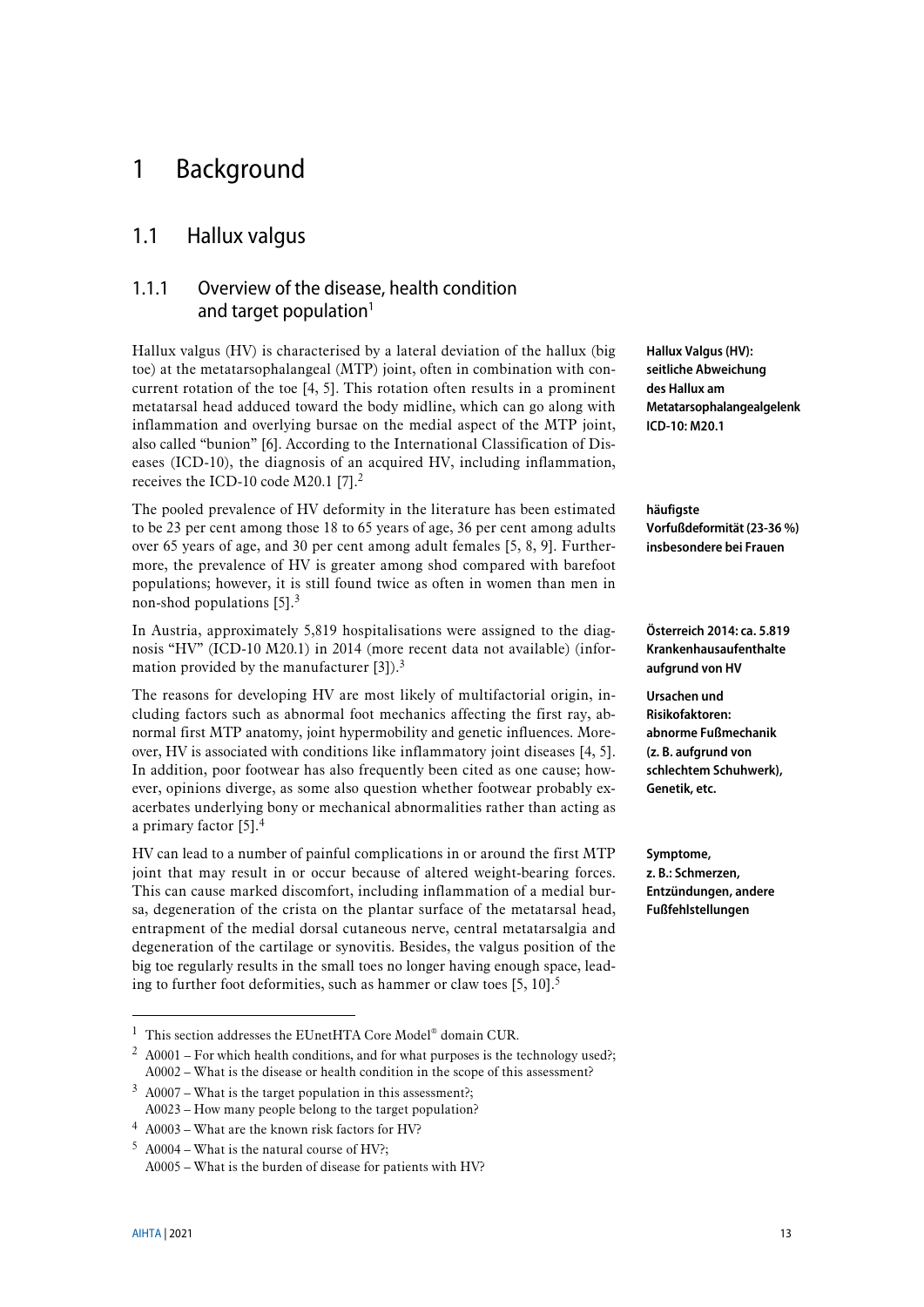# <span id="page-12-0"></span>1 Background

## <span id="page-12-1"></span>1.1 Hallux valgus

## <span id="page-12-4"></span><span id="page-12-2"></span>1.1.1 Overview of the disease, health condition and target population $1$

Hallux valgus (HV) is characterised by a lateral deviation of the hallux (big toe) at the metatarsophalangeal (MTP) joint, often in combination with concurrent rotation of the toe [\[4,](#page-40-1) [5\]](#page-40-2). This rotation often results in a prominent metatarsal head adduced toward the body midline, which can go along with inflammation and overlying bursae on the medial aspect of the MTP joint, also called "bunion" [\[6\]](#page-40-3). According to the International Classification of Diseases (ICD-10), the diagnosis of an acquired HV, including inflammation, receives the ICD-10 code M20.1 [\[7\]](#page-40-4).<sup>2</sup>

The pooled prevalence of HV deformity in the literature has been estimated to be 23 per cent among those 18 to 65 years of age, 36 per cent among adults over 65 years of age, and 30 per cent among adult females [\[5,](#page-40-2) [8,](#page-40-5) [9\]](#page-40-6). Furthermore, the prevalence of HV is greater among shod compared with barefoot populations; however, it is still found twice as often in women than men in non-shod populations [\[5\]](#page-40-2). 3

<span id="page-12-3"></span>In Austria, approximately 5,819 hospitalisations were assigned to the diagnosis "HV" (ICD-10 M20.1) in 2014 (more recent data not available) (information provided by the manufacturer  $[3]$ ).<sup>[3](#page-12-3)</sup>

The reasons for developing HV are most likely of multifactorial origin, including factors such as abnormal foot mechanics affecting the first ray, abnormal first MTP anatomy, joint hypermobility and genetic influences. Moreover, HV is associated with conditions like inflammatory joint diseases [\[4,](#page-40-1) [5\]](#page-40-2). In addition, poor footwear has also frequently been cited as one cause; however, opinions diverge, as some also question whether footwear probably exacerbates underlying bony or mechanical abnormalities rather than acting as a primary factor [\[5\]](#page-40-2). 4

HV can lead to a number of painful complications in or around the first MTP joint that may result in or occur because of altered weight-bearing forces. This can cause marked discomfort, including inflammation of a medial bursa, degeneration of the crista on the plantar surface of the metatarsal head, entrapment of the medial dorsal cutaneous nerve, central metatarsalgia and degeneration of the cartilage or synovitis. Besides, the valgus position of the big toe regularly results in the small toes no longer having enough space, leading to further foot deformities, such as hammer or claw toes  $[5, 10]$  $[5, 10]$ .<sup>5</sup>

 $2$  A0001 – For which health conditions, and for what purposes is the technology used?; A0002 – What is the disease or health condition in the scope of this assessment?

**Hallux Valgus (HV): seitliche Abweichung des Hallux am Metatarsophalangealgelenk ICD-10: M20.1**

**häufigste Vorfußdeformität (23-36 %) insbesondere bei Frauen**

**Österreich 2014: ca. 5.819 Krankenhausaufenthalte aufgrund von HV**

**Ursachen und Risikofaktoren: abnorme Fußmechanik (z. B. aufgrund von schlechtem Schuhwerk), Genetik, etc.**

**Symptome, z. B.: Schmerzen, Entzündungen, andere Fußfehlstellungen**

 $1$  This section addresses the EUnetHTA Core Model<sup>®</sup> domain CUR.

 $3$  A0007 – What is the target population in this assessment?; A0023 – How many people belong to the target population?

<sup>4</sup> A0003 – What are the known risk factors for HV?

 $5$  A0004 – What is the natural course of HV?;

A0005 – What is the burden of disease for patients with HV?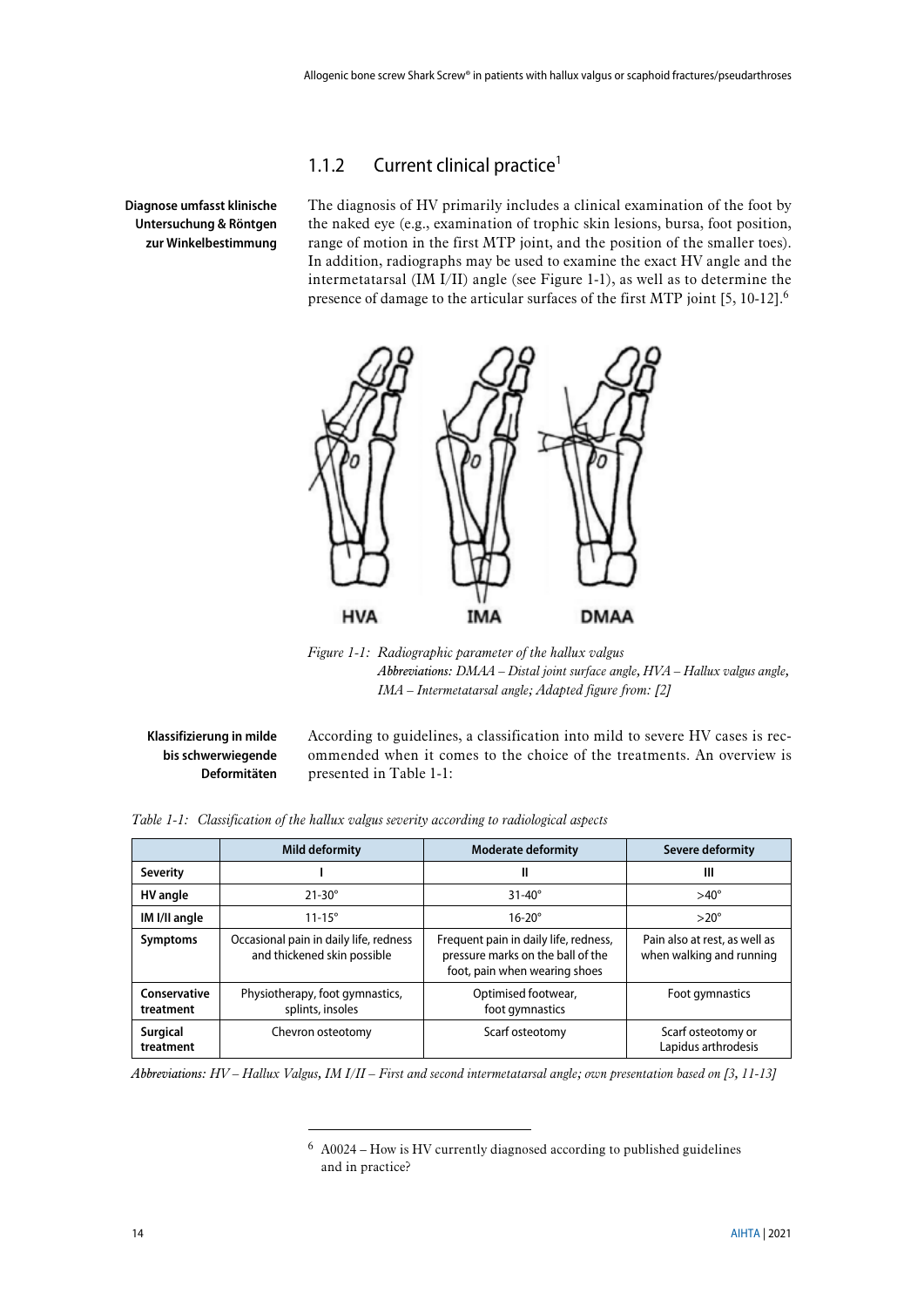### <span id="page-13-0"></span>1.1.2 Current clinical practice<sup>1</sup>

**Diagnose umfasst klinische Untersuchung & Röntgen zur Winkelbestimmung** The diagnosis of HV primarily includes a clinical examination of the foot by the naked eye (e.g., examination of trophic skin lesions, bursa, foot position, range of motion in the first MTP joint, and the position of the smaller toes). In addition, radiographs may be used to examine the exact HV angle and the intermetatarsal (IM I/II) angle (see [Figure 1-1\)](#page-13-1), as well as to determine the presence of damage to the articular surfaces of the first MTP joint [\[5,](#page-40-2) [10-12\]](#page-40-8).<sup>6</sup>



<span id="page-13-1"></span>*Figure 1-1: Radiographic parameter of the hallux valgus Abbreviations: DMAA – Distal joint surface angle, HVA – Hallux valgus angle, IMA – Intermetatarsal angle; Adapted figure from: [\[2\]](#page-40-9)*

**Klassifizierung in milde bis schwerwiegende Deformitäten** According to guidelines, a classification into mild to severe HV cases is recommended when it comes to the choice of the treatments. An overview is presented in [Table 1-1:](#page-13-2)

<span id="page-13-2"></span>

| Table 1-1: Classification of the hallux valgus severity according to radiological aspects |
|-------------------------------------------------------------------------------------------|
|-------------------------------------------------------------------------------------------|

<u>.</u>

|                              | Mild deformity                                                        | <b>Moderate deformity</b>                                                                                   | Severe deformity                                          |
|------------------------------|-----------------------------------------------------------------------|-------------------------------------------------------------------------------------------------------------|-----------------------------------------------------------|
| <b>Severity</b>              |                                                                       | Ш                                                                                                           | Ш                                                         |
| HV angle                     | $21-30^\circ$                                                         | $31-40^\circ$                                                                                               | $>40^{\circ}$                                             |
| IM I/II angle                | $11 - 15^{\circ}$                                                     | $16-20^\circ$                                                                                               | $>20^\circ$                                               |
| <b>Symptoms</b>              | Occasional pain in daily life, redness<br>and thickened skin possible | Frequent pain in daily life, redness,<br>pressure marks on the ball of the<br>foot, pain when wearing shoes | Pain also at rest, as well as<br>when walking and running |
| Conservative<br>treatment    | Physiotherapy, foot gymnastics,<br>splints, insoles                   | Optimised footwear,<br>foot gymnastics                                                                      | Foot gymnastics                                           |
| <b>Surgical</b><br>treatment | Chevron osteotomy                                                     | Scarf osteotomy                                                                                             | Scarf osteotomy or<br>Lapidus arthrodesis                 |

*Abbreviations: HV – Hallux Valgus, IM I/II – First and second intermetatarsal angle; own presentation based on [\[3,](#page-40-7) [11-13\]](#page-40-10)*

<sup>6</sup> A0024 – How is HV currently diagnosed according to published guidelines and in practice?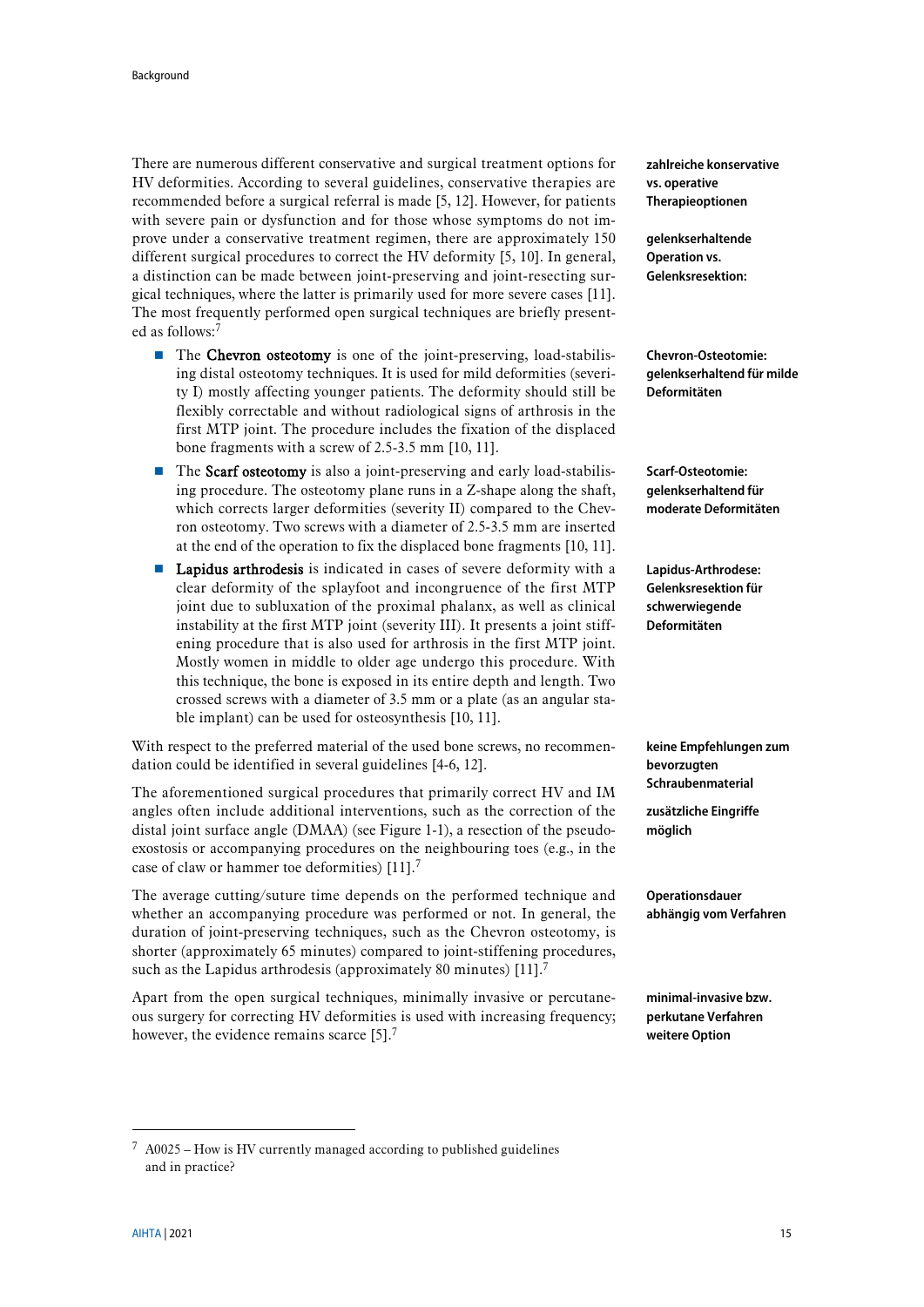There are numerous different conservative and surgical treatment options for HV deformities. According to several guidelines, conservative therapies are recommended before a surgical referral is made [\[5,](#page-40-2) [12\]](#page-40-11). However, for patients with severe pain or dysfunction and for those whose symptoms do not improve under a conservative treatment regimen, there are approximately 150 different surgical procedures to correct the HV deformity [\[5,](#page-40-2) [10\]](#page-40-8). In general, a distinction can be made between joint-preserving and joint-resecting surgical techniques, where the latter is primarily used for more severe cases [\[11\]](#page-40-10). The most frequently performed open surgical techniques are briefly presented as follows: 7

- <span id="page-14-0"></span>The Chevron osteotomy is one of the joint-preserving, load-stabilising distal osteotomy techniques. It is used for mild deformities (severity I) mostly affecting younger patients. The deformity should still be flexibly correctable and without radiological signs of arthrosis in the first MTP joint. The procedure includes the fixation of the displaced bone fragments with a screw of 2.5-3.5 mm [\[10,](#page-40-8) [11\]](#page-40-10).
- $\blacksquare$  The Scarf osteotomy is also a joint-preserving and early load-stabilising procedure. The osteotomy plane runs in a Z-shape along the shaft, which corrects larger deformities (severity II) compared to the Chevron osteotomy. Two screws with a diameter of 2.5-3.5 mm are inserted at the end of the operation to fix the displaced bone fragments [\[10,](#page-40-8) [11\]](#page-40-10).
- **Lapidus arthrodesis** is indicated in cases of severe deformity with a clear deformity of the splayfoot and incongruence of the first MTP joint due to subluxation of the proximal phalanx, as well as clinical instability at the first MTP joint (severity III). It presents a joint stiffening procedure that is also used for arthrosis in the first MTP joint. Mostly women in middle to older age undergo this procedure. With this technique, the bone is exposed in its entire depth and length. Two crossed screws with a diameter of 3.5 mm or a plate (as an angular stable implant) can be used for osteosynthesis [\[10,](#page-40-8) [11\]](#page-40-10).

With respect to the preferred material of the used bone screws, no recommendation could be identified in several guidelines [\[4-6,](#page-40-1) [12\]](#page-40-11).

The aforementioned surgical procedures that primarily correct HV and IM angles often include additional interventions, such as the correction of the distal joint surface angle (DMAA) (see [Figure 1-1\)](#page-13-1), a resection of the pseudoexostosis or accompanying procedures on the neighbouring toes (e.g., in the case of claw or hammer toe deformities) [\[11\]](#page-40-10)[.](#page-14-0)<sup>7</sup>

The average cutting/suture time depends on the performed technique and whether an accompanying procedure was performed or not. In general, the duration of joint-preserving techniques, such as the Chevron osteotomy, is shorter (approximately 65 minutes) compared to joint-stiffening procedures, such as the Lapidus arthrodesis (approximately 80 minutes)  $[11]$ .<sup>[7](#page-14-0)</sup>

Apart from the open surgical techniques, minimally invasive or percutaneous surgery for correcting HV deformities is used with increasing frequency; however, the evidence remains scarce  $[5]$ .<sup>[7](#page-14-0)</sup>

**zahlreiche konservative vs. operative Therapieoptionen**

**gelenkserhaltende Operation vs. Gelenksresektion:**

**Chevron-Osteotomie: gelenkserhaltend für milde Deformitäten**

**Scarf-Osteotomie: gelenkserhaltend für moderate Deformitäten**

**Lapidus-Arthrodese: Gelenksresektion für schwerwiegende Deformitäten**

**keine Empfehlungen zum bevorzugten Schraubenmaterial**

**zusätzliche Eingriffe möglich**

**Operationsdauer abhängig vom Verfahren**

**minimal-invasive bzw. perkutane Verfahren weitere Option**

 $7$  A0025 – How is HV currently managed according to published guidelines and in practice?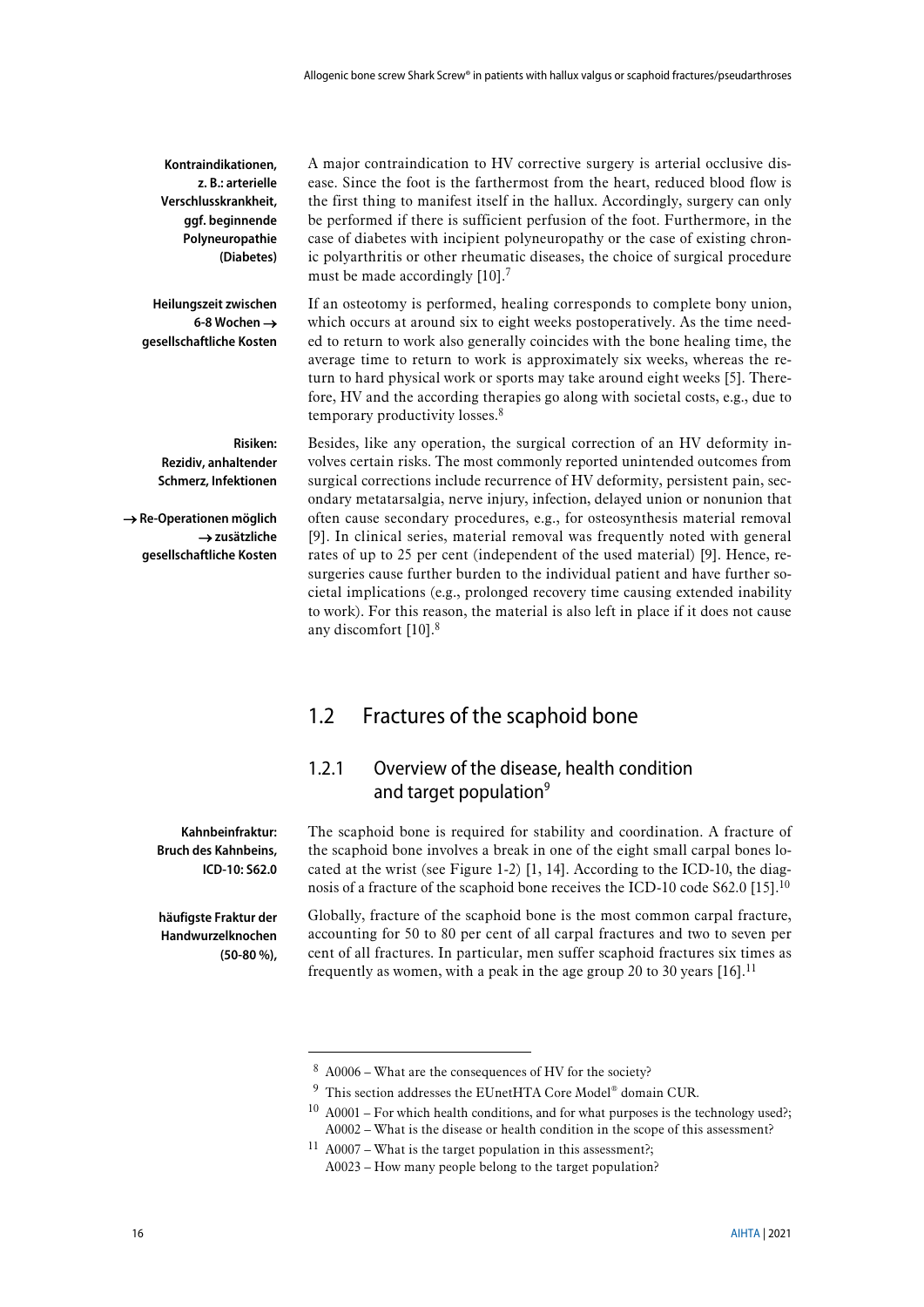**Kontraindikationen, z. B.: arterielle Verschlusskrankheit, ggf. beginnende Polyneuropathie (Diabetes)**

**Heilungszeit zwischen 6-8 Wochen** → **gesellschaftliche Kosten**

A major contraindication to HV corrective surgery is arterial occlusive disease. Since the foot is the farthermost from the heart, reduced blood flow is the first thing to manifest itself in the hallux. Accordingly, surgery can only be performed if there is sufficient perfusion of the foot. Furthermore, in the case of diabetes with incipient polyneuropathy or the case of existing chronic polyarthritis or other rheumatic diseases, the choice of surgical procedure must be made accordingly [10].<sup>[7](#page-14-0)</sup>

If an osteotomy is performed, healing corresponds to complete bony union, which occurs at around six to eight weeks postoperatively. As the time needed to return to work also generally coincides with the bone healing time, the average time to return to work is approximately six weeks, whereas the return to hard physical work or sports may take around eight weeks [\[5\]](#page-40-2). Therefore, HV and the according therapies go along with societal costs, e.g., due to temporary productivity losses. 8

**Risiken: Rezidiv, anhaltender Schmerz, Infektionen**

→ **Re-Operationen möglich**  → **zusätzliche gesellschaftliche Kosten**

<span id="page-15-2"></span>Besides, like any operation, the surgical correction of an HV deformity involves certain risks. The most commonly reported unintended outcomes from surgical corrections include recurrence of HV deformity, persistent pain, secondary metatarsalgia, nerve injury, infection, delayed union or nonunion that often cause secondary procedures, e.g., for osteosynthesis material removal [\[9\]](#page-40-6). In clinical series, material removal was frequently noted with general rates of up to 25 per cent (independent of the used material) [\[9\]](#page-40-6). Hence, resurgeries cause further burden to the individual patient and have further societal implications (e.g., prolonged recovery time causing extended inability to work). For this reason, the material is also left in place if it does not cause any discomfort [\[10\]](#page-40-8). [8](#page-15-2)

## <span id="page-15-0"></span>1.2 Fractures of the scaphoid bone

## <span id="page-15-4"></span><span id="page-15-1"></span>1.2.1 Overview of the disease, health condition and target population<sup>9</sup>

**Kahnbeinfraktur: Bruch des Kahnbeins, ICD-10: S62.0**

**häufigste Fraktur der Handwurzelknochen (50-80 %),**

**.** 

The scaphoid bone is required for stability and coordination. A fracture of the scaphoid bone involves a break in one of the eight small carpal bones located at the wrist (see [Figure 1-2\)](#page-16-0) [\[1,](#page-40-12) [14\]](#page-40-13). According to the ICD-10, the diag-nosis of a fracture of the scaphoid bone receives the ICD-10 code S62.0 [\[15\]](#page-40-14).<sup>10</sup>

<span id="page-15-3"></span>Globally, fracture of the scaphoid bone is the most common carpal fracture, accounting for 50 to 80 per cent of all carpal fractures and two to seven per cent of all fractures. In particular, men suffer scaphoid fractures six times as frequently as women, with a peak in the age group 20 to 30 years  $[16]$ .<sup>11</sup>

<sup>8</sup> A0006 – What are the consequences of HV for the society?

<sup>9</sup> This section addresses the EUnetHTA Core Model® domain CUR.

 $10$  A0001 – For which health conditions, and for what purposes is the technology used?; A0002 – What is the disease or health condition in the scope of this assessment?

 $11$  A0007 – What is the target population in this assessment?; A0023 – How many people belong to the target population?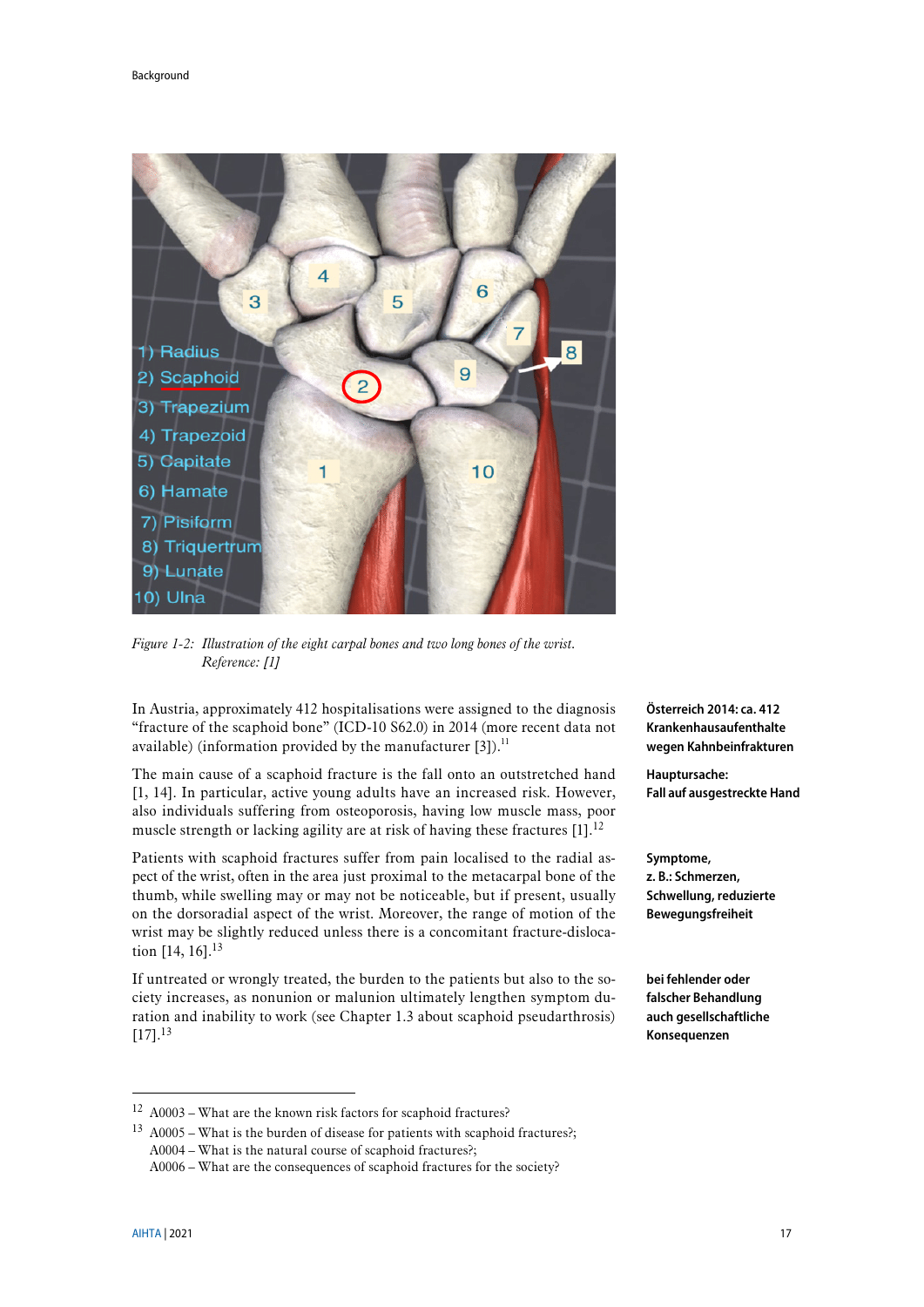

*Figure 1-2: Illustration of the eight carpal bones and two long bones of the wrist. Reference: [\[1\]](#page-40-12)*

<span id="page-16-0"></span>In Austria, approximately 412 hospitalisations were assigned to the diagnosis "fracture of the scaphoid bone" (ICD-10 S62.0) in 2014 (more recent data not available) (information provided by the manufacturer  $[3]$ ).<sup>11</sup>

The main cause of a scaphoid fracture is the fall onto an outstretched hand [\[1,](#page-40-12) [14\]](#page-40-13). In particular, active young adults have an increased risk. However, also individuals suffering from osteoporosis, having low muscle mass, poor muscle strength or lacking agility are at risk of having these fractures [\[1\]](#page-40-12).<sup>12</sup>

Patients with scaphoid fractures suffer from pain localised to the radial aspect of the wrist, often in the area just proximal to the metacarpal bone of the thumb, while swelling may or may not be noticeable, but if present, usually on the dorsoradial aspect of the wrist. Moreover, the range of motion of the wrist may be slightly reduced unless there is a concomitant fracture-dislocation [\[14,](#page-40-13) [16\]](#page-40-15). 13

<span id="page-16-1"></span>If untreated or wrongly treated, the burden to the patients but also to the society increases, as nonunion or malunion ultimately lengthen symptom duration and inability to work (see Chapter [1.3](#page-19-0) about scaphoid pseudarthrosis)  $[17]$ <sup>[13](#page-16-1)</sup>

<sup>12</sup> A0003 – What are the known risk factors for scaphoid fractures?

**Österreich 2014: ca. 412 Krankenhausaufenthalte wegen Kahnbeinfrakturen**

**Hauptursache: Fall auf ausgestreckte Hand**

**Symptome, z. B.: Schmerzen, Schwellung, reduzierte Bewegungsfreiheit**

**bei fehlender oder falscher Behandlung auch gesellschaftliche Konsequenzen**

<u>.</u>

<sup>&</sup>lt;sup>13</sup> A0005 – What is the burden of disease for patients with scaphoid fractures?; A0004 – What is the natural course of scaphoid fractures?;

A0006 – What are the consequences of scaphoid fractures for the society?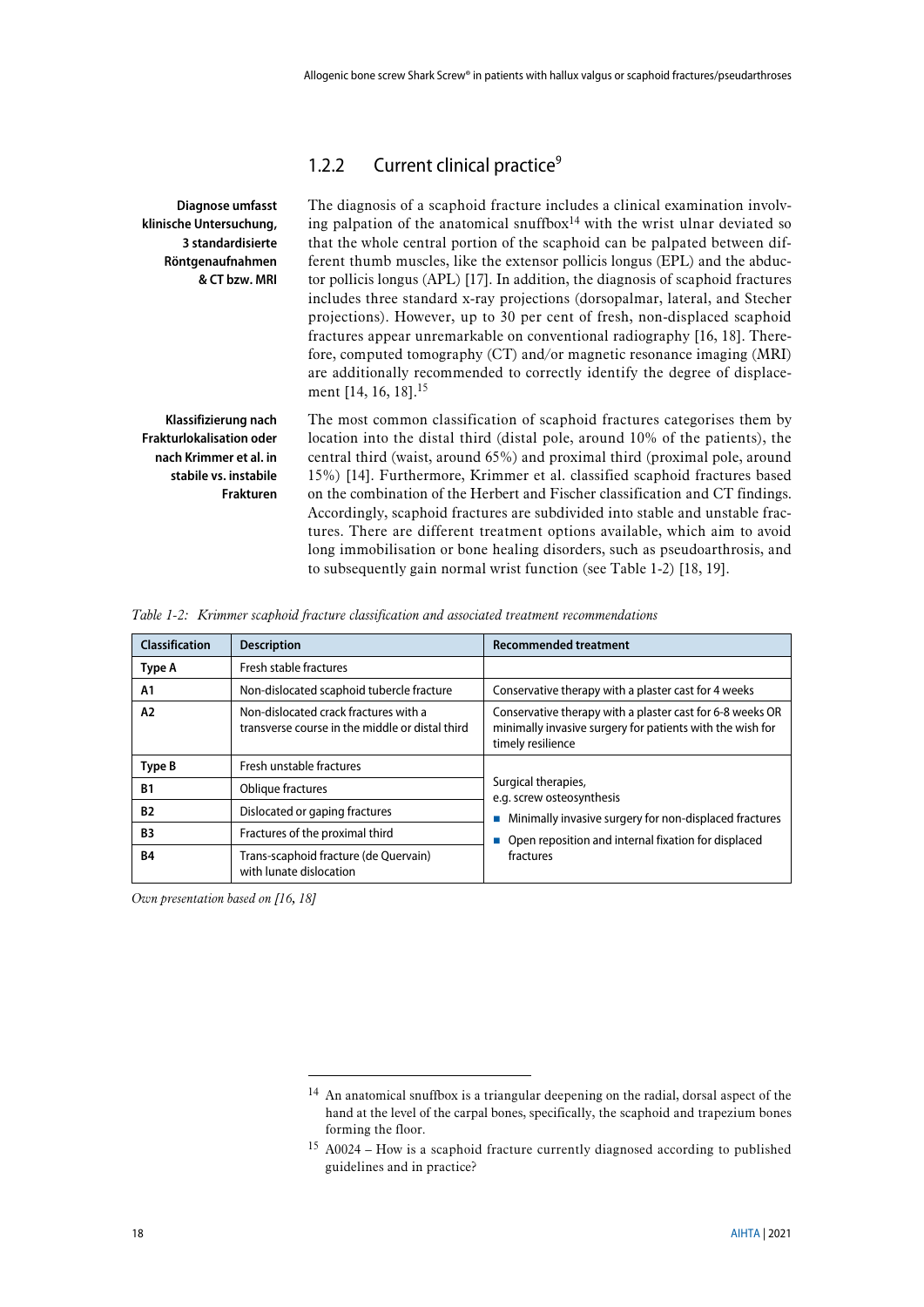## <span id="page-17-2"></span><span id="page-17-0"></span>1.2.2 Current clinical practice<sup>9</sup>

| Diagnose umfasst                                                                                                               | The diagnosis of a scaphoid fracture includes a clinical examination involv-                                                                                                                                                                                                                                                                                                                                                                                                                                                                                                                                                                                                                                                  |
|--------------------------------------------------------------------------------------------------------------------------------|-------------------------------------------------------------------------------------------------------------------------------------------------------------------------------------------------------------------------------------------------------------------------------------------------------------------------------------------------------------------------------------------------------------------------------------------------------------------------------------------------------------------------------------------------------------------------------------------------------------------------------------------------------------------------------------------------------------------------------|
| klinische Untersuchung,                                                                                                        | ing palpation of the anatomical snuffbox $14$ with the wrist ulnar deviated so                                                                                                                                                                                                                                                                                                                                                                                                                                                                                                                                                                                                                                                |
| 3 standardisierte                                                                                                              | that the whole central portion of the scaphoid can be palpated between dif-                                                                                                                                                                                                                                                                                                                                                                                                                                                                                                                                                                                                                                                   |
| Röntgenaufnahmen                                                                                                               | ferent thumb muscles, like the extensor pollicis longus (EPL) and the abduc-                                                                                                                                                                                                                                                                                                                                                                                                                                                                                                                                                                                                                                                  |
| & CT bzw. MRI                                                                                                                  | tor pollicis longus (APL) [17]. In addition, the diagnosis of scaphoid fractures                                                                                                                                                                                                                                                                                                                                                                                                                                                                                                                                                                                                                                              |
|                                                                                                                                | includes three standard x-ray projections (dorsopalmar, lateral, and Stecher<br>projections). However, up to 30 per cent of fresh, non-displaced scaphoid<br>fractures appear unremarkable on conventional radiography [16, 18]. There-<br>fore, computed tomography (CT) and/or magnetic resonance imaging (MRI)<br>are additionally recommended to correctly identify the degree of displace-<br>ment [14, 16, 18]. <sup>15</sup>                                                                                                                                                                                                                                                                                           |
| Klassifizierung nach<br><b>Frakturlokalisation oder</b><br>nach Krimmer et al. in<br>stabile vs. instabile<br><b>Frakturen</b> | The most common classification of scaphoid fractures categorises them by<br>location into the distal third (distal pole, around 10% of the patients), the<br>central third (waist, around 65%) and proximal third (proximal pole, around<br>15%) [14]. Furthermore, Krimmer et al. classified scaphoid fractures based<br>on the combination of the Herbert and Fischer classification and CT findings.<br>Accordingly, scaphoid fractures are subdivided into stable and unstable frac-<br>tures. There are different treatment options available, which aim to avoid<br>long immobilisation or bone healing disorders, such as pseudoarthrosis, and<br>to subsequently gain normal wrist function (see Table 1-2) [18, 19]. |

<span id="page-17-1"></span>

|  |  |  |  |  |  |  | Table 1-2: Krimmer scaphoid fracture classification and associated treatment recommendations |
|--|--|--|--|--|--|--|----------------------------------------------------------------------------------------------|
|--|--|--|--|--|--|--|----------------------------------------------------------------------------------------------|

| Classification | <b>Description</b>                                                                       | <b>Recommended treatment</b>                                                                                                                |
|----------------|------------------------------------------------------------------------------------------|---------------------------------------------------------------------------------------------------------------------------------------------|
| Type A         | Fresh stable fractures                                                                   |                                                                                                                                             |
| A1             | Non-dislocated scaphoid tubercle fracture                                                | Conservative therapy with a plaster cast for 4 weeks                                                                                        |
| A2             | Non-dislocated crack fractures with a<br>transverse course in the middle or distal third | Conservative therapy with a plaster cast for 6-8 weeks OR<br>minimally invasive surgery for patients with the wish for<br>timely resilience |
| Type B         | Fresh unstable fractures                                                                 |                                                                                                                                             |
| <b>B1</b>      | Oblique fractures                                                                        | Surgical therapies,<br>e.g. screw osteosynthesis                                                                                            |
| <b>B2</b>      | Dislocated or gaping fractures                                                           | Minimally invasive surgery for non-displaced fractures                                                                                      |
| <b>B3</b>      | Fractures of the proximal third                                                          | Open reposition and internal fixation for displaced                                                                                         |
| <b>B4</b>      | Trans-scaphoid fracture (de Quervain)<br>with lunate dislocation                         | fractures                                                                                                                                   |

*Own presentation based on [\[16,](#page-40-15) [18\]](#page-40-17)*

**.** 

<sup>14</sup> An anatomical snuffbox is a triangular deepening on the radial, dorsal aspect of the hand at the level of the carpal bones, specifically, the scaphoid and trapezium bones forming the floor.

<sup>15</sup> A0024 – How is a scaphoid fracture currently diagnosed according to published guidelines and in practice?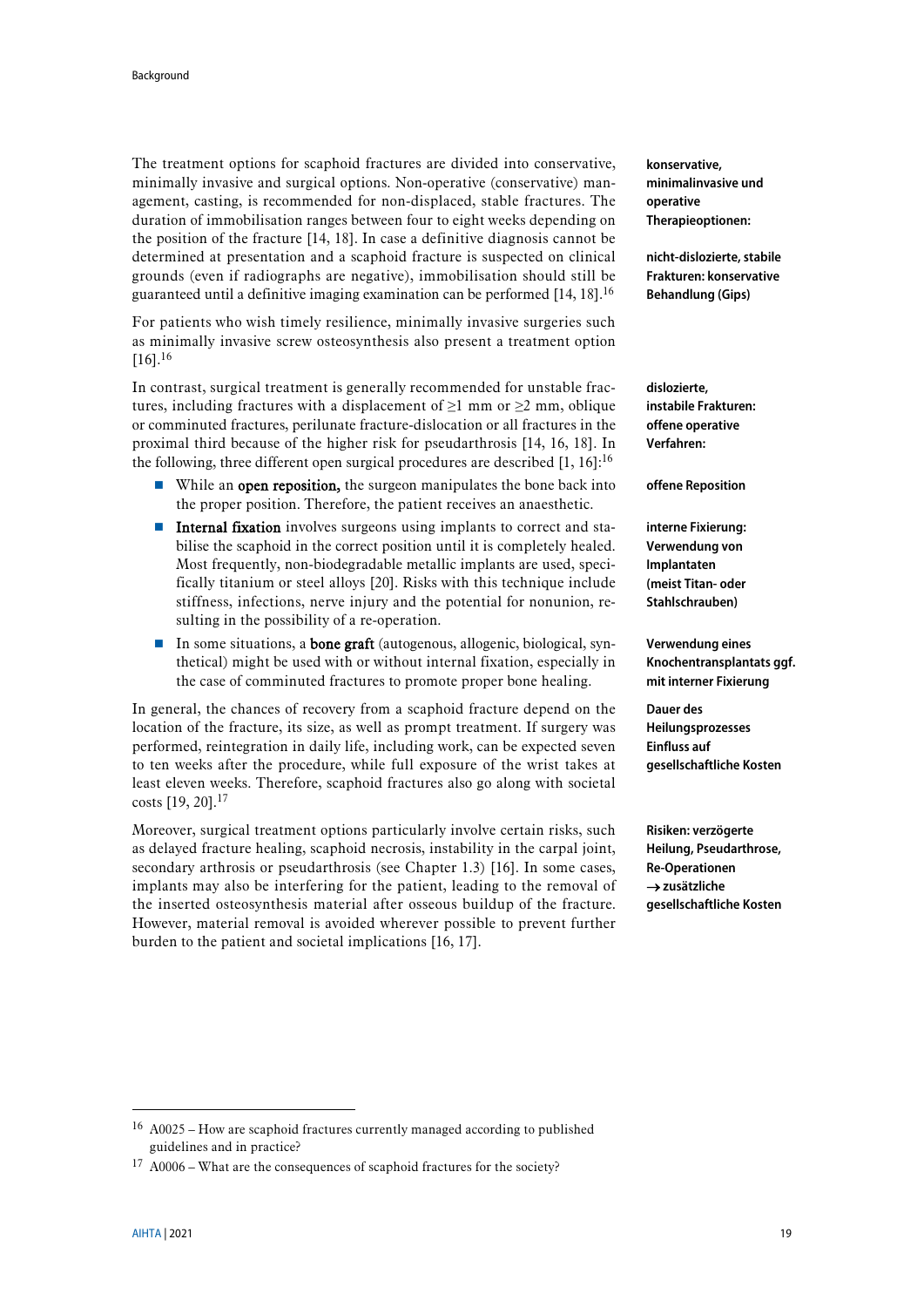The treatment options for scaphoid fractures are divided into conservative, minimally invasive and surgical options. Non-operative (conservative) management, casting, is recommended for non-displaced, stable fractures. The duration of immobilisation ranges between four to eight weeks depending on the position of the fracture [\[14,](#page-40-13) [18\]](#page-40-17). In case a definitive diagnosis cannot be determined at presentation and a scaphoid fracture is suspected on clinical grounds (even if radiographs are negative), immobilisation should still be guaranteed until a definitive imaging examination can be performed [\[14,](#page-40-13) [18\]](#page-40-17). 16

For patients who wish timely resilience, minimally invasive surgeries such as minimally invasive screw osteosynthesis also present a treatment option  $[16]$ <sup>[16](#page-18-0)</sup>

In contrast, surgical treatment is generally recommended for unstable fractures, including fractures with a displacement of  $\geq 1$  mm or  $\geq 2$  mm, oblique or comminuted fractures, perilunate fracture-dislocation or all fractures in the proximal third because of the higher risk for pseudarthrosis [\[14,](#page-40-13) [16,](#page-40-15) [18\]](#page-40-17). In the following, three different open surgical procedures are described  $[1, 16]$  $[1, 16]$ :<sup>[16](#page-18-0)</sup>

- While an **open reposition**, the surgeon manipulates the bone back into the proper position. Therefore, the patient receives an anaesthetic.
- **Internal fixation** involves surgeons using implants to correct and stabilise the scaphoid in the correct position until it is completely healed. Most frequently, non-biodegradable metallic implants are used, specifically titanium or steel alloys [\[20\]](#page-41-1). Risks with this technique include stiffness, infections, nerve injury and the potential for nonunion, resulting in the possibility of a re-operation.
- In some situations, a **bone graft** (autogenous, allogenic, biological, synthetical) might be used with or without internal fixation, especially in the case of comminuted fractures to promote proper bone healing.

In general, the chances of recovery from a scaphoid fracture depend on the location of the fracture, its size, as well as prompt treatment. If surgery was performed, reintegration in daily life, including work, can be expected seven to ten weeks after the procedure, while full exposure of the wrist takes at least eleven weeks. Therefore, scaphoid fractures also go along with societal costs [\[19,](#page-41-0) [20\]](#page-41-1). 17

Moreover, surgical treatment options particularly involve certain risks, such as delayed fracture healing, scaphoid necrosis, instability in the carpal joint, secondary arthrosis or pseudarthrosis (see Chapter [1.3\)](#page-19-0) [\[16\]](#page-40-15). In some cases, implants may also be interfering for the patient, leading to the removal of the inserted osteosynthesis material after osseous buildup of the fracture. However, material removal is avoided wherever possible to prevent further burden to the patient and societal implications [\[16,](#page-40-15) [17\]](#page-40-16).

**konservative, minimalinvasive und operative Therapieoptionen:**

<span id="page-18-0"></span>**nicht-dislozierte, stabile Frakturen: konservative Behandlung (Gips)**

**dislozierte, instabile Frakturen: offene operative Verfahren:**

**offene Reposition**

**interne Fixierung: Verwendung von Implantaten (meist Titan- oder Stahlschrauben)**

**Verwendung eines Knochentransplantats ggf. mit interner Fixierung**

**Dauer des Heilungsprozesses Einfluss auf gesellschaftliche Kosten**

**Risiken: verzögerte Heilung, Pseudarthrose, Re-Operationen**  → **zusätzliche gesellschaftliche Kosten**

<sup>16</sup> A0025 – How are scaphoid fractures currently managed according to published guidelines and in practice?

 $17$  A0006 – What are the consequences of scaphoid fractures for the society?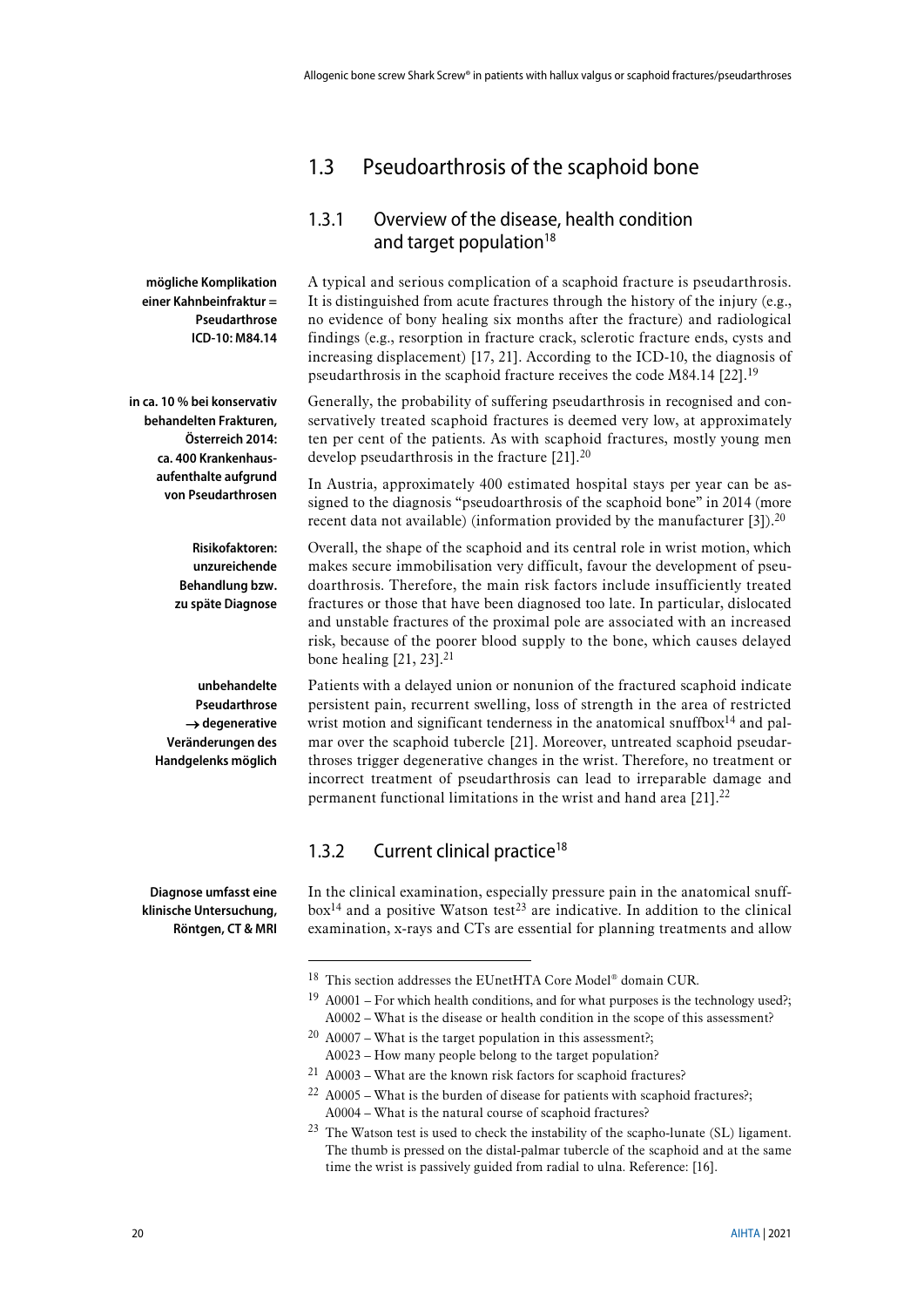## <span id="page-19-0"></span>1.3 Pseudoarthrosis of the scaphoid bone

### <span id="page-19-4"></span><span id="page-19-1"></span>1.3.1 Overview of the disease, health condition and target population $18$

A typical and serious complication of a scaphoid fracture is pseudarthrosis. It is distinguished from acute fractures through the history of the injury (e.g., no evidence of bony healing six months after the fracture) and radiological findings (e.g., resorption in fracture crack, sclerotic fracture ends, cysts and increasing displacement) [\[17,](#page-40-16) [21\]](#page-41-2). According to the ICD-10, the diagnosis of pseudarthrosis in the scaphoid fracture receives the code M84.14 [\[22\]](#page-41-3).<sup>19</sup>

Generally, the probability of suffering pseudarthrosis in recognised and conservatively treated scaphoid fractures is deemed very low, at approximately ten per cent of the patients. As with scaphoid fractures, mostly young men develop pseudarthrosis in the fracture [\[21\]](#page-41-2).<sup>20</sup>

<span id="page-19-3"></span>In Austria, approximately 400 estimated hospital stays per year can be assigned to the diagnosis "pseudoarthrosis of the scaphoid bone" in 2014 (more recent data not available) (information provided by the manufacturer [\[3\]](#page-40-7)).<sup>[20](#page-19-3)</sup>

Overall, the shape of the scaphoid and its central role in wrist motion, which makes secure immobilisation very difficult, favour the development of pseudoarthrosis. Therefore, the main risk factors include insufficiently treated fractures or those that have been diagnosed too late. In particular, dislocated and unstable fractures of the proximal pole are associated with an increased risk, because of the poorer blood supply to the bone, which causes delayed bone healing  $[21, 23]$  $[21, 23]$ .<sup>21</sup>

Patients with a delayed union or nonunion of the fractured scaphoid indicate persistent pain, recurrent swelling, loss of strength in the area of restricted wrist motion and significant tenderness in the anatomical snuffbox $14$  and palmar over the scaphoid tubercle [\[21\]](#page-41-2). Moreover, untreated scaphoid pseudarthroses trigger degenerative changes in the wrist. Therefore, no treatment or incorrect treatment of pseudarthrosis can lead to irreparable damage and permanent functional limitations in the wrist and hand area [\[21\]](#page-41-2).<sup>22</sup>

### <span id="page-19-2"></span>1.3.2 Current clinical practice<sup>18</sup>

In the clinical examination, especially pressure pain in the anatomical snuff $box<sup>14</sup>$  and a positive Watson test<sup>23</sup> are indicative. In addition to the clinical examination, x-rays and CTs are essential for planning treatments and allow

**in ca. 10 % bei konservativ behandelten Frakturen, Österreich 2014: ca. 400 Krankenhausaufenthalte aufgrund von Pseudarthrosen**

**mögliche Komplikation einer Kahnbeinfraktur =**

> **Pseudarthrose ICD-10: M84.14**

**Risikofaktoren: unzureichende Behandlung bzw. zu späte Diagnose**

**unbehandelte Pseudarthrose**  → **degenerative Veränderungen des Handgelenks möglich**

**Diagnose umfasst eine klinische Untersuchung, Röntgen, CT & MRI**

<sup>18</sup> This section addresses the EUnetHTA Core Model® domain CUR.

 $19$  A0001 – For which health conditions, and for what purposes is the technology used?; A0002 – What is the disease or health condition in the scope of this assessment?

 $20$  A0007 – What is the target population in this assessment?; A0023 – How many people belong to the target population?

<sup>21</sup> A0003 – What are the known risk factors for scaphoid fractures?

 $22$  A0005 – What is the burden of disease for patients with scaphoid fractures?; A0004 – What is the natural course of scaphoid fractures?

 $23$  The Watson test is used to check the instability of the scapho-lunate (SL) ligament. The thumb is pressed on the distal-palmar tubercle of the scaphoid and at the same time the wrist is passively guided from radial to ulna. Reference: [\[16\]](#page-40-15).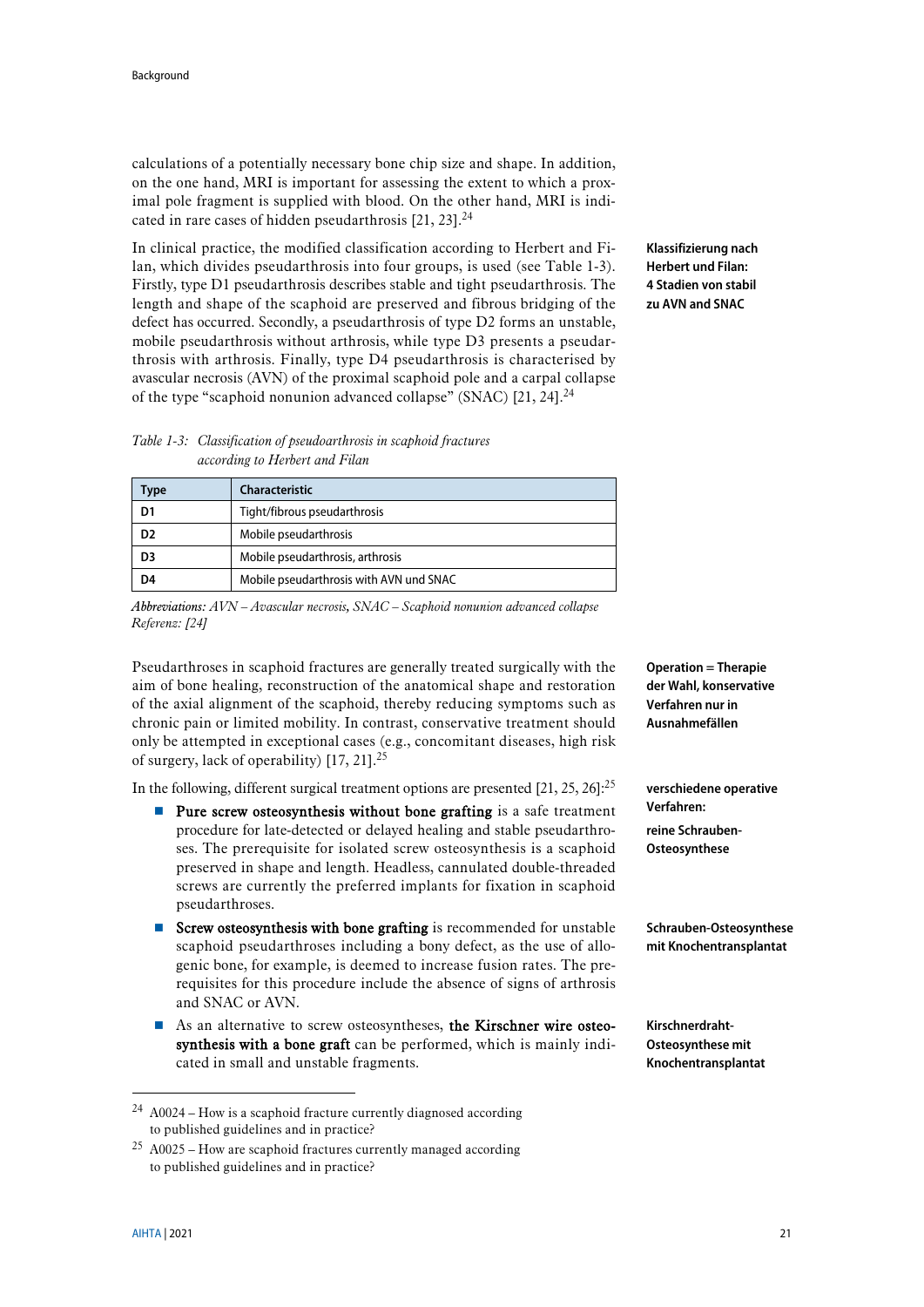calculations of a potentially necessary bone chip size and shape. In addition, on the one hand, MRI is important for assessing the extent to which a proximal pole fragment is supplied with blood. On the other hand, MRI is indi-cated in rare cases of hidden pseudarthrosis [\[21,](#page-41-2) [23\]](#page-41-4).<sup>24</sup>

In clinical practice, the modified classification according to Herbert and Filan, which divides pseudarthrosis into four groups, is used (see [Table 1-3\)](#page-20-0). Firstly, type D1 pseudarthrosis describes stable and tight pseudarthrosis. The length and shape of the scaphoid are preserved and fibrous bridging of the defect has occurred. Secondly, a pseudarthrosis of type D2 forms an unstable, mobile pseudarthrosis without arthrosis, while type D3 presents a pseudarthrosis with arthrosis. Finally, type D4 pseudarthrosis is characterised by avascular necrosis (AVN) of the proximal scaphoid pole and a carpal collapse of the type "scaphoid nonunion advanced collapse" (SNAC) [\[21,](#page-41-2) [24\]](#page-41-5).<sup>[24](#page-20-1)</sup>

<span id="page-20-1"></span>**Klassifizierung nach Herbert und Filan: 4 Stadien von stabil zu AVN and SNAC**

### <span id="page-20-0"></span>*Table 1-3: Classification of pseudoarthrosis in scaphoid fractures according to Herbert and Filan*

| ype | Characteristic                          |
|-----|-----------------------------------------|
| D1  | Tight/fibrous pseudarthrosis            |
|     | Mobile pseudarthrosis                   |
| D3  | Mobile pseudarthrosis, arthrosis        |
| D4  | Mobile pseudarthrosis with AVN und SNAC |

*Abbreviations: AVN – Avascular necrosis, SNAC – Scaphoid nonunion advanced collapse Referenz: [\[24\]](#page-41-5)*

Pseudarthroses in scaphoid fractures are generally treated surgically with the aim of bone healing, reconstruction of the anatomical shape and restoration of the axial alignment of the scaphoid, thereby reducing symptoms such as chronic pain or limited mobility. In contrast, conservative treatment should only be attempted in exceptional cases (e.g., concomitant diseases, high risk of surgery, lack of operability) [\[17,](#page-40-16) [21\]](#page-41-2).<sup>25</sup>

In the following, different surgical treatment options are presented  $[21, 25, 26]$  $[21, 25, 26]$  $[21, 25, 26]$ :<sup>[25](#page-20-2)</sup>

- <span id="page-20-2"></span> $\blacksquare$  Pure screw osteosynthesis without bone grafting is a safe treatment procedure for late-detected or delayed healing and stable pseudarthroses. The prerequisite for isolated screw osteosynthesis is a scaphoid preserved in shape and length. Headless, cannulated double-threaded screws are currently the preferred implants for fixation in scaphoid pseudarthroses.
- Screw osteosynthesis with bone grafting is recommended for unstable scaphoid pseudarthroses including a bony defect, as the use of allogenic bone, for example, is deemed to increase fusion rates. The prerequisites for this procedure include the absence of signs of arthrosis and SNAC or AVN.
- As an alternative to screw osteosyntheses, the Kirschner wire osteosynthesis with a bone graft can be performed, which is mainly indicated in small and unstable fragments.

**Operation = Therapie der Wahl, konservative Verfahren nur in Ausnahmefällen**

**verschiedene operative Verfahren: reine Schrauben-Osteosynthese**

**Schrauben-Osteosynthese mit Knochentransplantat**

**Kirschnerdraht-Osteosynthese mit Knochentransplantat**

<u>.</u>

<sup>24</sup> A0024 – How is a scaphoid fracture currently diagnosed according to published guidelines and in practice?

 $25$  A0025 – How are scaphoid fractures currently managed according to published guidelines and in practice?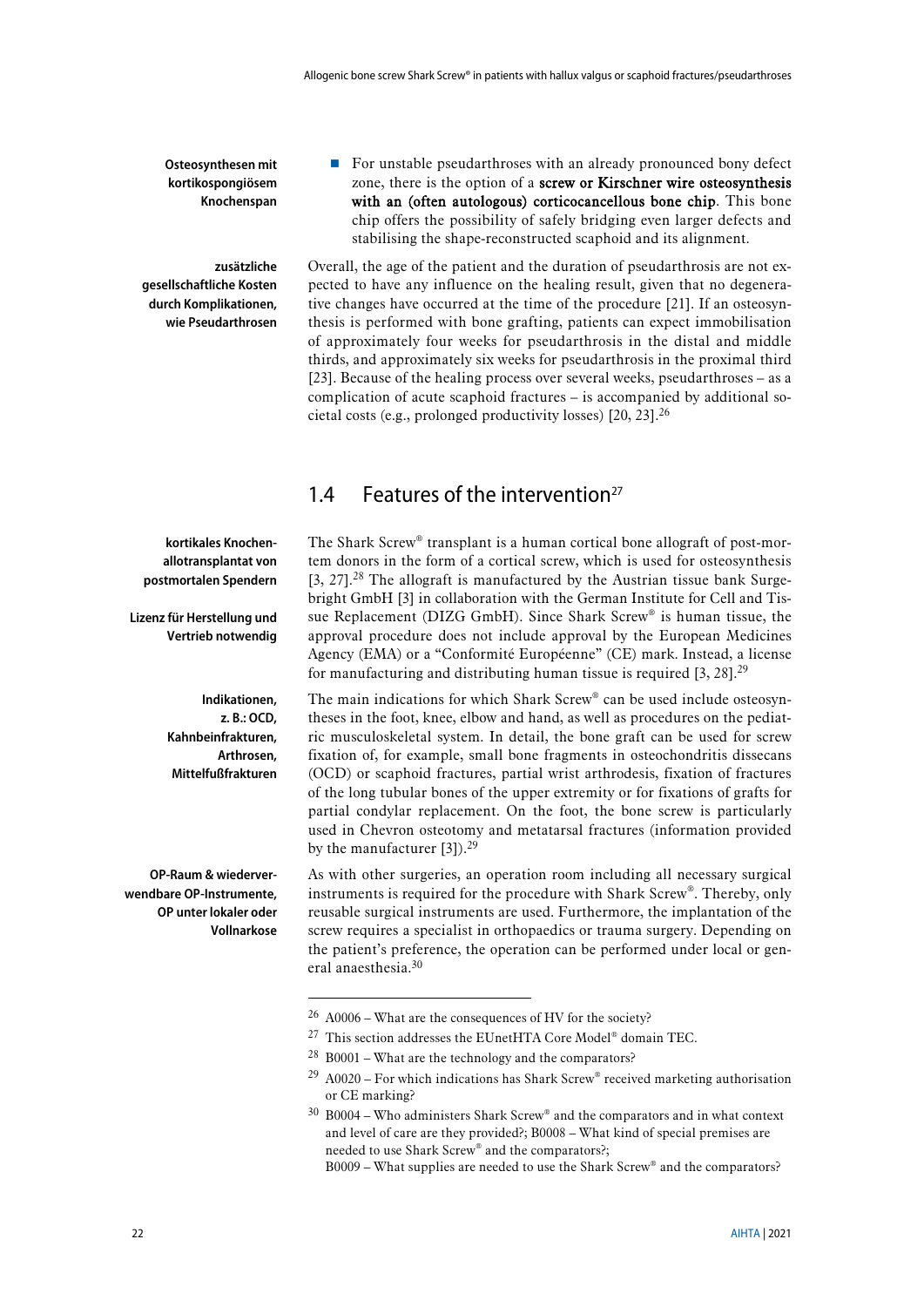**Osteosynthesen mit kortikospongiösem Knochenspan**

**zusätzliche gesellschaftliche Kosten durch Komplikationen, wie Pseudarthrosen**

zone, there is the option of a screw or Kirschner wire osteosynthesis with an (often autologous) corticocancellous bone chip. This bone chip offers the possibility of safely bridging even larger defects and stabilising the shape-reconstructed scaphoid and its alignment. Overall, the age of the patient and the duration of pseudarthrosis are not ex-

For unstable pseudarthroses with an already pronounced bony defect

pected to have any influence on the healing result, given that no degenerative changes have occurred at the time of the procedure [\[21\]](#page-41-2). If an osteosynthesis is performed with bone grafting, patients can expect immobilisation of approximately four weeks for pseudarthrosis in the distal and middle thirds, and approximately six weeks for pseudarthrosis in the proximal third [\[23\]](#page-41-4). Because of the healing process over several weeks, pseudarthroses – as a complication of acute scaphoid fractures – is accompanied by additional societal costs (e.g., prolonged productivity losses) [\[20,](#page-41-1) [23\]](#page-41-4). 26

## <span id="page-21-0"></span>1.4 Features of the intervention<sup>27</sup>

<span id="page-21-3"></span>The Shark Screw® transplant is a human cortical bone allograft of post-mortem donors in the form of a cortical screw, which is used for osteosynthesis [\[3,](#page-40-7) [27\]](#page-41-8). <sup>28</sup> The allograft is manufactured by the Austrian tissue bank Surgebright GmbH [\[3\]](#page-40-7) in collaboration with the German Institute for Cell and Tissue Replacement (DIZG GmbH). Since Shark Screw® is human tissue, the approval procedure does not include approval by the European Medicines Agency (EMA) or a "Conformité Européenne" (CE) mark. Instead, a license for manufacturing and distributing human tissue is required  $[3, 28]$  $[3, 28]$ .<sup>29</sup>

<span id="page-21-1"></span>The main indications for which Shark Screw® can be used include osteosyntheses in the foot, knee, elbow and hand, as well as procedures on the pediatric musculoskeletal system. In detail, the bone graft can be used for screw fixation of, for example, small bone fragments in osteochondritis dissecans (OCD) or scaphoid fractures, partial wrist arthrodesis, fixation of fractures of the long tubular bones of the upper extremity or for fixations of grafts for partial condylar replacement. On the foot, the bone screw is particularly used in Chevron osteotomy and metatarsal fractures (information provided by the manufacturer [\[3\]](#page-40-7)).<sup>[29](#page-21-1)</sup>

As with other surgeries, an operation room including all necessary surgical instruments is required for the procedure with Shark Screw®. Thereby, only reusable surgical instruments are used. Furthermore, the implantation of the screw requires a specialist in orthopaedics or trauma surgery. Depending on the patient's preference, the operation can be performed under local or general anaesthesia.<sup>30</sup>

- $27$  This section addresses the EUnetHTA Core Model® domain TEC.
- <sup>28</sup> B0001 What are the technology and the comparators?

**kortikales Knochenallotransplantat von postmortalen Spendern**

**Lizenz für Herstellung und Vertrieb notwendig**

> **Indikationen, z. B.: OCD, Kahnbeinfrakturen, Arthrosen, Mittelfußfrakturen**

**OP-Raum & wiederverwendbare OP-Instrumente, OP unter lokaler oder Vollnarkose**

<span id="page-21-2"></span><sup>26</sup> A0006 – What are the consequences of HV for the society?

 $29$  A0020 – For which indications has Shark Screw® received marketing authorisation or CE marking?

<sup>30</sup> B0004 – Who administers Shark Screw® and the comparators and in what context and level of care are they provided?; B0008 – What kind of special premises are needed to use Shark Screw® and the comparators?;

B0009 – What supplies are needed to use the Shark Screw® and the comparators?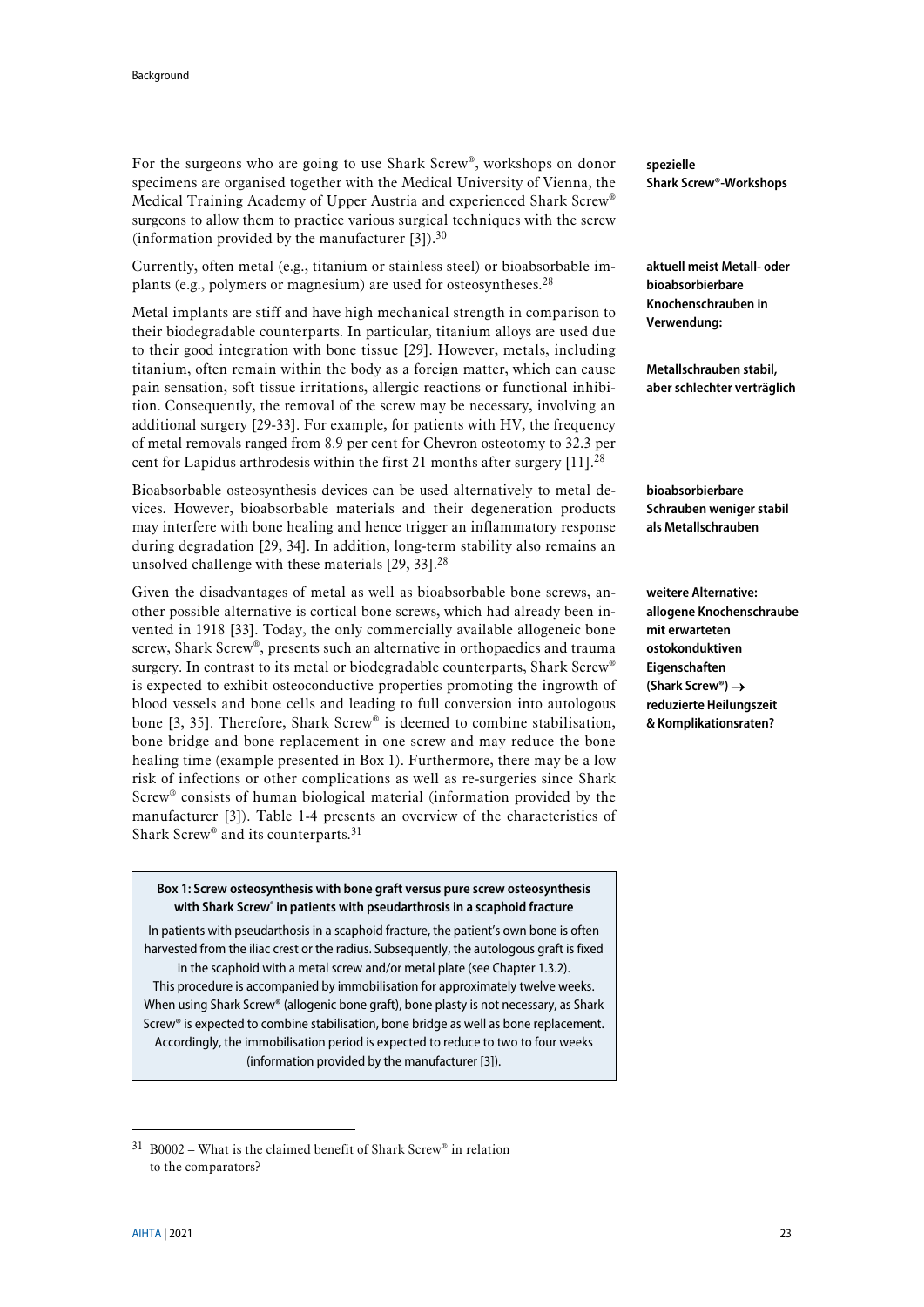For the surgeons who are going to use Shark Screw®, workshops on donor specimens are organised together with the Medical University of Vienna, the Medical Training Academy of Upper Austria and experienced Shark Screw® surgeons to allow them to practice various surgical techniques with the screw (information provided by the manufacturer  $[3]$ ).<sup>[30](#page-21-2)</sup>

Currently, often metal (e.g., titanium or stainless steel) or bioabsorbable implants (e.g., polymers or magnesium) are used for osteosyntheses.[28](#page-21-3)

Metal implants are stiff and have high mechanical strength in comparison to their biodegradable counterparts. In particular, titanium alloys are used due to their good integration with bone tissue [\[29\]](#page-41-10). However, metals, including titanium, often remain within the body as a foreign matter, which can cause pain sensation, soft tissue irritations, allergic reactions or functional inhibition. Consequently, the removal of the screw may be necessary, involving an additional surgery [\[29-33\]](#page-41-10). For example, for patients with HV, the frequency of metal removals ranged from 8.9 per cent for Chevron osteotomy to 32.3 per cent for Lapidus arthrodesis within the first 21 months after surgery  $[11]$ .<sup>[28](#page-21-3)</sup>

Bioabsorbable osteosynthesis devices can be used alternatively to metal devices. However, bioabsorbable materials and their degeneration products may interfere with bone healing and hence trigger an inflammatory response during degradation [\[29,](#page-41-10) [34\]](#page-41-11). In addition, long-term stability also remains an unsolved challenge with these materials  $[29, 33]$  $[29, 33]$ .<sup>[28](#page-21-3)</sup>

Given the disadvantages of metal as well as bioabsorbable bone screws, another possible alternative is cortical bone screws, which had already been invented in 1918 [\[33\]](#page-41-12). Today, the only commercially available allogeneic bone screw, Shark Screw®, presents such an alternative in orthopaedics and trauma surgery. In contrast to its metal or biodegradable counterparts, Shark Screw<sup>®</sup> is expected to exhibit osteoconductive properties promoting the ingrowth of blood vessels and bone cells and leading to full conversion into autologous bone [\[3,](#page-40-7) [35\]](#page-41-13). Therefore, Shark Screw® is deemed to combine stabilisation, bone bridge and bone replacement in one screw and may reduce the bone healing time (example presented in Box 1). Furthermore, there may be a low risk of infections or other complications as well as re-surgeries since Shark Screw® consists of human biological material (information provided by the manufacturer [\[3\]](#page-40-7)). [Table 1-4](#page-24-0) presents an overview of the characteristics of Shark Screw<sup>®</sup> and its counterparts.<sup>31</sup>

### **Box 1: Screw osteosynthesis with bone graft versus pure screw osteosynthesis with Shark Screw® in patients with pseudarthrosis in a scaphoid fracture**

In patients with pseudarthosis in a scaphoid fracture, the patient's own bone is often harvested from the iliac crest or the radius. Subsequently, the autologous graft is fixed

in the scaphoid with a metal screw and/or metal plate (see Chapte[r 1.3.2\)](#page-19-2). This procedure is accompanied by immobilisation for approximately twelve weeks. When using Shark Screw® (allogenic bone graft), bone plasty is not necessary, as Shark Screw® is expected to combine stabilisation, bone bridge as well as bone replacement. Accordingly, the immobilisation period is expected to reduce to two to four weeks (information provided by the manufacturer [\[3\]\)](#page-40-7).

**spezielle Shark Screw®-Workshops**

**aktuell meist Metall- oder bioabsorbierbare Knochenschrauben in Verwendung:**

**Metallschrauben stabil, aber schlechter verträglich**

**bioabsorbierbare Schrauben weniger stabil als Metallschrauben**

**weitere Alternative: allogene Knochenschraube mit erwarteten ostokonduktiven Eigenschaften (Shark Screw®)** → **reduzierte Heilungszeit & Komplikationsraten?**

 $31$  B0002 – What is the claimed benefit of Shark Screw® in relation to the comparators?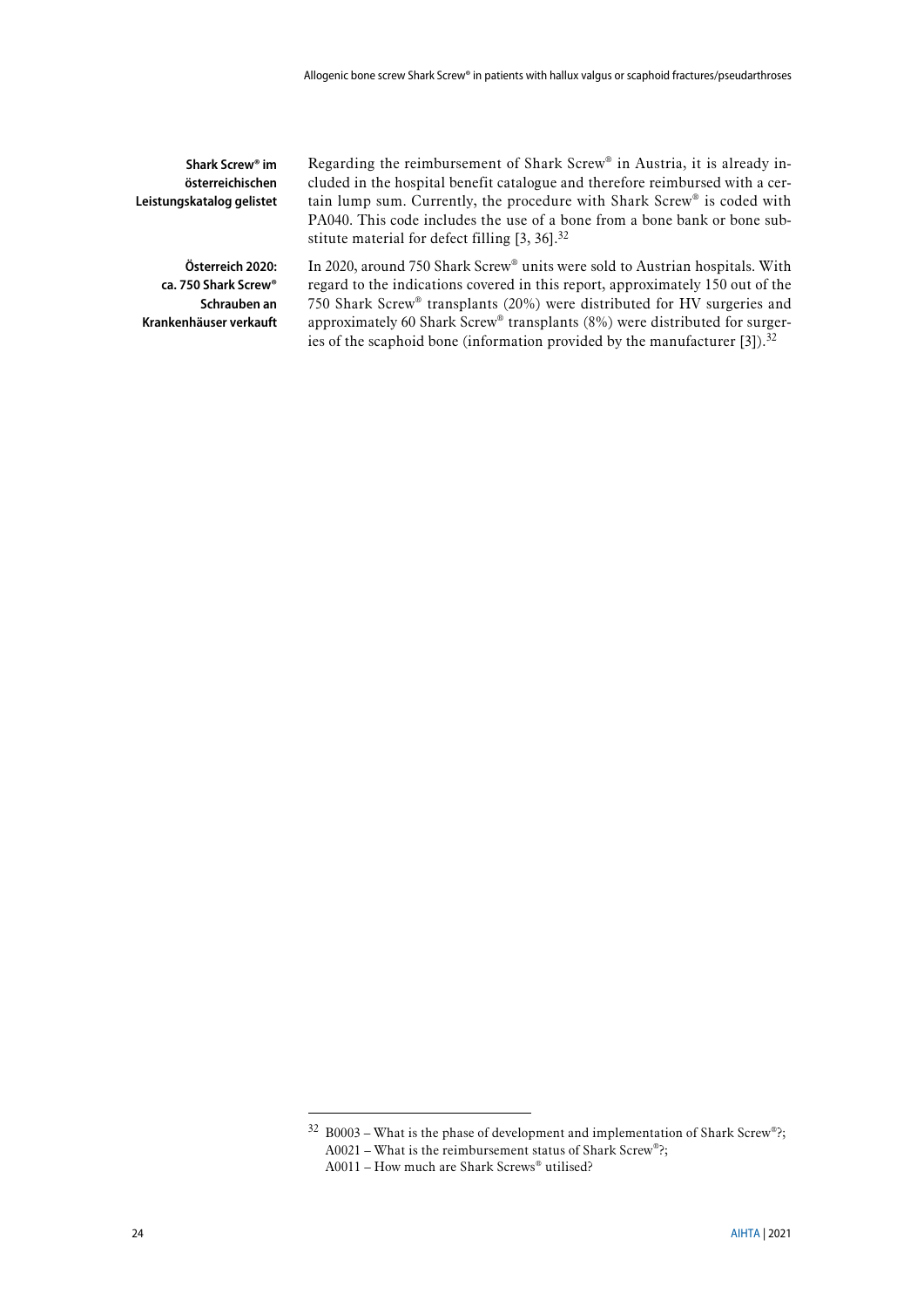<span id="page-23-0"></span>

| Shark Screw <sup>®</sup> im<br>österreichischen<br>Leistungskatalog gelistet                   | Regarding the reimbursement of Shark Screw® in Austria, it is already in-<br>cluded in the hospital benefit catalogue and therefore reimbursed with a cer-<br>tain lump sum. Currently, the procedure with Shark Screw® is coded with<br>PA040. This code includes the use of a bone from a bone bank or bone sub-<br>stitute material for defect filling $[3, 36]$ . <sup>32</sup>                                                |
|------------------------------------------------------------------------------------------------|------------------------------------------------------------------------------------------------------------------------------------------------------------------------------------------------------------------------------------------------------------------------------------------------------------------------------------------------------------------------------------------------------------------------------------|
| Österreich 2020:<br>ca. 750 Shark Screw <sup>®</sup><br>Schrauben an<br>Krankenhäuser verkauft | In 2020, around 750 Shark Screw <sup>®</sup> units were sold to Austrian hospitals. With<br>regard to the indications covered in this report, approximately 150 out of the<br>750 Shark Screw® transplants (20%) were distributed for HV surgeries and<br>approximately 60 Shark Screw® transplants (8%) were distributed for surger-<br>ies of the scaphoid bone (information provided by the manufacturer $[3]$ ). <sup>32</sup> |

 $32$  B0003 – What is the phase of development and implementation of Shark Screw®?; A0021 – What is the reimbursement status of Shark Screw®?;

A0011 – How much are Shark Screws® utilised?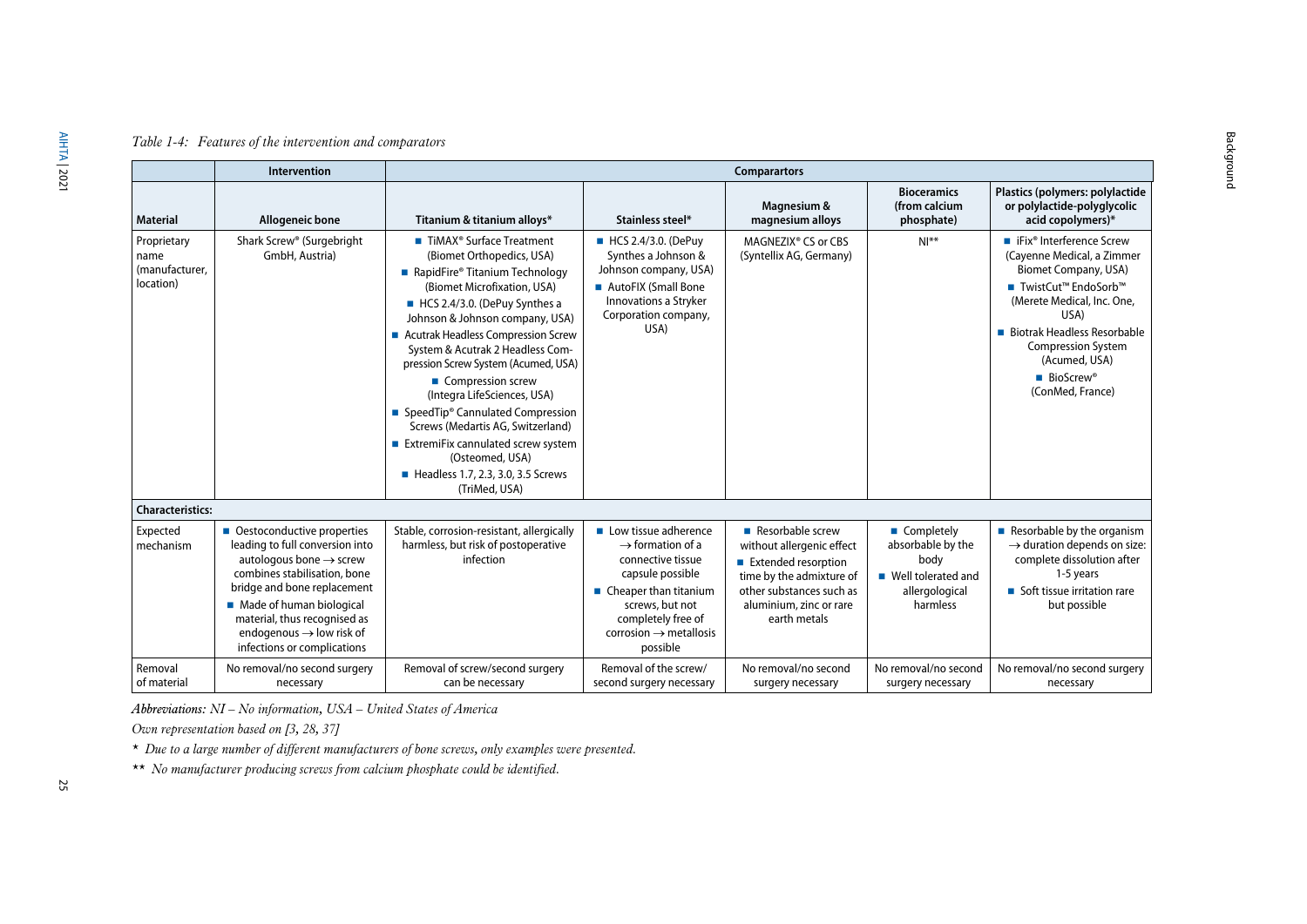### *Table 1-4: Features of the intervention and comparators*

|                                                    | <b>Intervention</b>                                                                                                                                                                                                                                                                                      | <b>Comparartors</b>                                                                                                                                                                                                                                                                                                                                                                                                                                                                                                                                                                        |                                                                                                                                                                                                                                  |                                                                                                                                                                         |                                                                                                 |                                                                                                                                                                                                                                                                                            |
|----------------------------------------------------|----------------------------------------------------------------------------------------------------------------------------------------------------------------------------------------------------------------------------------------------------------------------------------------------------------|--------------------------------------------------------------------------------------------------------------------------------------------------------------------------------------------------------------------------------------------------------------------------------------------------------------------------------------------------------------------------------------------------------------------------------------------------------------------------------------------------------------------------------------------------------------------------------------------|----------------------------------------------------------------------------------------------------------------------------------------------------------------------------------------------------------------------------------|-------------------------------------------------------------------------------------------------------------------------------------------------------------------------|-------------------------------------------------------------------------------------------------|--------------------------------------------------------------------------------------------------------------------------------------------------------------------------------------------------------------------------------------------------------------------------------------------|
| <b>Material</b>                                    | <b>Allogeneic bone</b>                                                                                                                                                                                                                                                                                   | Titanium & titanium alloys*                                                                                                                                                                                                                                                                                                                                                                                                                                                                                                                                                                | Stainless steel*                                                                                                                                                                                                                 | Magnesium &<br>magnesium alloys                                                                                                                                         | <b>Bioceramics</b><br>(from calcium<br>phosphate)                                               | Plastics (polymers: polylactide<br>or polylactide-polyglycolic<br>acid copolymers)*                                                                                                                                                                                                        |
| Proprietary<br>name<br>(manufacturer,<br>location) | Shark Screw <sup>®</sup> (Surgebright<br>GmbH, Austria)                                                                                                                                                                                                                                                  | ■ TiMAX <sup>®</sup> Surface Treatment<br>(Biomet Orthopedics, USA)<br>■ RapidFire® Titanium Technology<br>(Biomet Microfixation, USA)<br>HCS 2.4/3.0. (DePuy Synthes a<br>Johnson & Johnson company, USA)<br>■ Acutrak Headless Compression Screw<br>System & Acutrak 2 Headless Com-<br>pression Screw System (Acumed, USA)<br>■ Compression screw<br>(Integra LifeSciences, USA)<br>■ SpeedTip <sup>®</sup> Cannulated Compression<br>Screws (Medartis AG, Switzerland)<br>ExtremiFix cannulated screw system<br>(Osteomed, USA)<br>Headless 1.7, 2.3, 3.0, 3.5 Screws<br>(TriMed, USA) | ■ HCS 2.4/3.0. (DePuy<br>Synthes a Johnson &<br>Johnson company, USA)<br>AutoFIX (Small Bone<br>Innovations a Stryker<br>Corporation company,<br>USA)                                                                            | MAGNEZIX <sup>®</sup> CS or CBS<br>(Syntellix AG, Germany)                                                                                                              | $N!^{**}$                                                                                       | ■ iFix <sup>®</sup> Interference Screw<br>(Cayenne Medical, a Zimmer<br>Biomet Company, USA)<br>■ TwistCut™ EndoSorb™<br>(Merete Medical, Inc. One,<br>USA)<br>■ Biotrak Headless Resorbable<br><b>Compression System</b><br>(Acumed, USA)<br>$\blacksquare$ BioScrew®<br>(ConMed, France) |
| <b>Characteristics:</b>                            |                                                                                                                                                                                                                                                                                                          |                                                                                                                                                                                                                                                                                                                                                                                                                                                                                                                                                                                            |                                                                                                                                                                                                                                  |                                                                                                                                                                         |                                                                                                 |                                                                                                                                                                                                                                                                                            |
| Expected<br>mechanism                              | • Oestoconductive properties<br>leading to full conversion into<br>autologous bone $\rightarrow$ screw<br>combines stabilisation, bone<br>bridge and bone replacement<br>Made of human biological<br>material, thus recognised as<br>endogenous $\rightarrow$ low risk of<br>infections or complications | Stable, corrosion-resistant, allergically<br>harmless, but risk of postoperative<br>infection                                                                                                                                                                                                                                                                                                                                                                                                                                                                                              | Low tissue adherence<br>$\rightarrow$ formation of a<br>connective tissue<br>capsule possible<br>$\blacksquare$ Cheaper than titanium<br>screws, but not<br>completely free of<br>corrosion $\rightarrow$ metallosis<br>possible | Resorbable screw<br>without allergenic effect<br>Extended resorption<br>time by the admixture of<br>other substances such as<br>aluminium, zinc or rare<br>earth metals | ■ Completely<br>absorbable by the<br>body<br>■ Well tolerated and<br>allergological<br>harmless | Resorbable by the organism<br>$\rightarrow$ duration depends on size:<br>complete dissolution after<br>1-5 years<br>■ Soft tissue irritation rare<br>but possible                                                                                                                          |
| Removal<br>of material                             | No removal/no second surgery<br>necessary                                                                                                                                                                                                                                                                | Removal of screw/second surgery<br>can be necessary                                                                                                                                                                                                                                                                                                                                                                                                                                                                                                                                        | Removal of the screw/<br>second surgery necessary                                                                                                                                                                                | No removal/no second<br>surgery necessary                                                                                                                               | No removal/no second<br>surgery necessary                                                       | No removal/no second surgery<br>necessary                                                                                                                                                                                                                                                  |

<span id="page-24-0"></span>*Abbreviations: NI – No information, USA – United States of America*

*Own representation based on [\[3,](#page-40-18) [28,](#page-41-15) [37\]](#page-42-0)*

*\* Due to a large number of different manufacturers of bone screws, only examples were presented.*

*\*\* No manufacturer producing screws from calcium phosphate could be identified.*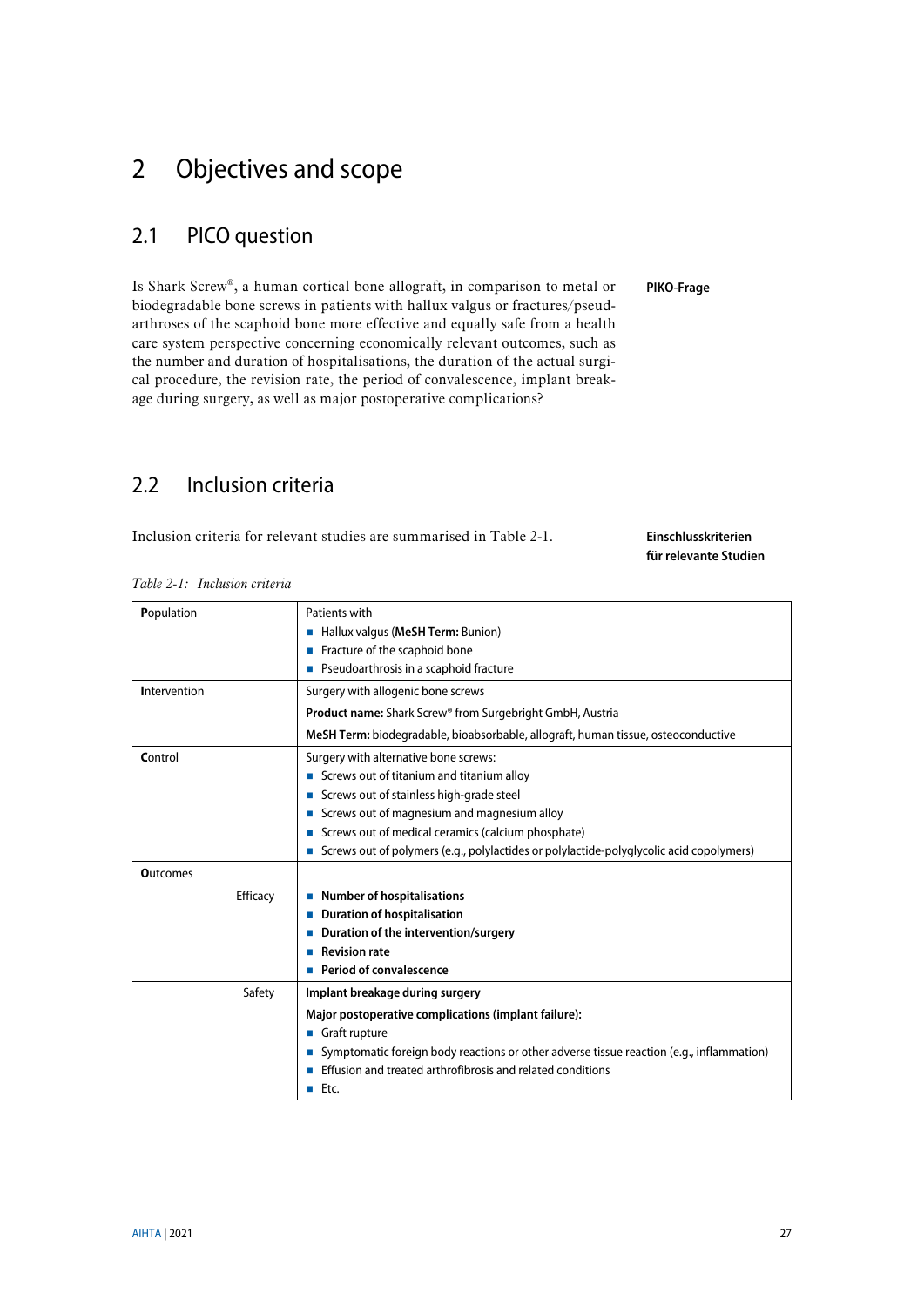# <span id="page-26-0"></span>2 Objectives and scope

## <span id="page-26-1"></span>2.1 PICO question

Is Shark Screw®, a human cortical bone allograft, in comparison to metal or biodegradable bone screws in patients with hallux valgus or fractures/pseudarthroses of the scaphoid bone more effective and equally safe from a health care system perspective concerning economically relevant outcomes, such as the number and duration of hospitalisations, the duration of the actual surgical procedure, the revision rate, the period of convalescence, implant breakage during surgery, as well as major postoperative complications?

## <span id="page-26-2"></span>2.2 Inclusion criteria

Inclusion criteria for relevant studies are summarised in [Table 2-1.](#page-26-3)

**Einschlusskriterien für relevante Studien**

**PIKO-Frage**

<span id="page-26-3"></span>

|  | Table 2-1: Inclusion criteria |  |
|--|-------------------------------|--|
|  |                               |  |

|                 | Patients with                                                                            |
|-----------------|------------------------------------------------------------------------------------------|
| Population      |                                                                                          |
|                 | Hallux valgus (MeSH Term: Bunion)                                                        |
|                 | Fracture of the scaphoid bone                                                            |
|                 | ■ Pseudoarthrosis in a scaphoid fracture                                                 |
| Intervention    | Surgery with allogenic bone screws                                                       |
|                 | <b>Product name:</b> Shark Screw® from Surgebright GmbH, Austria                         |
|                 | MeSH Term: biodegradable, bioabsorbable, allograft, human tissue, osteoconductive        |
| Control         | Surgery with alternative bone screws:                                                    |
|                 | ■ Screws out of titanium and titanium alloy                                              |
|                 | Screws out of stainless high-grade steel                                                 |
|                 | Screws out of magnesium and magnesium alloy                                              |
|                 | Screws out of medical ceramics (calcium phosphate)                                       |
|                 | Screws out of polymers (e.g., polylactides or polylactide-polyglycolic acid copolymers)  |
| <b>Outcomes</b> |                                                                                          |
| Efficacy        | ■ Number of hospitalisations                                                             |
|                 | <b>Duration of hospitalisation</b>                                                       |
|                 | Duration of the intervention/surgery                                                     |
|                 | <b>Revision rate</b>                                                                     |
|                 | Period of convalescence                                                                  |
| Safety          | Implant breakage during surgery                                                          |
|                 | Major postoperative complications (implant failure):                                     |
|                 | Graft rupture                                                                            |
|                 | Symptomatic foreign body reactions or other adverse tissue reaction (e.g., inflammation) |
|                 | Effusion and treated arthrofibrosis and related conditions                               |
|                 | $EctC$ .                                                                                 |
|                 |                                                                                          |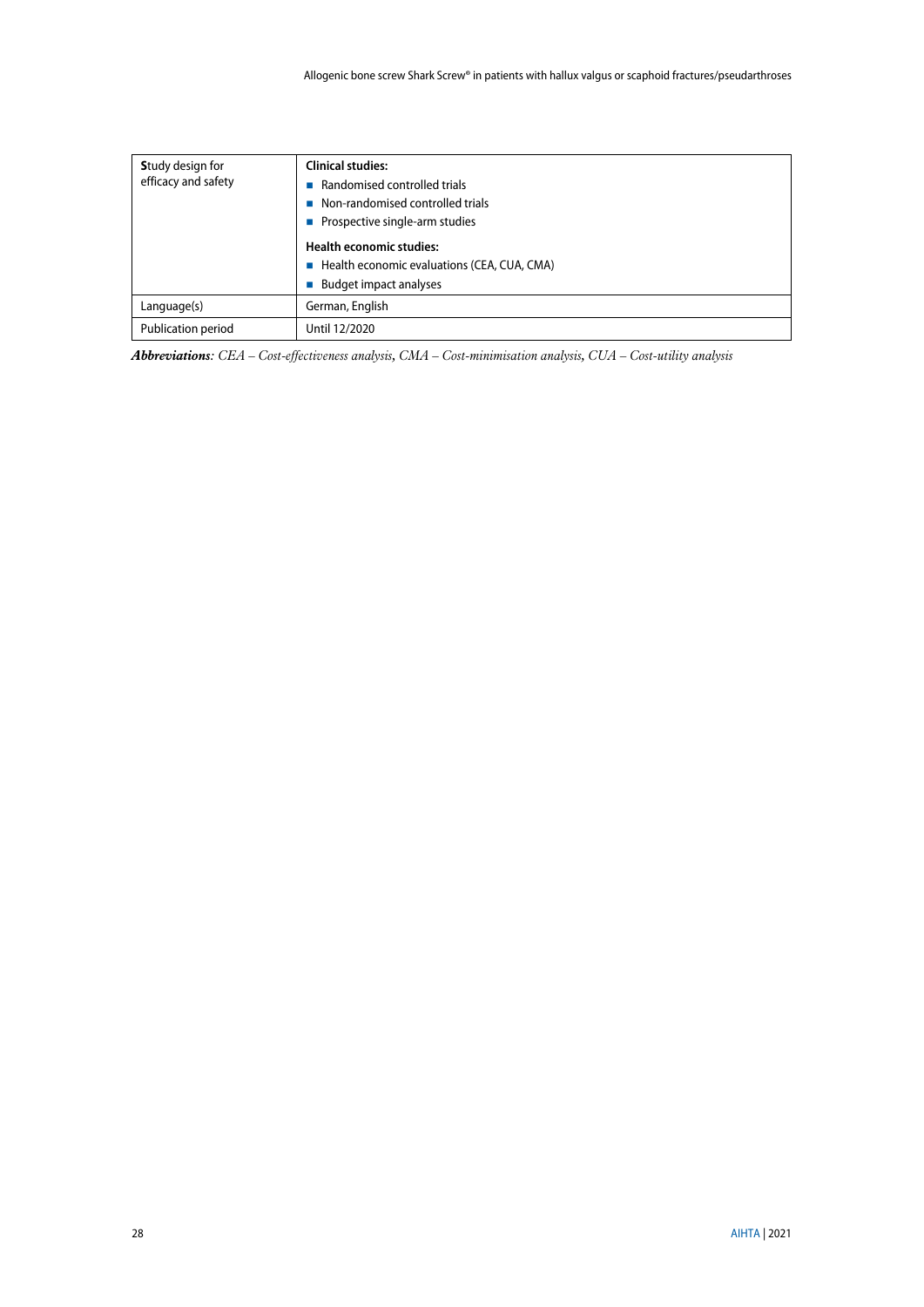| <b>Study design for</b><br>efficacy and safety | <b>Clinical studies:</b><br>Randomised controlled trials<br>Non-randomised controlled trials |
|------------------------------------------------|----------------------------------------------------------------------------------------------|
|                                                | ■ Prospective single-arm studies                                                             |
|                                                | <b>Health economic studies:</b>                                                              |
|                                                | ■ Health economic evaluations (CEA, CUA, CMA)                                                |
|                                                | <b>Budget impact analyses</b>                                                                |
| Language(s)                                    | German, English                                                                              |
| Publication period                             | Until 12/2020                                                                                |

*Abbreviations: CEA – Cost-effectiveness analysis, CMA – Cost-minimisation analysis, CUA – Cost-utility analysis*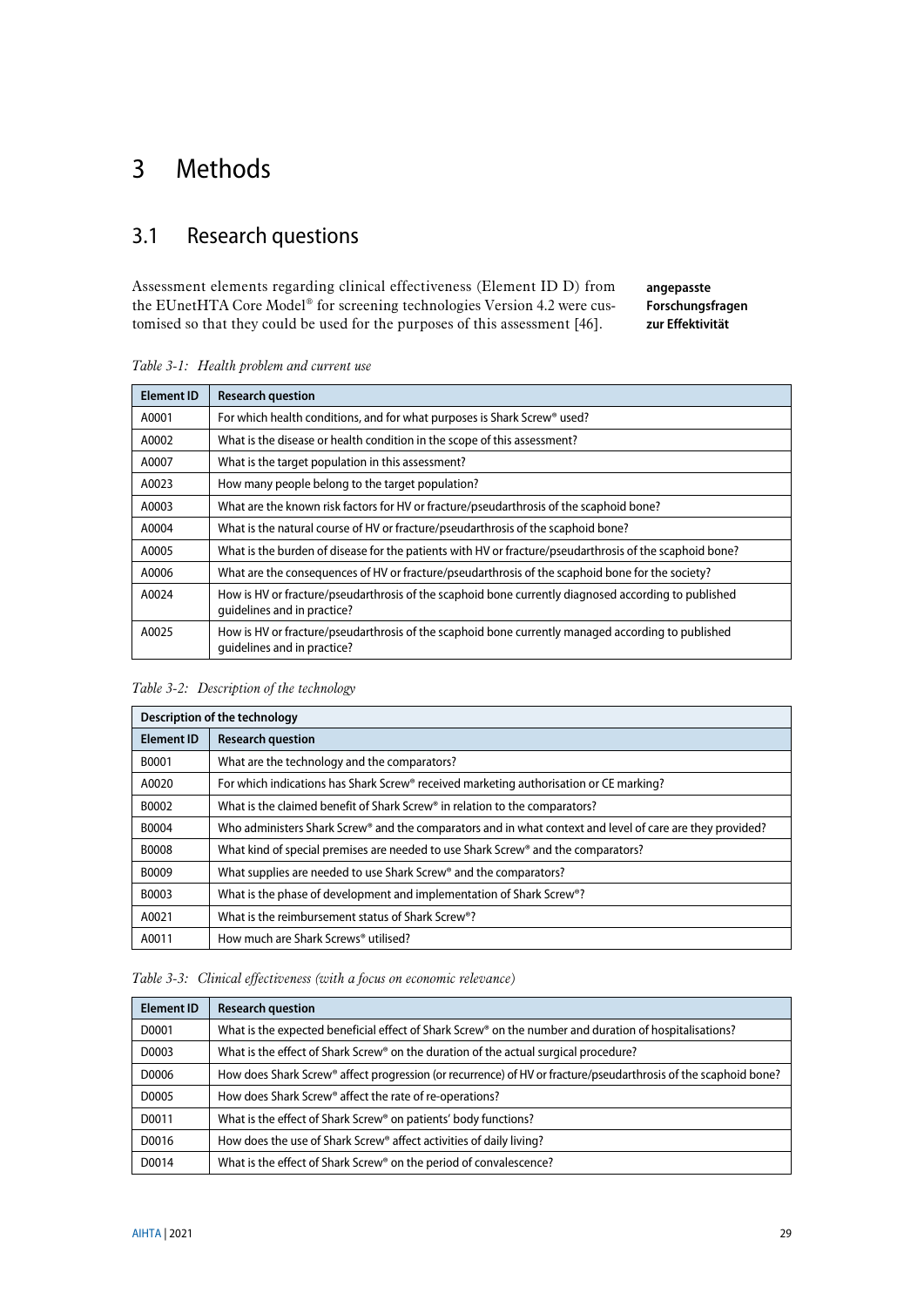# <span id="page-28-0"></span>3 Methods

## <span id="page-28-1"></span>3.1 Research questions

Assessment elements regarding clinical effectiveness (Element ID D) from the EUnetHTA Core Model® for screening technologies Version 4.2 were customised so that they could be used for the purposes of this assessment [\[46\].](#page-42-1) **angepasste Forschungsfragen zur Effektivität**

**Element ID Research question** A0001 For which health conditions, and for what purposes is Shark Screw® used? A0002 What is the disease or health condition in the scope of this assessment? A0007 What is the target population in this assessment? A0023 How many people belong to the target population? A0003 What are the known risk factors for HV or fracture/pseudarthrosis of the scaphoid bone? A0004 What is the natural course of HV or fracture/pseudarthrosis of the scaphoid bone? A0005 What is the burden of disease for the patients with HV or fracture/pseudarthrosis of the scaphoid bone? A0006 What are the consequences of HV or fracture/pseudarthrosis of the scaphoid bone for the society? A0024 How is HV or fracture/pseudarthrosis of the scaphoid bone currently diagnosed according to published guidelines and in practice? A0025 How is HV or fracture/pseudarthrosis of the scaphoid bone currently managed according to published guidelines and in practice?

<span id="page-28-2"></span>

| Table 3-1: Health problem and current use |  |  |  |
|-------------------------------------------|--|--|--|
|-------------------------------------------|--|--|--|

<span id="page-28-3"></span>

| Description of the technology |                                                                                                           |  |  |
|-------------------------------|-----------------------------------------------------------------------------------------------------------|--|--|
| <b>Element ID</b>             | <b>Research question</b>                                                                                  |  |  |
| B0001                         | What are the technology and the comparators?                                                              |  |  |
| A0020                         | For which indications has Shark Screw® received marketing authorisation or CE marking?                    |  |  |
| B0002                         | What is the claimed benefit of Shark Screw® in relation to the comparators?                               |  |  |
| B0004                         | Who administers Shark Screw® and the comparators and in what context and level of care are they provided? |  |  |
| B0008                         | What kind of special premises are needed to use Shark Screw® and the comparators?                         |  |  |
| B0009                         | What supplies are needed to use Shark Screw® and the comparators?                                         |  |  |
| B0003                         | What is the phase of development and implementation of Shark Screw®?                                      |  |  |
| A0021                         | What is the reimbursement status of Shark Screw <sup>®</sup> ?                                            |  |  |
| A0011                         | How much are Shark Screws® utilised?                                                                      |  |  |

<span id="page-28-4"></span>*Table 3-3: Clinical effectiveness (with a focus on economic relevance)*

| <b>Element ID</b> | <b>Research question</b>                                                                                           |
|-------------------|--------------------------------------------------------------------------------------------------------------------|
| D0001             | What is the expected beneficial effect of Shark Screw <sup>®</sup> on the number and duration of hospitalisations? |
| D0003             | What is the effect of Shark Screw® on the duration of the actual surgical procedure?                               |
| D0006             | How does Shark Screw® affect progression (or recurrence) of HV or fracture/pseudarthrosis of the scaphoid bone?    |
| D0005             | How does Shark Screw® affect the rate of re-operations?                                                            |
| D0011             | What is the effect of Shark Screw® on patients' body functions?                                                    |
| D0016             | How does the use of Shark Screw® affect activities of daily living?                                                |
| D0014             | What is the effect of Shark Screw® on the period of convalescence?                                                 |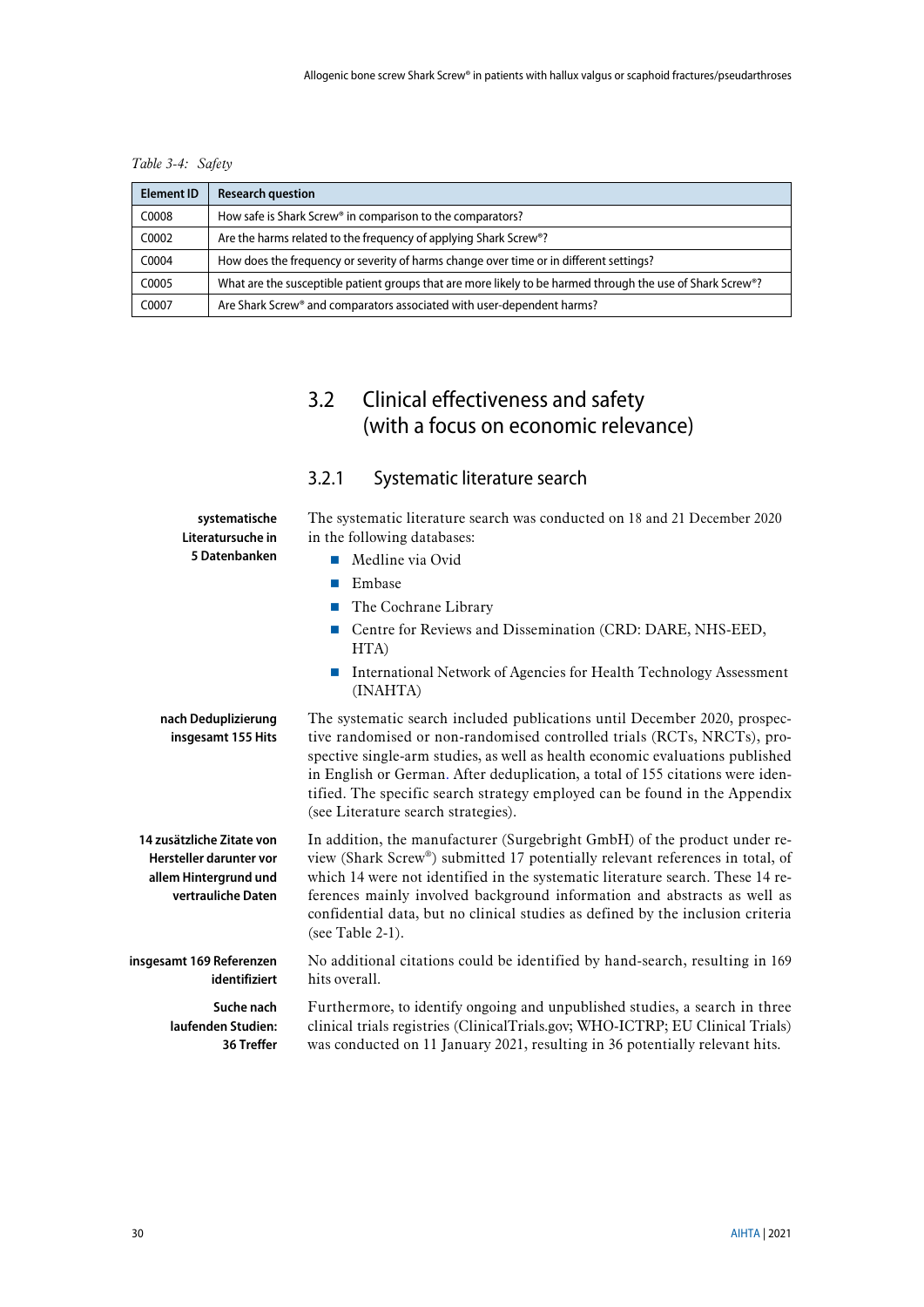<span id="page-29-2"></span>*Table 3-4: Safety*

| <b>Element ID</b> | <b>Research question</b>                                                                                   |
|-------------------|------------------------------------------------------------------------------------------------------------|
| C0008             | How safe is Shark Screw® in comparison to the comparators?                                                 |
| C0002             | Are the harms related to the frequency of applying Shark Screw <sup>®</sup> ?                              |
| C0004             | How does the frequency or severity of harms change over time or in different settings?                     |
| C0005             | What are the susceptible patient groups that are more likely to be harmed through the use of Shark Screw®? |
| C0007             | Are Shark Screw® and comparators associated with user-dependent harms?                                     |

# <span id="page-29-0"></span>3.2 Clinical effectiveness and safety (with a focus on economic relevance)

## <span id="page-29-1"></span>3.2.1 Systematic literature search

| systematische<br>Literatursuche in                                                                  | The systematic literature search was conducted on 18 and 21 December 2020<br>in the following databases:<br>Medline via Ovid<br><b>I</b>                                                                                                                                                                                                                                                                                                     |  |  |
|-----------------------------------------------------------------------------------------------------|----------------------------------------------------------------------------------------------------------------------------------------------------------------------------------------------------------------------------------------------------------------------------------------------------------------------------------------------------------------------------------------------------------------------------------------------|--|--|
| 5 Datenbanken                                                                                       |                                                                                                                                                                                                                                                                                                                                                                                                                                              |  |  |
|                                                                                                     | Embase<br>Ħ                                                                                                                                                                                                                                                                                                                                                                                                                                  |  |  |
|                                                                                                     | The Cochrane Library<br><b>The Second Service</b>                                                                                                                                                                                                                                                                                                                                                                                            |  |  |
|                                                                                                     | Centre for Reviews and Dissemination (CRD: DARE, NHS-EED,<br>HTA)                                                                                                                                                                                                                                                                                                                                                                            |  |  |
|                                                                                                     | International Network of Agencies for Health Technology Assessment<br>П<br>(INAHTA)                                                                                                                                                                                                                                                                                                                                                          |  |  |
| nach Deduplizierung<br>insgesamt 155 Hits                                                           | The systematic search included publications until December 2020, prospec-<br>tive randomised or non-randomised controlled trials (RCTs, NRCTs), pro-<br>spective single-arm studies, as well as health economic evaluations published<br>in English or German. After deduplication, a total of 155 citations were iden-<br>tified. The specific search strategy employed can be found in the Appendix<br>(see Literature search strategies). |  |  |
| 14 zusätzliche Zitate von<br>Hersteller darunter vor<br>allem Hintergrund und<br>vertrauliche Daten | In addition, the manufacturer (Surgebright GmbH) of the product under re-<br>view (Shark Screw®) submitted 17 potentially relevant references in total, of<br>which 14 were not identified in the systematic literature search. These 14 re-<br>ferences mainly involved background information and abstracts as well as<br>confidential data, but no clinical studies as defined by the inclusion criteria<br>(see Table $2-1$ ).           |  |  |
| insgesamt 169 Referenzen<br>identifiziert                                                           | No additional citations could be identified by hand-search, resulting in 169<br>hits overall.                                                                                                                                                                                                                                                                                                                                                |  |  |
| Suche nach<br>laufenden Studien:<br>36 Treffer                                                      | Furthermore, to identify ongoing and unpublished studies, a search in three<br>clinical trials registries (ClinicalTrials.gov; WHO-ICTRP; EU Clinical Trials)<br>was conducted on 11 January 2021, resulting in 36 potentially relevant hits.                                                                                                                                                                                                |  |  |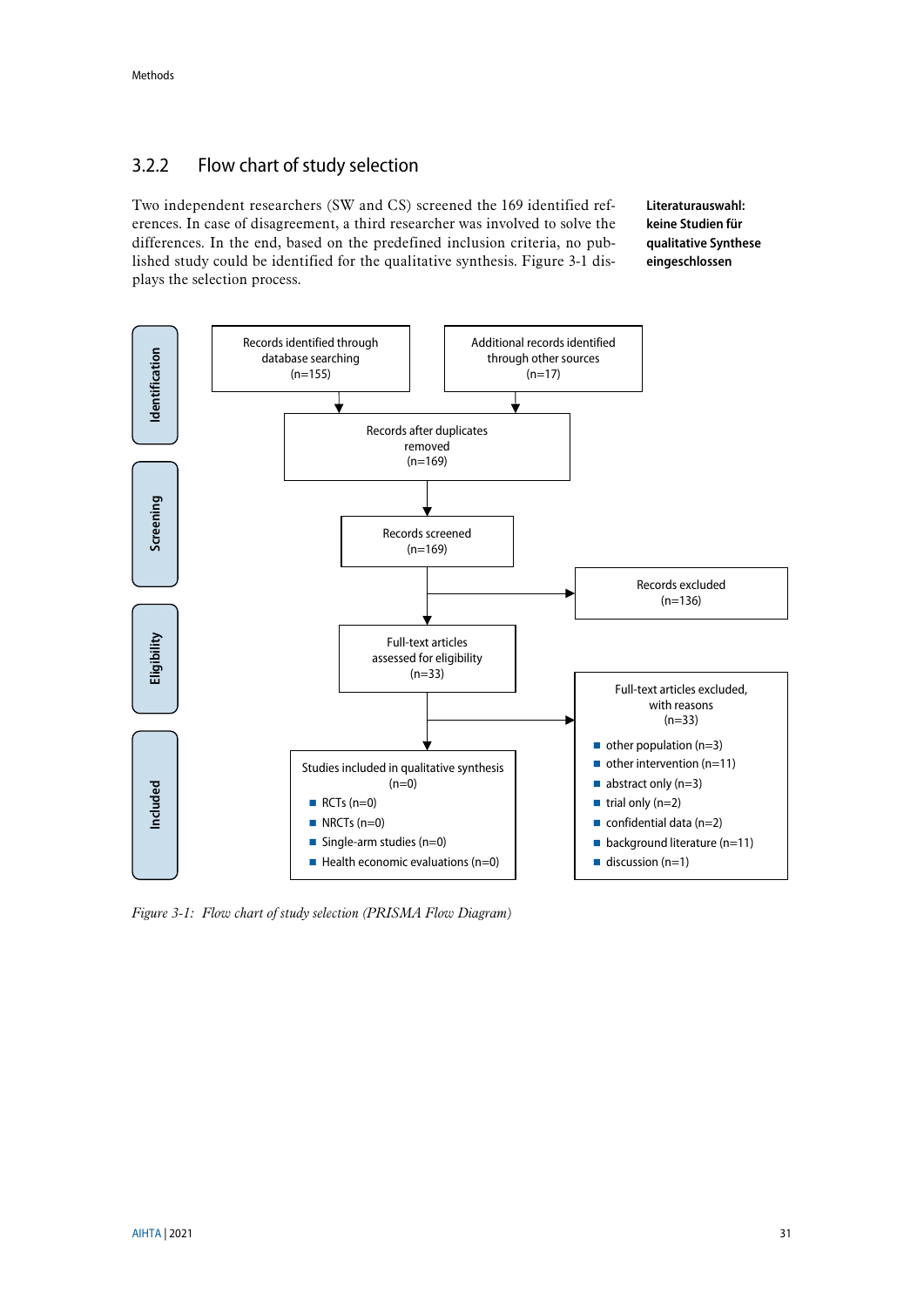## <span id="page-30-0"></span>3.2.2 Flow chart of study selection

Two independent researchers (SW and CS) screened the 169 identified references. In case of disagreement, a third researcher was involved to solve the differences. In the end, based on the predefined inclusion criteria, no published study could be identified for the qualitative synthesis. [Figure 3-1](#page-30-1) displays the selection process.

**Literaturauswahl: keine Studien für qualitative Synthese eingeschlossen**



<span id="page-30-1"></span>*Figure 3-1: Flow chart of study selection (PRISMA Flow Diagram)*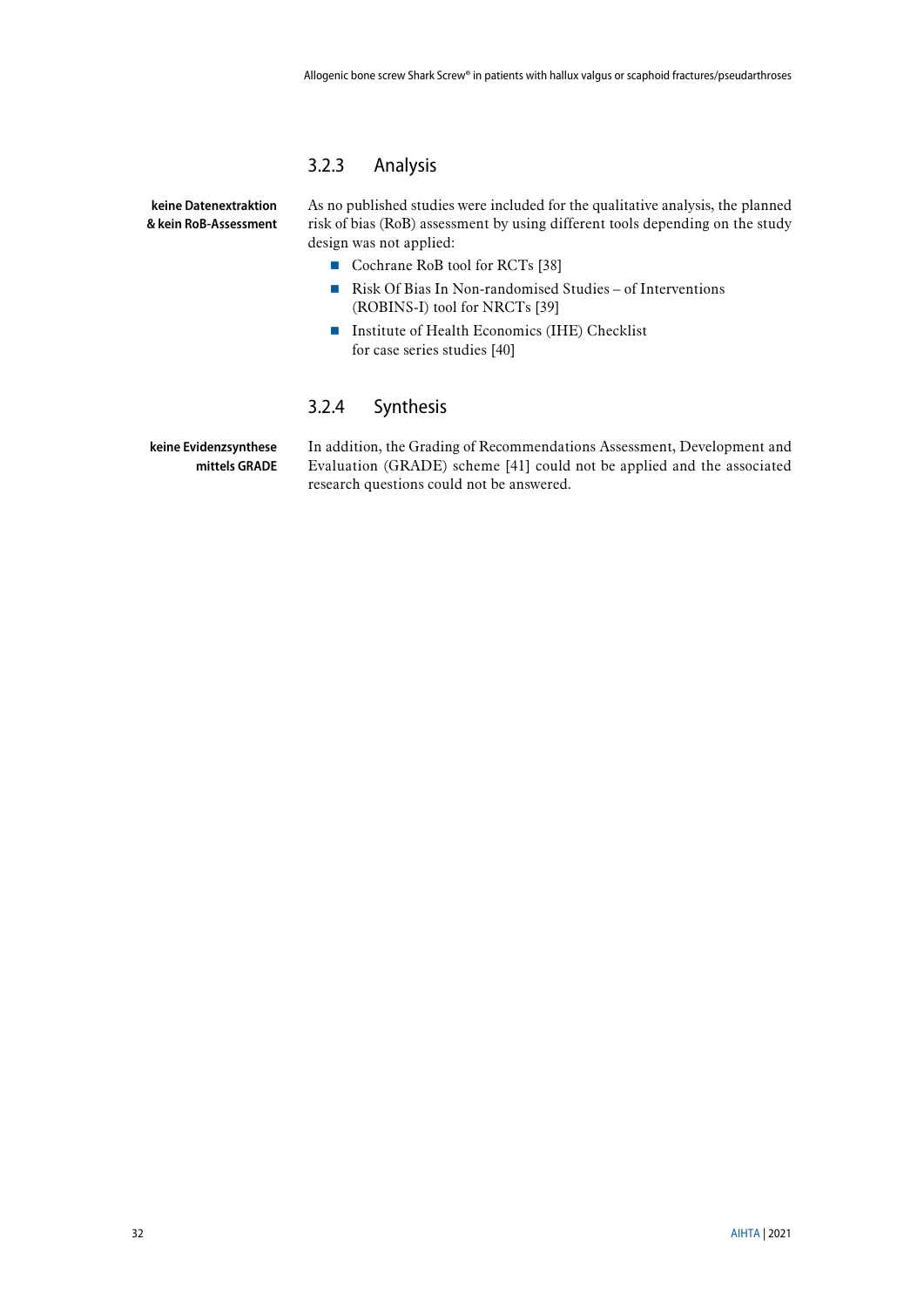### <span id="page-31-0"></span>3.2.3 Analysis

**keine Datenextraktion & kein RoB-Assessment** As no published studies were included for the qualitative analysis, the planned risk of bias (RoB) assessment by using different tools depending on the study design was not applied:

- Cochrane RoB tool for RCTs [\[38\]](#page-42-2)
- Risk Of Bias In Non-randomised Studies of Interventions (ROBINS-I) tool for NRCTs [\[39\]](#page-42-3)
- Institute of Health Economics (IHE) Checklist for case series studies [\[40\]](#page-42-4)

### <span id="page-31-1"></span>3.2.4 Synthesis

**keine Evidenzsynthese mittels GRADE** In addition, the Grading of Recommendations Assessment, Development and Evaluation (GRADE) scheme [\[41\]](#page-42-5) could not be applied and the associated research questions could not be answered.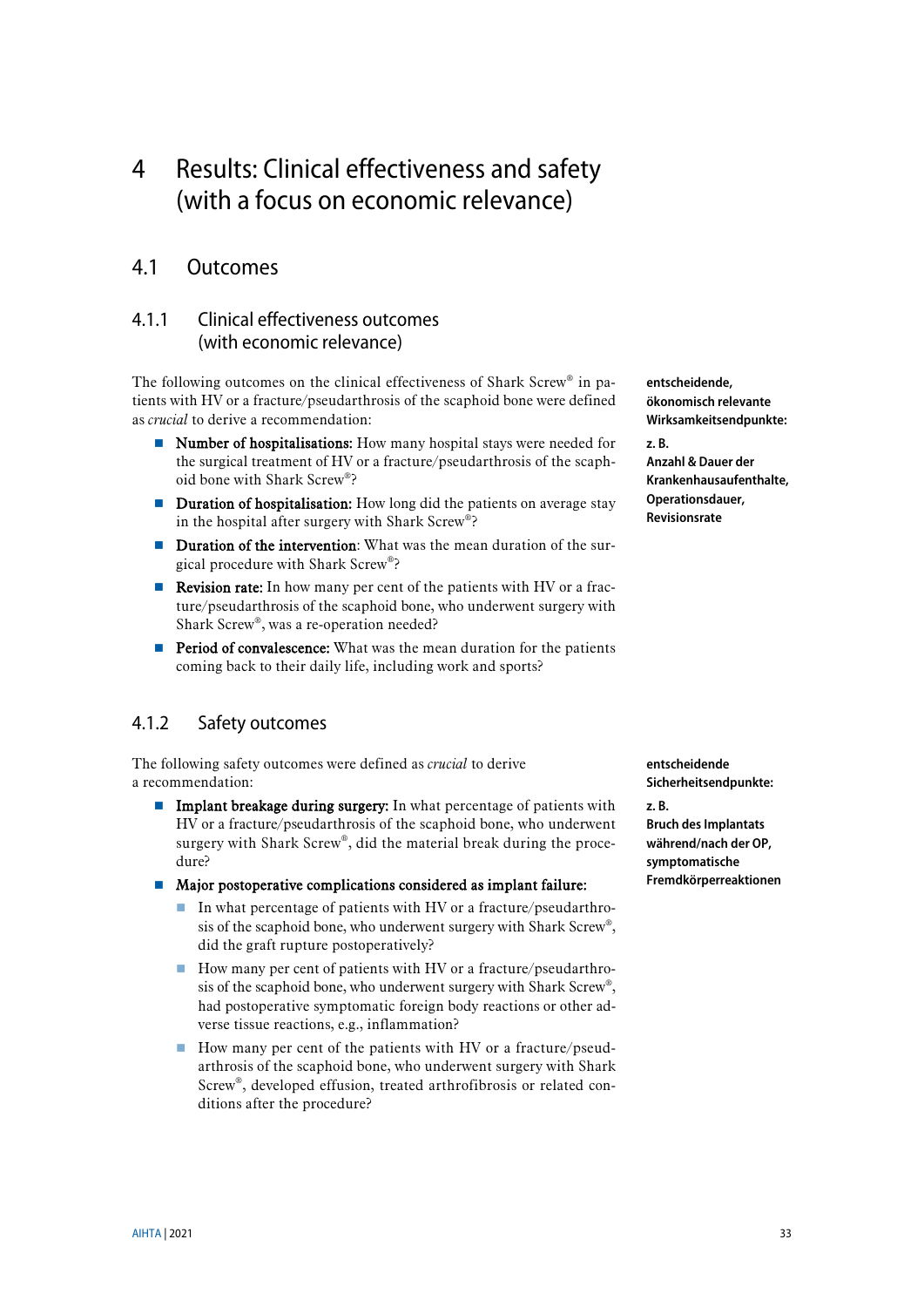# <span id="page-32-0"></span>4 Results: Clinical effectiveness and safety (with a focus on economic relevance)

## <span id="page-32-1"></span>4.1 Outcomes

## <span id="page-32-2"></span>4.1.1 Clinical effectiveness outcomes (with economic relevance)

The following outcomes on the clinical effectiveness of Shark Screw® in patients with HV or a fracture/pseudarthrosis of the scaphoid bone were defined as *crucial* to derive a recommendation:

- Number of hospitalisations: How many hospital stays were needed for the surgical treatment of HV or a fracture/pseudarthrosis of the scaphoid bone with Shark Screw®?
- **Duration of hospitalisation:** How long did the patients on average stay in the hospital after surgery with Shark Screw®?
- **Duration of the intervention:** What was the mean duration of the surgical procedure with Shark Screw®?
- Revision rate: In how many per cent of the patients with HV or a fracture/pseudarthrosis of the scaphoid bone, who underwent surgery with Shark Screw®, was a re-operation needed?
- **Period of convalescence:** What was the mean duration for the patients coming back to their daily life, including work and sports?

## <span id="page-32-3"></span>4.1.2 Safety outcomes

The following safety outcomes were defined as *crucial* to derive a recommendation:

- **Implant breakage during surgery:** In what percentage of patients with HV or a fracture/pseudarthrosis of the scaphoid bone, who underwent surgery with Shark Screw®, did the material break during the procedure?
- Major postoperative complications considered as implant failure:
	- In what percentage of patients with HV or a fracture/pseudarthrosis of the scaphoid bone, who underwent surgery with Shark Screw®, did the graft rupture postoperatively?
	- How many per cent of patients with HV or a fracture/pseudarthrosis of the scaphoid bone, who underwent surgery with Shark Screw®, had postoperative symptomatic foreign body reactions or other adverse tissue reactions, e.g., inflammation?
	- How many per cent of the patients with HV or a fracture/pseudarthrosis of the scaphoid bone, who underwent surgery with Shark Screw®, developed effusion, treated arthrofibrosis or related conditions after the procedure?

**entscheidende Sicherheitsendpunkte: z. B. Bruch des Implantats während/nach der OP, symptomatische Fremdkörperreaktionen**

**entscheidende, ökonomisch relevante Wirksamkeitsendpunkte:** 

**Anzahl & Dauer der Krankenhausaufenthalte, Operationsdauer, Revisionsrate**

**z. B.**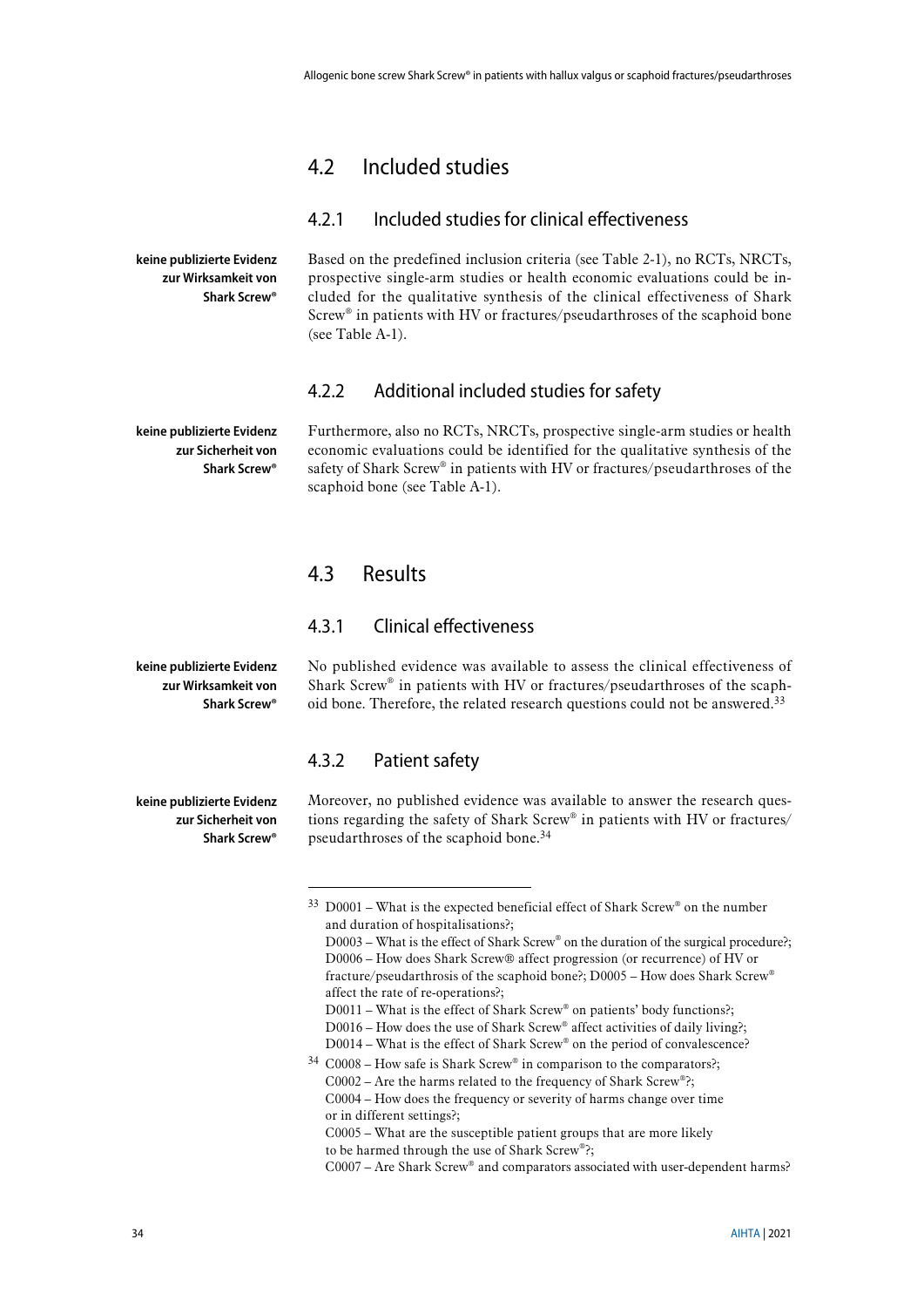## <span id="page-33-0"></span>4.2 Included studies

### <span id="page-33-1"></span>4.2.1 Included studies for clinical effectiveness

Based on the predefined inclusion criteria (see [Table 2-1\)](#page-26-3), no RCTs, NRCTs, prospective single-arm studies or health economic evaluations could be included for the qualitative synthesis of the clinical effectiveness of Shark Screw® in patients with HV or fractures/pseudarthroses of the scaphoid bone (se[e Table A-1\)](#page-44-2).

### <span id="page-33-2"></span>4.2.2 Additional included studies for safety

**keine publizierte Evidenz zur Sicherheit von Shark Screw®**

**keine publizierte Evidenz zur Wirksamkeit von Shark Screw®**

> Furthermore, also no RCTs, NRCTs, prospective single-arm studies or health economic evaluations could be identified for the qualitative synthesis of the safety of Shark Screw® in patients with HV or fractures/pseudarthroses of the scaphoid bone (see [Table A-1\)](#page-44-2).

## <span id="page-33-3"></span>4.3 Results

### <span id="page-33-4"></span>4.3.1 Clinical effectiveness

**keine publizierte Evidenz zur Wirksamkeit von Shark Screw®**

No published evidence was available to assess the clinical effectiveness of Shark Screw® in patients with HV or fractures/pseudarthroses of the scaphoid bone. Therefore, the related research questions could not be answered.<sup>33</sup>

### <span id="page-33-5"></span>4.3.2 Patient safety

<u>.</u>

Moreover, no published evidence was available to answer the research questions regarding the safety of Shark Screw® in patients with HV or fractures/ pseudarthroses of the scaphoid bone.<sup>34</sup>

- D0011 What is the effect of Shark Screw® on patients' body functions?;
- D0016 How does the use of Shark Screw® affect activities of daily living?;
- D0014 What is the effect of Shark Screw® on the period of convalescence?

C0005 – What are the susceptible patient groups that are more likely to be harmed through the use of Shark Screw®?;

**keine publizierte Evidenz** 

**zur Sicherheit von Shark Screw®**

 $33$  D0001 – What is the expected beneficial effect of Shark Screw® on the number and duration of hospitalisations?;

D0003 – What is the effect of Shark Screw® on the duration of the surgical procedure?; D0006 – How does Shark Screw® affect progression (or recurrence) of HV or fracture/pseudarthrosis of the scaphoid bone?; D0005 – How does Shark Screw® affect the rate of re-operations?;

 $34$  C0008 – How safe is Shark Screw® in comparison to the comparators?;  $C0002 -$  Are the harms related to the frequency of Shark Screw®?; C0004 – How does the frequency or severity of harms change over time or in different settings?;

C0007 – Are Shark Screw® and comparators associated with user-dependent harms?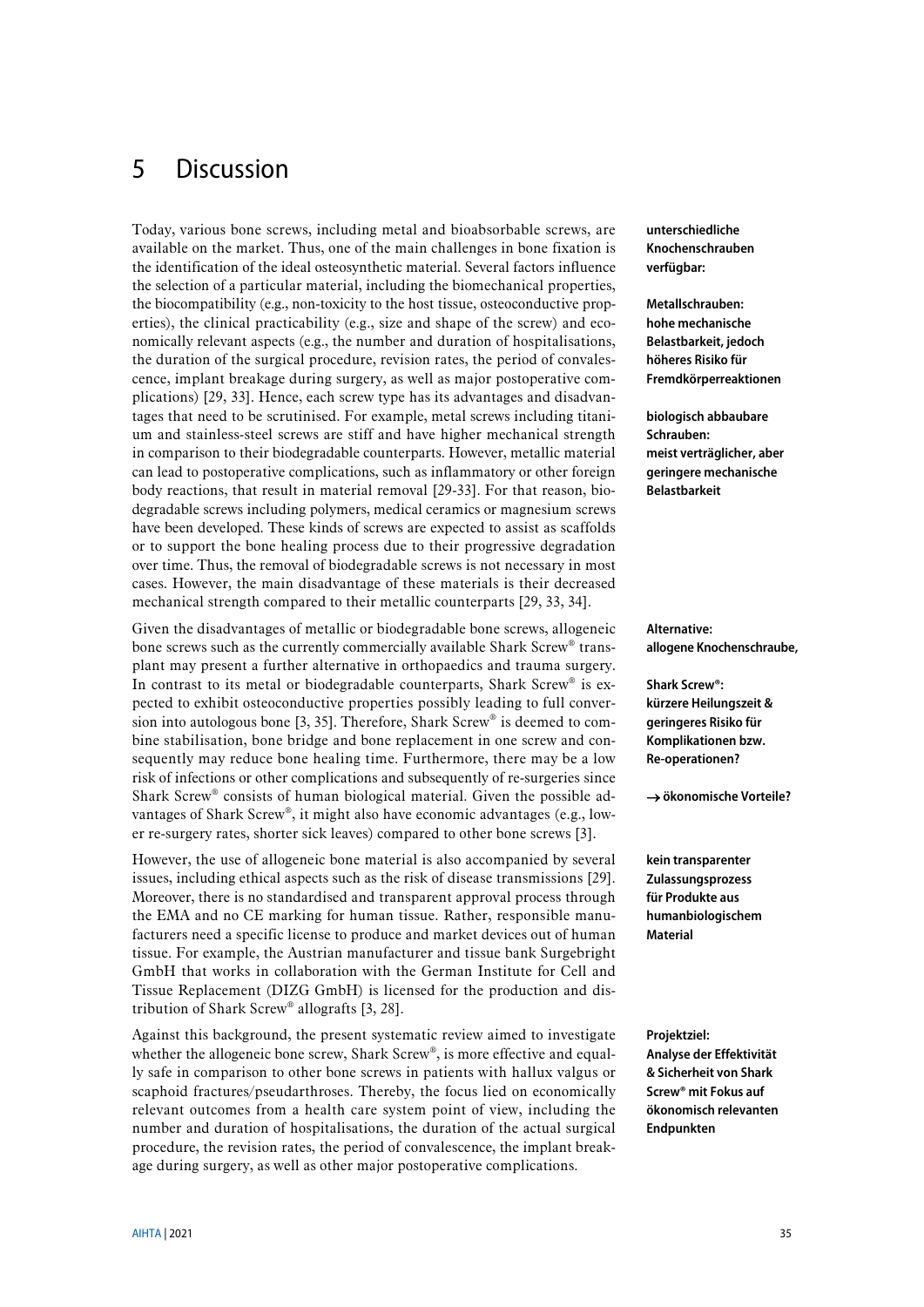# <span id="page-34-0"></span>5 Discussion

Today, various bone screws, including metal and bioabsorbable screws, are available on the market. Thus, one of the main challenges in bone fixation is the identification of the ideal osteosynthetic material. Several factors influence the selection of a particular material, including the biomechanical properties, the biocompatibility (e.g., non-toxicity to the host tissue, osteoconductive properties), the clinical practicability (e.g., size and shape of the screw) and economically relevant aspects (e.g., the number and duration of hospitalisations, the duration of the surgical procedure, revision rates, the period of convalescence, implant breakage during surgery, as well as major postoperative complications) [\[29,](#page-41-10) [33\]](#page-41-12). Hence, each screw type has its advantages and disadvantages that need to be scrutinised. For example, metal screws including titanium and stainless-steel screws are stiff and have higher mechanical strength in comparison to their biodegradable counterparts. However, metallic material can lead to postoperative complications, such as inflammatory or other foreign body reactions, that result in material removal [\[29-33\]](#page-41-10). For that reason, biodegradable screws including polymers, medical ceramics or magnesium screws have been developed. These kinds of screws are expected to assist as scaffolds or to support the bone healing process due to their progressive degradation over time. Thus, the removal of biodegradable screws is not necessary in most cases. However, the main disadvantage of these materials is their decreased mechanical strength compared to their metallic counterparts [\[29,](#page-41-10) [33,](#page-41-12) [34\]](#page-41-11).

Given the disadvantages of metallic or biodegradable bone screws, allogeneic bone screws such as the currently commercially available Shark Screw® transplant may present a further alternative in orthopaedics and trauma surgery. In contrast to its metal or biodegradable counterparts, Shark Screw<sup>®</sup> is expected to exhibit osteoconductive properties possibly leading to full conversion into autologous bone [\[3,](#page-40-7) [35\]](#page-41-13). Therefore, Shark Screw® is deemed to combine stabilisation, bone bridge and bone replacement in one screw and consequently may reduce bone healing time. Furthermore, there may be a low risk of infections or other complications and subsequently of re-surgeries since Shark Screw® consists of human biological material. Given the possible advantages of Shark Screw®, it might also have economic advantages (e.g., lower re-surgery rates, shorter sick leaves) compared to other bone screws [\[3\]](#page-40-7).

However, the use of allogeneic bone material is also accompanied by several issues, including ethical aspects such as the risk of disease transmissions [\[29\]](#page-41-10). Moreover, there is no standardised and transparent approval process through the EMA and no CE marking for human tissue. Rather, responsible manufacturers need a specific license to produce and market devices out of human tissue. For example, the Austrian manufacturer and tissue bank Surgebright GmbH that works in collaboration with the German Institute for Cell and Tissue Replacement (DIZG GmbH) is licensed for the production and distribution of Shark Screw® allografts [\[3,](#page-40-7) [28\]](#page-41-9).

Against this background, the present systematic review aimed to investigate whether the allogeneic bone screw, Shark Screw®, is more effective and equally safe in comparison to other bone screws in patients with hallux valgus or scaphoid fractures/pseudarthroses. Thereby, the focus lied on economically relevant outcomes from a health care system point of view, including the number and duration of hospitalisations, the duration of the actual surgical procedure, the revision rates, the period of convalescence, the implant breakage during surgery, as well as other major postoperative complications.

**unterschiedliche Knochenschrauben verfügbar:**

**Metallschrauben: hohe mechanische Belastbarkeit, jedoch höheres Risiko für Fremdkörperreaktionen**

**biologisch abbaubare Schrauben: meist verträglicher, aber geringere mechanische Belastbarkeit**

**Alternative: allogene Knochenschraube,** 

**Shark Screw®: kürzere Heilungszeit & geringeres Risiko für Komplikationen bzw. Re-operationen?**

→ **ökonomische Vorteile?**

**kein transparenter Zulassungsprozess für Produkte aus humanbiologischem Material**

**Projektziel: Analyse der Effektivität & Sicherheit von Shark Screw® mit Fokus auf ökonomisch relevanten Endpunkten**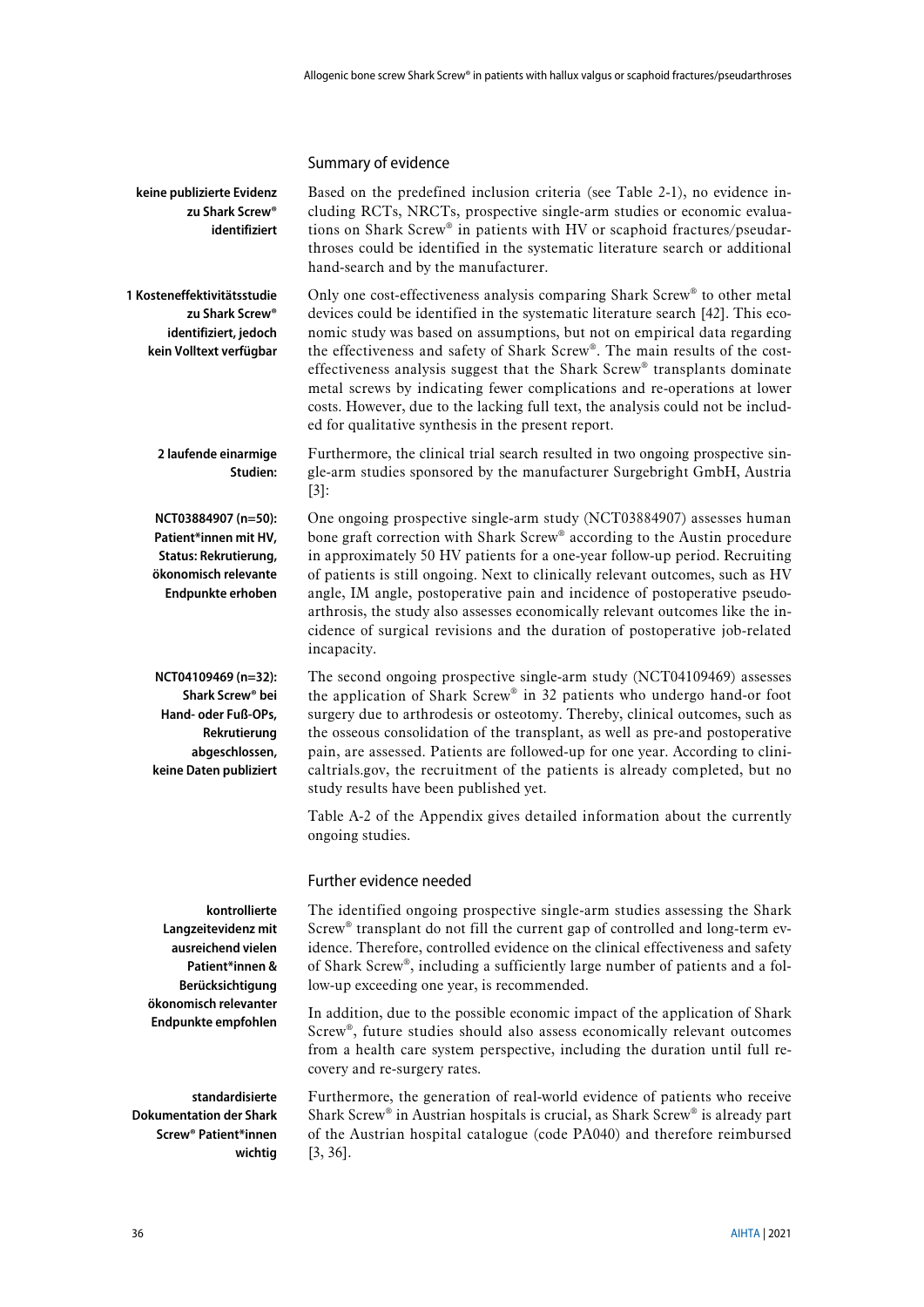#### Summary of evidence

Based on the predefined inclusion criteria (see [Table 2-1\)](#page-26-3), no evidence including RCTs, NRCTs, prospective single-arm studies or economic evaluations on Shark Screw® in patients with HV or scaphoid fractures/pseudarthroses could be identified in the systematic literature search or additional hand-search and by the manufacturer. **keine publizierte Evidenz zu Shark Screw® identifiziert**

Only one cost-effectiveness analysis comparing Shark Screw® to other metal devices could be identified in the systematic literature search [\[42\]](#page-42-6). This economic study was based on assumptions, but not on empirical data regarding the effectiveness and safety of Shark Screw®. The main results of the costeffectiveness analysis suggest that the Shark Screw® transplants dominate metal screws by indicating fewer complications and re-operations at lower costs. However, due to the lacking full text, the analysis could not be included for qualitative synthesis in the present report. **1 Kosteneffektivitätsstudie zu Shark Screw® identifiziert, jedoch kein Volltext verfügbar**

Furthermore, the clinical trial search resulted in two ongoing prospective single-arm studies sponsored by the manufacturer Surgebright GmbH, Austria [\[3\]](#page-40-7): **2 laufende einarmige Studien:**

**NCT03884907 (n=50): Patient\*innen mit HV, Status: Rekrutierung, ökonomisch relevante Endpunkte erhoben** One ongoing prospective single-arm study (NCT03884907) assesses human bone graft correction with Shark Screw® according to the Austin procedure in approximately 50 HV patients for a one-year follow-up period. Recruiting of patients is still ongoing. Next to clinically relevant outcomes, such as HV angle, IM angle, postoperative pain and incidence of postoperative pseudoarthrosis, the study also assesses economically relevant outcomes like the incidence of surgical revisions and the duration of postoperative job-related incapacity.

The second ongoing prospective single-arm study (NCT04109469) assesses the application of Shark Screw® in 32 patients who undergo hand-or foot surgery due to arthrodesis or osteotomy. Thereby, clinical outcomes, such as the osseous consolidation of the transplant, as well as pre-and postoperative pain, are assessed. Patients are followed-up for one year. According to clinicaltrials.gov, the recruitment of the patients is already completed, but no study results have been published yet. **NCT04109469 (n=32): Shark Screw® bei Hand- oder Fuß-OPs, Rekrutierung abgeschlossen, keine Daten publiziert**

> [Table A-2](#page-45-1) of the Appendix gives detailed information about the currently ongoing studies.

### Further evidence needed

The identified ongoing prospective single-arm studies assessing the Shark Screw® transplant do not fill the current gap of controlled and long-term evidence. Therefore, controlled evidence on the clinical effectiveness and safety of Shark Screw®, including a sufficiently large number of patients and a follow-up exceeding one year, is recommended.

In addition, due to the possible economic impact of the application of Shark Screw®, future studies should also assess economically relevant outcomes from a health care system perspective, including the duration until full recovery and re-surgery rates.

Furthermore, the generation of real-world evidence of patients who receive Shark Screw® in Austrian hospitals is crucial, as Shark Screw® is already part of the Austrian hospital catalogue (code PA040) and therefore reimbursed [\[3,](#page-40-7) [36\]](#page-41-14).

**kontrollierte Langzeitevidenz mit ausreichend vielen Patient\*innen & Berücksichtigung ökonomisch relevanter Endpunkte empfohlen**

**standardisierte Dokumentation der Shark Screw® Patient\*innen wichtig**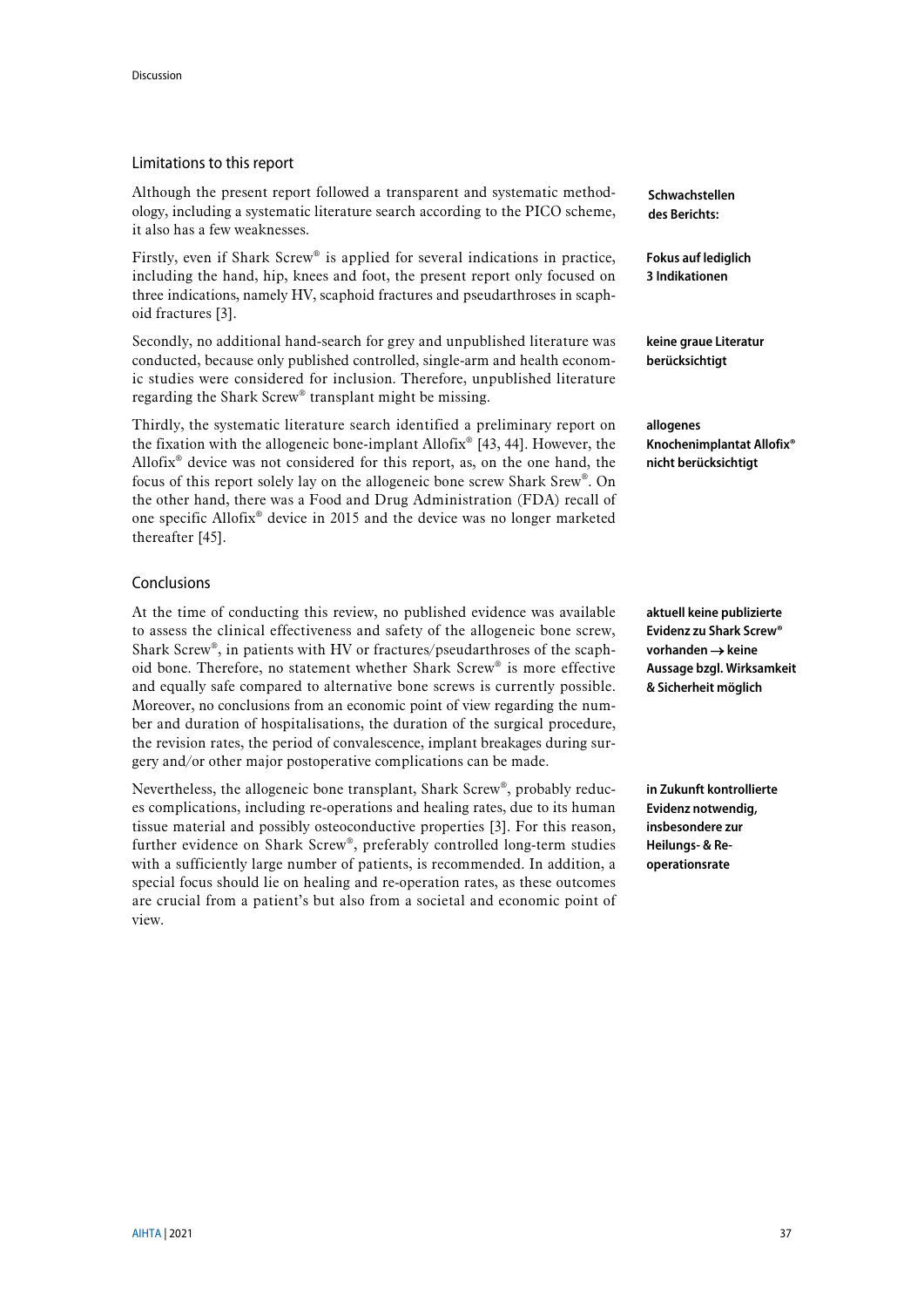### Limitations to this report

Although the present report followed a transparent and systematic methodology, including a systematic literature search according to the PICO scheme, it also has a few weaknesses.

Firstly, even if Shark Screw® is applied for several indications in practice, including the hand, hip, knees and foot, the present report only focused on three indications, namely HV, scaphoid fractures and pseudarthroses in scaphoid fractures [\[3\]](#page-40-7).

Secondly, no additional hand-search for grey and unpublished literature was conducted, because only published controlled, single-arm and health economic studies were considered for inclusion. Therefore, unpublished literature regarding the Shark Screw® transplant might be missing.

Thirdly, the systematic literature search identified a preliminary report on the fixation with the allogeneic bone-implant Allofix® [\[43,](#page-42-7) [44\]](#page-42-8). However, the Allofix® device was not considered for this report, as, on the one hand, the focus of this report solely lay on the allogeneic bone screw Shark Srew®. On the other hand, there was a Food and Drug Administration (FDA) recall of one specific Allofix® device in 2015 and the device was no longer marketed thereafter [\[45\]](#page-42-9).

### Conclusions

At the time of conducting this review, no published evidence was available to assess the clinical effectiveness and safety of the allogeneic bone screw, Shark Screw®, in patients with HV or fractures/pseudarthroses of the scaphoid bone. Therefore, no statement whether Shark Screw® is more effective and equally safe compared to alternative bone screws is currently possible. Moreover, no conclusions from an economic point of view regarding the number and duration of hospitalisations, the duration of the surgical procedure, the revision rates, the period of convalescence, implant breakages during surgery and/or other major postoperative complications can be made.

Nevertheless, the allogeneic bone transplant, Shark Screw®, probably reduces complications, including re-operations and healing rates, due to its human tissue material and possibly osteoconductive properties [\[3\]](#page-40-7). For this reason, further evidence on Shark Screw®, preferably controlled long-term studies with a sufficiently large number of patients, is recommended. In addition, a special focus should lie on healing and re-operation rates, as these outcomes are crucial from a patient's but also from a societal and economic point of view.

**Schwachstellen des Berichts:**

**Fokus auf lediglich 3 Indikationen**

**keine graue Literatur berücksichtigt**

**allogenes Knochenimplantat Allofix® nicht berücksichtigt**

**aktuell keine publizierte Evidenz zu Shark Screw® vorhanden** → **keine Aussage bzgl. Wirksamkeit & Sicherheit möglich**

**in Zukunft kontrollierte Evidenz notwendig, insbesondere zur Heilungs- & Reoperationsrate**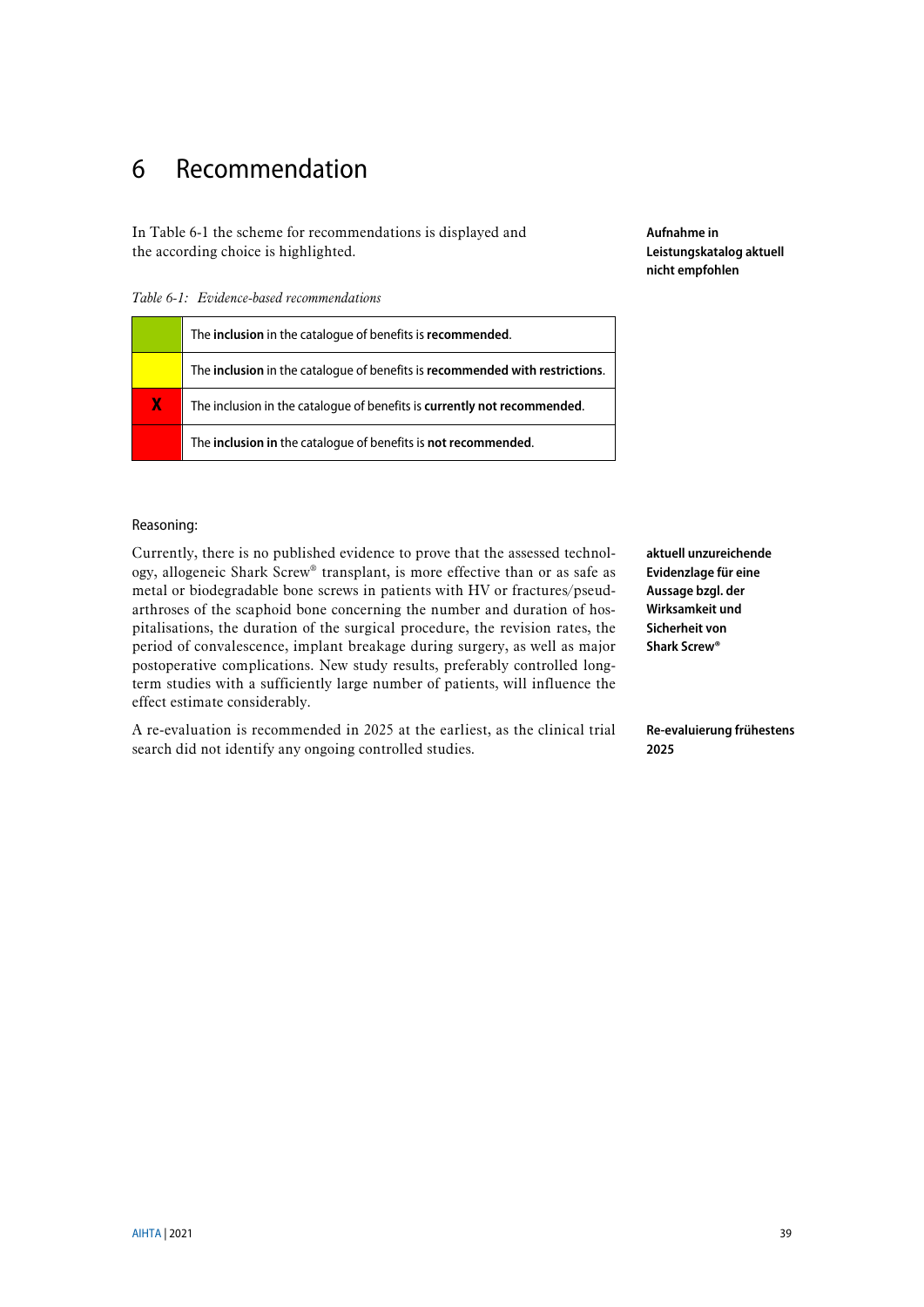# <span id="page-38-0"></span>6 Recommendation

I[n Table 6-1](#page-38-1) the scheme for recommendations is displayed and the according choice is highlighted.

<span id="page-38-1"></span>*Table 6-1: Evidence-based recommendations*

|    | The <b>inclusion</b> in the catalogue of benefits is <b>recommended</b> .    |
|----|------------------------------------------------------------------------------|
|    | The inclusion in the catalogue of benefits is recommended with restrictions. |
| X. | The inclusion in the catalogue of benefits is currently not recommended.     |
|    | The inclusion in the catalogue of benefits is not recommended.               |

**Aufnahme in Leistungskatalog aktuell nicht empfohlen**

### Reasoning:

Currently, there is no published evidence to prove that the assessed technology, allogeneic Shark Screw® transplant, is more effective than or as safe as metal or biodegradable bone screws in patients with HV or fractures/pseudarthroses of the scaphoid bone concerning the number and duration of hospitalisations, the duration of the surgical procedure, the revision rates, the period of convalescence, implant breakage during surgery, as well as major postoperative complications. New study results, preferably controlled longterm studies with a sufficiently large number of patients, will influence the effect estimate considerably.

A re-evaluation is recommended in 2025 at the earliest, as the clinical trial search did not identify any ongoing controlled studies.

**aktuell unzureichende Evidenzlage für eine Aussage bzgl. der Wirksamkeit und Sicherheit von Shark Screw®**

**Re-evaluierung frühestens 2025**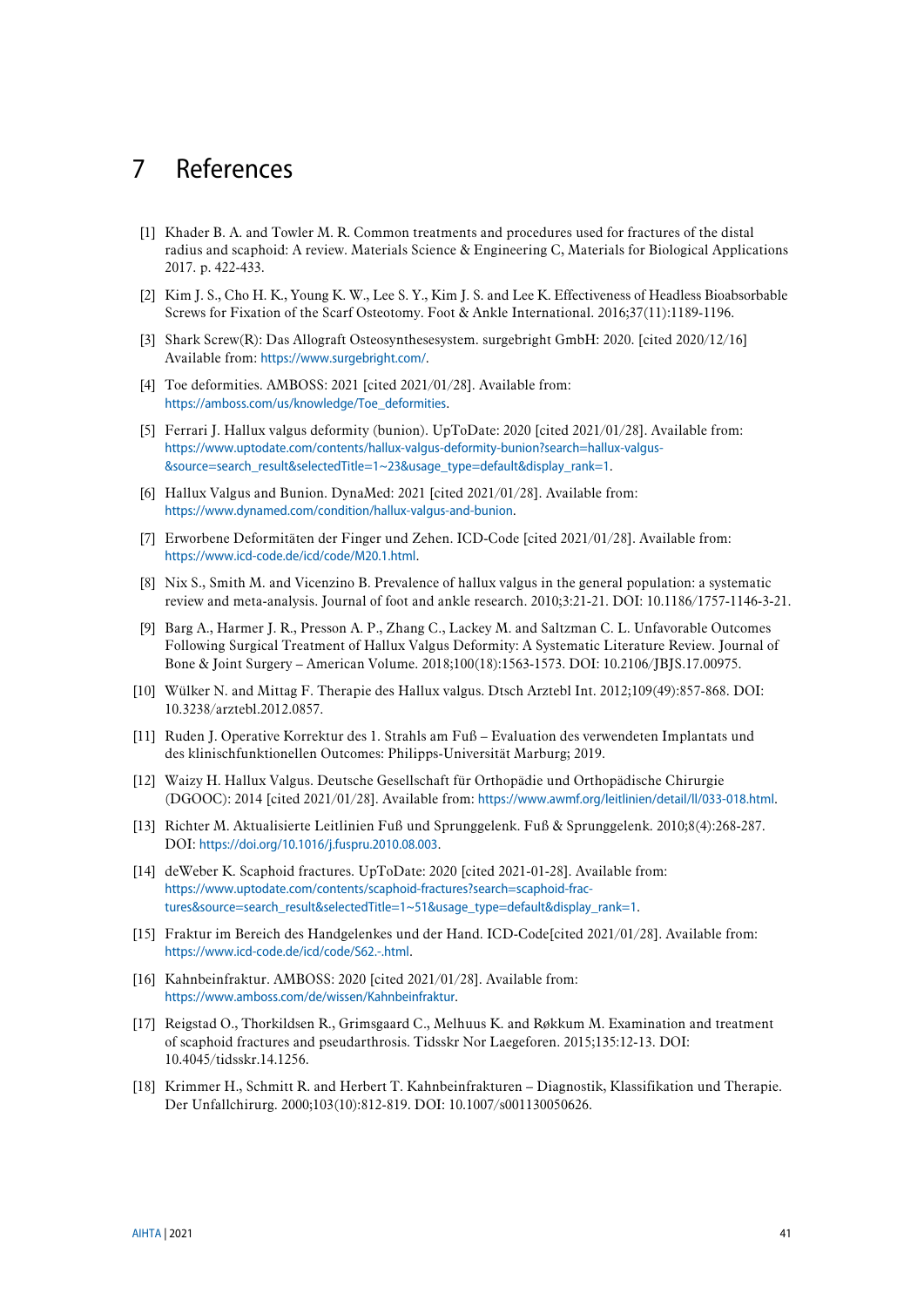# <span id="page-40-18"></span><span id="page-40-0"></span>7 References

- <span id="page-40-12"></span>[1] Khader B. A. and Towler M. R. Common treatments and procedures used for fractures of the distal radius and scaphoid: A review. Materials Science & Engineering C, Materials for Biological Applications 2017. p. 422-433.
- <span id="page-40-9"></span>[2] Kim J. S., Cho H. K., Young K. W., Lee S. Y., Kim J. S. and Lee K. Effectiveness of Headless Bioabsorbable Screws for Fixation of the Scarf Osteotomy. Foot & Ankle International. 2016;37(11):1189-1196.
- <span id="page-40-7"></span>[3] Shark Screw(R): Das Allograft Osteosynthesesystem. surgebright GmbH: 2020. [cited 2020/12/16] Available from: <https://www.surgebright.com/>.
- <span id="page-40-1"></span>[4] Toe deformities. AMBOSS: 2021 [cited 2021/01/28]. Available from: [https://amboss.com/us/knowledge/Toe\\_deformities](https://amboss.com/us/knowledge/Toe_deformities).
- <span id="page-40-2"></span>[5] Ferrari J. Hallux valgus deformity (bunion). UpToDate: 2020 [cited 2021/01/28]. Available from: [https://www.uptodate.com/contents/hallux-valgus-deformity-bunion?search=hallux-valgus-](https://www.uptodate.com/contents/hallux-valgus-deformity-bunion?search=hallux-valgus-&source=search_result&selectedTitle=1~23&usage_type=default&display_rank=1) [&source=search\\_result&selectedTitle=1~23&usage\\_type=default&display\\_rank=1](https://www.uptodate.com/contents/hallux-valgus-deformity-bunion?search=hallux-valgus-&source=search_result&selectedTitle=1~23&usage_type=default&display_rank=1).
- <span id="page-40-3"></span>[6] Hallux Valgus and Bunion. DynaMed: 2021 [cited 2021/01/28]. Available from: <https://www.dynamed.com/condition/hallux-valgus-and-bunion>.
- <span id="page-40-4"></span>[7] Erworbene Deformitäten der Finger und Zehen. ICD-Code [cited 2021/01/28]. Available from: <https://www.icd-code.de/icd/code/M20.1.html>.
- <span id="page-40-5"></span>[8] Nix S., Smith M. and Vicenzino B. Prevalence of hallux valgus in the general population: a systematic review and meta-analysis. Journal of foot and ankle research. 2010;3:21-21. DOI: 10.1186/1757-1146-3-21.
- <span id="page-40-6"></span>[9] Barg A., Harmer J. R., Presson A. P., Zhang C., Lackey M. and Saltzman C. L. Unfavorable Outcomes Following Surgical Treatment of Hallux Valgus Deformity: A Systematic Literature Review. Journal of Bone & Joint Surgery – American Volume. 2018;100(18):1563-1573. DOI: 10.2106/JBJS.17.00975.
- <span id="page-40-8"></span>[10] Wülker N. and Mittag F. Therapie des Hallux valgus. Dtsch Arztebl Int. 2012;109(49):857-868. DOI: 10.3238/arztebl.2012.0857.
- <span id="page-40-10"></span>[11] Ruden J. Operative Korrektur des 1. Strahls am Fuß – Evaluation des verwendeten Implantats und des klinischfunktionellen Outcomes: Philipps-Universität Marburg; 2019.
- <span id="page-40-11"></span>[12] Waizy H. Hallux Valgus. Deutsche Gesellschaft für Orthopädie und Orthopädische Chirurgie (DGOOC): 2014 [cited 2021/01/28]. Available from: <https://www.awmf.org/leitlinien/detail/ll/033-018.html>.
- [13] Richter M. Aktualisierte Leitlinien Fuß und Sprunggelenk. Fuß & Sprunggelenk. 2010;8(4):268-287. DOI: <https://doi.org/10.1016/j.fuspru.2010.08.003>.
- <span id="page-40-13"></span>[14] deWeber K. Scaphoid fractures. UpToDate: 2020 [cited 2021-01-28]. Available from: [https://www.uptodate.com/contents/scaphoid-fractures?search=scaphoid-frac](https://www.uptodate.com/contents/scaphoid-fractures?search=scaphoid-frac-tures&source=search_result&selectedTitle=1~51&usage_type=default&display_rank=1)[tures&source=search\\_result&selectedTitle=1~51&usage\\_type=default&display\\_rank=1](https://www.uptodate.com/contents/scaphoid-fractures?search=scaphoid-frac-tures&source=search_result&selectedTitle=1~51&usage_type=default&display_rank=1).
- <span id="page-40-14"></span>[15] Fraktur im Bereich des Handgelenkes und der Hand. ICD-Code[cited 2021/01/28]. Available from: <https://www.icd-code.de/icd/code/S62.-.html>.
- <span id="page-40-15"></span>[16] Kahnbeinfraktur. AMBOSS: 2020 [cited 2021/01/28]. Available from: <https://www.amboss.com/de/wissen/Kahnbeinfraktur>.
- <span id="page-40-16"></span>[17] Reigstad O., Thorkildsen R., Grimsgaard C., Melhuus K. and Røkkum M. Examination and treatment of scaphoid fractures and pseudarthrosis. Tidsskr Nor Laegeforen. 2015;135:12-13. DOI: 10.4045/tidsskr.14.1256.
- <span id="page-40-17"></span>[18] Krimmer H., Schmitt R. and Herbert T. Kahnbeinfrakturen – Diagnostik, Klassifikation und Therapie. Der Unfallchirurg. 2000;103(10):812-819. DOI: 10.1007/s001130050626.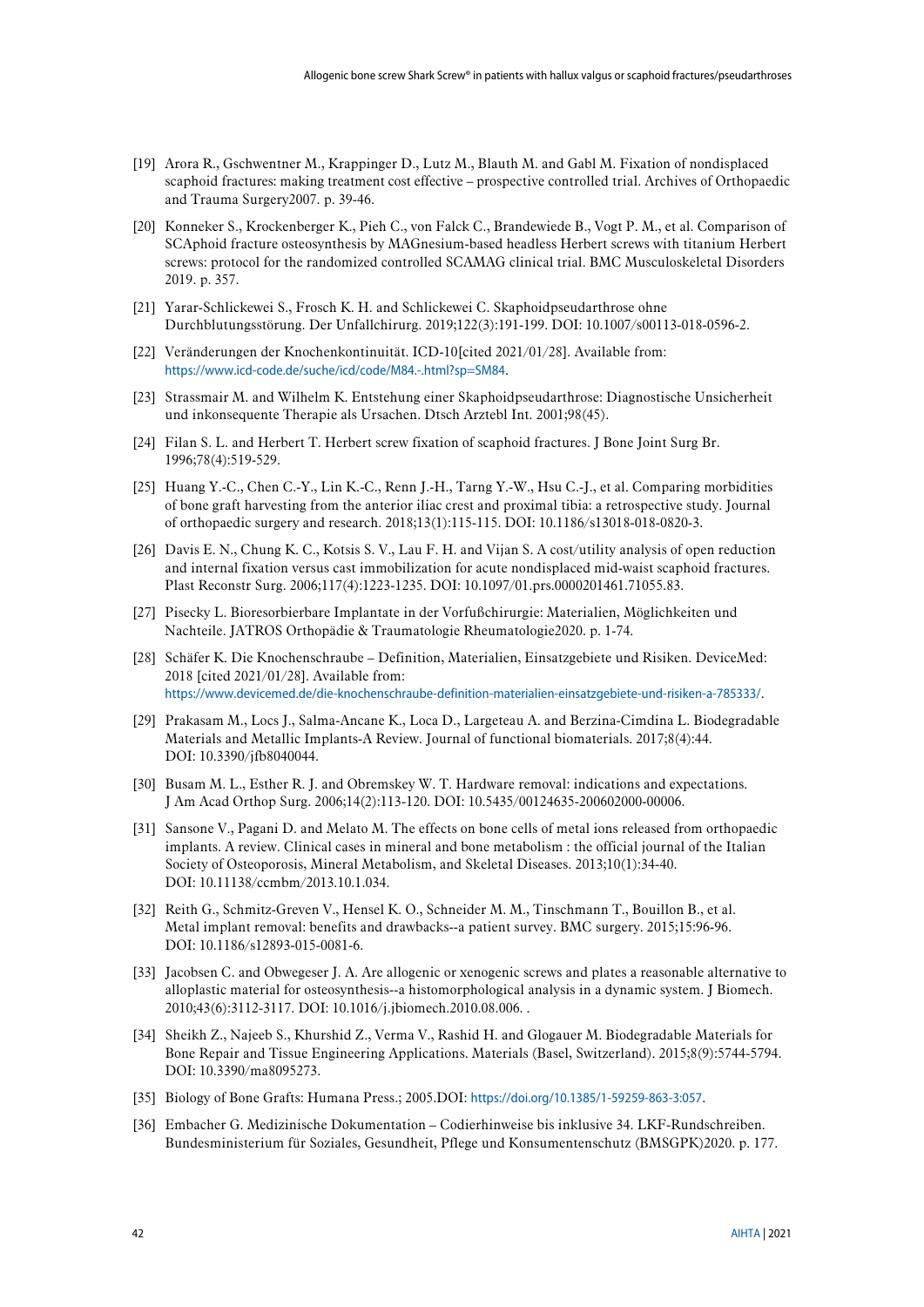- <span id="page-41-0"></span>[19] Arora R., Gschwentner M., Krappinger D., Lutz M., Blauth M. and Gabl M. Fixation of nondisplaced scaphoid fractures: making treatment cost effective – prospective controlled trial. Archives of Orthopaedic and Trauma Surgery2007. p. 39-46.
- <span id="page-41-1"></span>[20] Konneker S., Krockenberger K., Pieh C., von Falck C., Brandewiede B., Vogt P. M., et al. Comparison of SCAphoid fracture osteosynthesis by MAGnesium-based headless Herbert screws with titanium Herbert screws: protocol for the randomized controlled SCAMAG clinical trial. BMC Musculoskeletal Disorders 2019. p. 357.
- <span id="page-41-15"></span><span id="page-41-2"></span>[21] Yarar-Schlickewei S., Frosch K. H. and Schlickewei C. Skaphoidpseudarthrose ohne Durchblutungsstörung. Der Unfallchirurg. 2019;122(3):191-199. DOI: 10.1007/s00113-018-0596-2.
- <span id="page-41-3"></span>[22] Veränderungen der Knochenkontinuität. ICD-10[cited 2021/01/28]. Available from: <https://www.icd-code.de/suche/icd/code/M84.-.html?sp=SM84>.
- <span id="page-41-4"></span>[23] Strassmair M. and Wilhelm K. Entstehung einer Skaphoidpseudarthrose: Diagnostische Unsicherheit und inkonsequente Therapie als Ursachen. Dtsch Arztebl Int. 2001;98(45).
- <span id="page-41-5"></span>[24] Filan S. L. and Herbert T. Herbert screw fixation of scaphoid fractures. J Bone Joint Surg Br. 1996;78(4):519-529.
- <span id="page-41-6"></span>[25] Huang Y.-C., Chen C.-Y., Lin K.-C., Renn J.-H., Tarng Y.-W., Hsu C.-J., et al. Comparing morbidities of bone graft harvesting from the anterior iliac crest and proximal tibia: a retrospective study. Journal of orthopaedic surgery and research. 2018;13(1):115-115. DOI: 10.1186/s13018-018-0820-3.
- <span id="page-41-7"></span>[26] Davis E. N., Chung K. C., Kotsis S. V., Lau F. H. and Vijan S. A cost/utility analysis of open reduction and internal fixation versus cast immobilization for acute nondisplaced mid-waist scaphoid fractures. Plast Reconstr Surg. 2006;117(4):1223-1235. DOI: 10.1097/01.prs.0000201461.71055.83.
- <span id="page-41-8"></span>[27] Pisecky L. Bioresorbierbare Implantate in der Vorfußchirurgie: Materialien, Möglichkeiten und Nachteile. JATROS Orthopädie & Traumatologie Rheumatologie2020. p. 1-74.
- <span id="page-41-9"></span>[28] Schäfer K. Die Knochenschraube – Definition, Materialien, Einsatzgebiete und Risiken. DeviceMed: 2018 [cited 2021/01/28]. Available from: <https://www.devicemed.de/die-knochenschraube-definition-materialien-einsatzgebiete-und-risiken-a-785333/>.
- <span id="page-41-10"></span>[29] Prakasam M., Locs J., Salma-Ancane K., Loca D., Largeteau A. and Berzina-Cimdina L. Biodegradable Materials and Metallic Implants-A Review. Journal of functional biomaterials. 2017;8(4):44. DOI: 10.3390/jfb8040044.
- [30] Busam M. L., Esther R. J. and Obremskey W. T. Hardware removal: indications and expectations. J Am Acad Orthop Surg. 2006;14(2):113-120. DOI: 10.5435/00124635-200602000-00006.
- [31] Sansone V., Pagani D. and Melato M. The effects on bone cells of metal ions released from orthopaedic implants. A review. Clinical cases in mineral and bone metabolism : the official journal of the Italian Society of Osteoporosis, Mineral Metabolism, and Skeletal Diseases. 2013;10(1):34-40. DOI: 10.11138/ccmbm/2013.10.1.034.
- [32] Reith G., Schmitz-Greven V., Hensel K. O., Schneider M. M., Tinschmann T., Bouillon B., et al. Metal implant removal: benefits and drawbacks--a patient survey. BMC surgery. 2015;15:96-96. DOI: 10.1186/s12893-015-0081-6.
- <span id="page-41-12"></span>[33] Jacobsen C. and Obwegeser J. A. Are allogenic or xenogenic screws and plates a reasonable alternative to alloplastic material for osteosynthesis--a histomorphological analysis in a dynamic system. J Biomech. 2010;43(6):3112-3117. DOI: 10.1016/j.jbiomech.2010.08.006. .
- <span id="page-41-11"></span>[34] Sheikh Z., Najeeb S., Khurshid Z., Verma V., Rashid H. and Glogauer M. Biodegradable Materials for Bone Repair and Tissue Engineering Applications. Materials (Basel, Switzerland). 2015;8(9):5744-5794. DOI: 10.3390/ma8095273.
- <span id="page-41-13"></span>[35] Biology of Bone Grafts: Humana Press.; 2005.DOI: <https://doi.org/10.1385/1-59259-863-3:057>.
- <span id="page-41-14"></span>[36] Embacher G. Medizinische Dokumentation – Codierhinweise bis inklusive 34. LKF-Rundschreiben. Bundesministerium für Soziales, Gesundheit, Pflege und Konsumentenschutz (BMSGPK)2020. p. 177.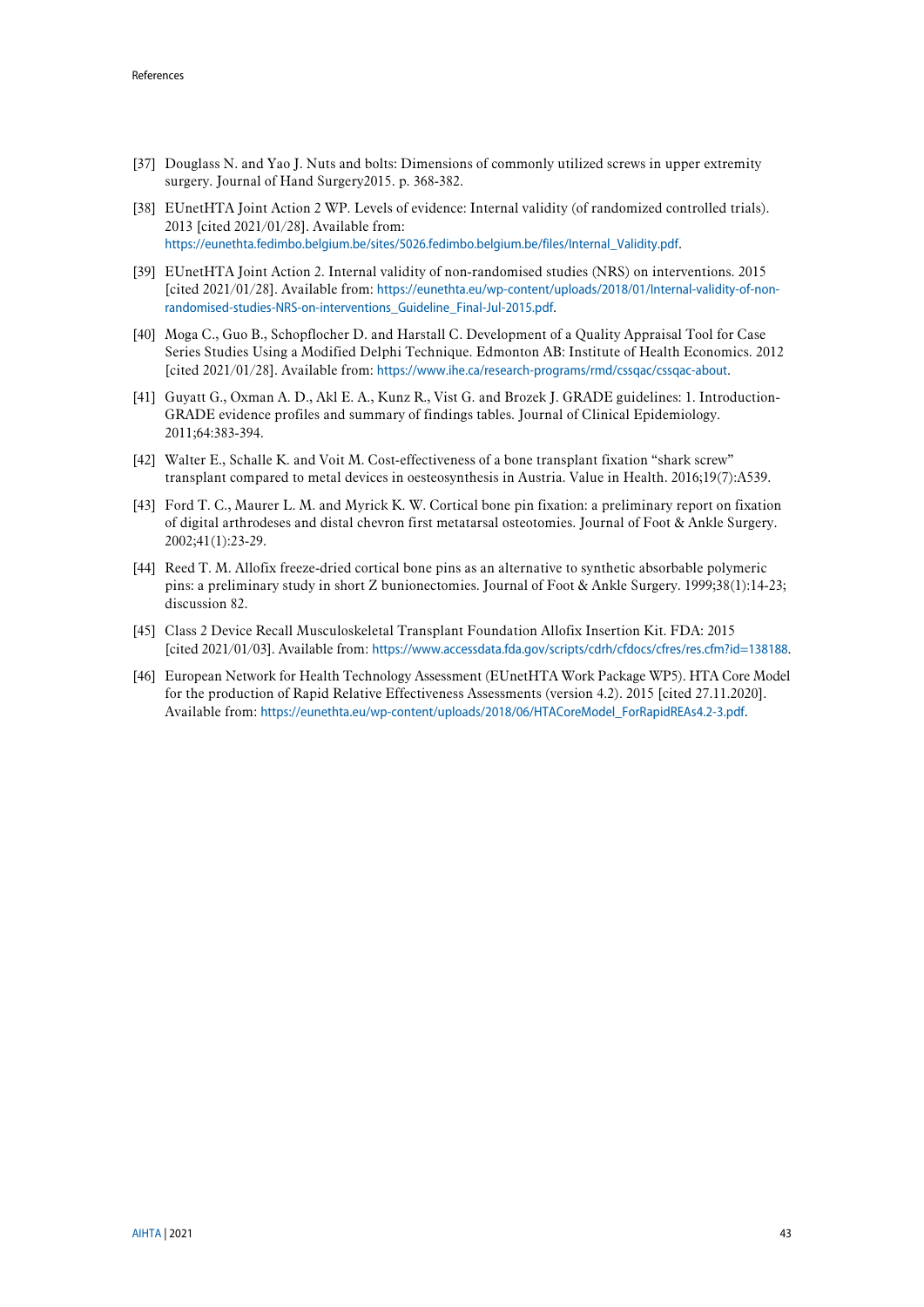- <span id="page-42-0"></span>[37] Douglass N. and Yao J. Nuts and bolts: Dimensions of commonly utilized screws in upper extremity surgery. Journal of Hand Surgery2015. p. 368-382.
- <span id="page-42-2"></span>[38] EUnetHTA Joint Action 2 WP. Levels of evidence: Internal validity (of randomized controlled trials). 2013 [cited 2021/01/28]. Available from: [https://eunethta.fedimbo.belgium.be/sites/5026.fedimbo.belgium.be/files/Internal\\_Validity.pdf](https://eunethta.fedimbo.belgium.be/sites/5026.fedimbo.belgium.be/files/Internal_Validity.pdf).
- <span id="page-42-3"></span>[39] EUnetHTA Joint Action 2. Internal validity of non-randomised studies (NRS) on interventions. 2015 [cited 2021/01/28]. Available from: [https://eunethta.eu/wp-content/uploads/2018/01/Internal-validity-of-non](https://eunethta.eu/wp-content/uploads/2018/01/Internal-validity-of-non-randomised-studies-NRS-on-interventions_Guideline_Final-Jul-2015.pdf)[randomised-studies-NRS-on-interventions\\_Guideline\\_Final-Jul-2015.pdf](https://eunethta.eu/wp-content/uploads/2018/01/Internal-validity-of-non-randomised-studies-NRS-on-interventions_Guideline_Final-Jul-2015.pdf).
- <span id="page-42-4"></span>[40] Moga C., Guo B., Schopflocher D. and Harstall C. Development of a Quality Appraisal Tool for Case Series Studies Using a Modified Delphi Technique. Edmonton AB: Institute of Health Economics. 2012 [cited 2021/01/28]. Available from: <https://www.ihe.ca/research-programs/rmd/cssqac/cssqac-about>.
- <span id="page-42-5"></span>[41] Guyatt G., Oxman A. D., Akl E. A., Kunz R., Vist G. and Brozek J. GRADE guidelines: 1. Introduction-GRADE evidence profiles and summary of findings tables. Journal of Clinical Epidemiology. 2011;64:383-394.
- <span id="page-42-6"></span>[42] Walter E., Schalle K. and Voit M. Cost-effectiveness of a bone transplant fixation "shark screw" transplant compared to metal devices in oesteosynthesis in Austria. Value in Health. 2016;19(7):A539.
- <span id="page-42-7"></span>[43] Ford T. C., Maurer L. M. and Myrick K. W. Cortical bone pin fixation: a preliminary report on fixation of digital arthrodeses and distal chevron first metatarsal osteotomies. Journal of Foot & Ankle Surgery. 2002;41(1):23-29.
- <span id="page-42-8"></span>[44] Reed T. M. Allofix freeze-dried cortical bone pins as an alternative to synthetic absorbable polymeric pins: a preliminary study in short Z bunionectomies. Journal of Foot & Ankle Surgery. 1999;38(1):14-23; discussion 82.
- <span id="page-42-9"></span>[45] Class 2 Device Recall Musculoskeletal Transplant Foundation Allofix Insertion Kit. FDA: 2015 [cited 2021/01/03]. Available from: <https://www.accessdata.fda.gov/scripts/cdrh/cfdocs/cfres/res.cfm?id=138188>.
- <span id="page-42-1"></span>[46] European Network for Health Technology Assessment (EUnetHTA Work Package WP5). HTA Core Model for the production of Rapid Relative Effectiveness Assessments (version 4.2). 2015 [cited 27.11.2020]. Available from: [https://eunethta.eu/wp-content/uploads/2018/06/HTACoreModel\\_ForRapidREAs4.2-3.pdf](https://eunethta.eu/wp-content/uploads/2018/06/HTACoreModel_ForRapidREAs4.2-3.pdf).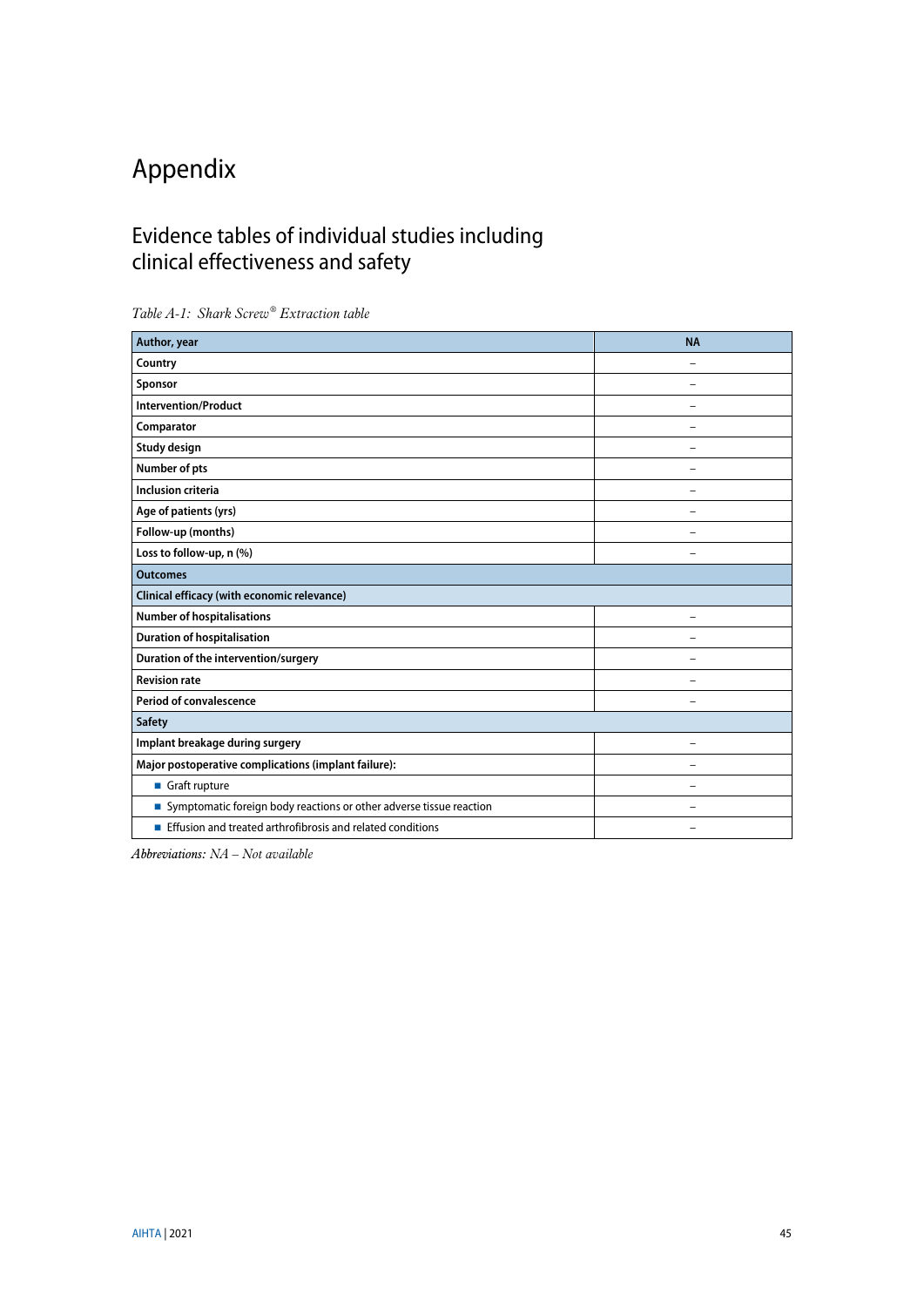# <span id="page-44-0"></span>Appendix

## <span id="page-44-1"></span>Evidence tables of individual studies including clinical effectiveness and safety

| Author, year                                                        | <b>NA</b> |  |  |
|---------------------------------------------------------------------|-----------|--|--|
| Country                                                             |           |  |  |
| Sponsor                                                             |           |  |  |
| <b>Intervention/Product</b>                                         |           |  |  |
| Comparator                                                          |           |  |  |
| Study design                                                        |           |  |  |
| Number of pts                                                       |           |  |  |
| <b>Inclusion criteria</b>                                           | ÷         |  |  |
| Age of patients (yrs)                                               |           |  |  |
| Follow-up (months)                                                  |           |  |  |
| Loss to follow-up, n (%)                                            |           |  |  |
| <b>Outcomes</b>                                                     |           |  |  |
| Clinical efficacy (with economic relevance)                         |           |  |  |
| <b>Number of hospitalisations</b>                                   |           |  |  |
| <b>Duration of hospitalisation</b>                                  |           |  |  |
| Duration of the intervention/surgery                                |           |  |  |
| <b>Revision rate</b>                                                |           |  |  |
| <b>Period of convalescence</b>                                      |           |  |  |
| Safety                                                              |           |  |  |
| Implant breakage during surgery                                     |           |  |  |
| Major postoperative complications (implant failure):                |           |  |  |
| Graft rupture                                                       |           |  |  |
| Symptomatic foreign body reactions or other adverse tissue reaction |           |  |  |
| Effusion and treated arthrofibrosis and related conditions          |           |  |  |

<span id="page-44-2"></span>*Table A-1: Shark Screw® Extraction table*

*Abbreviations: NA – Not available*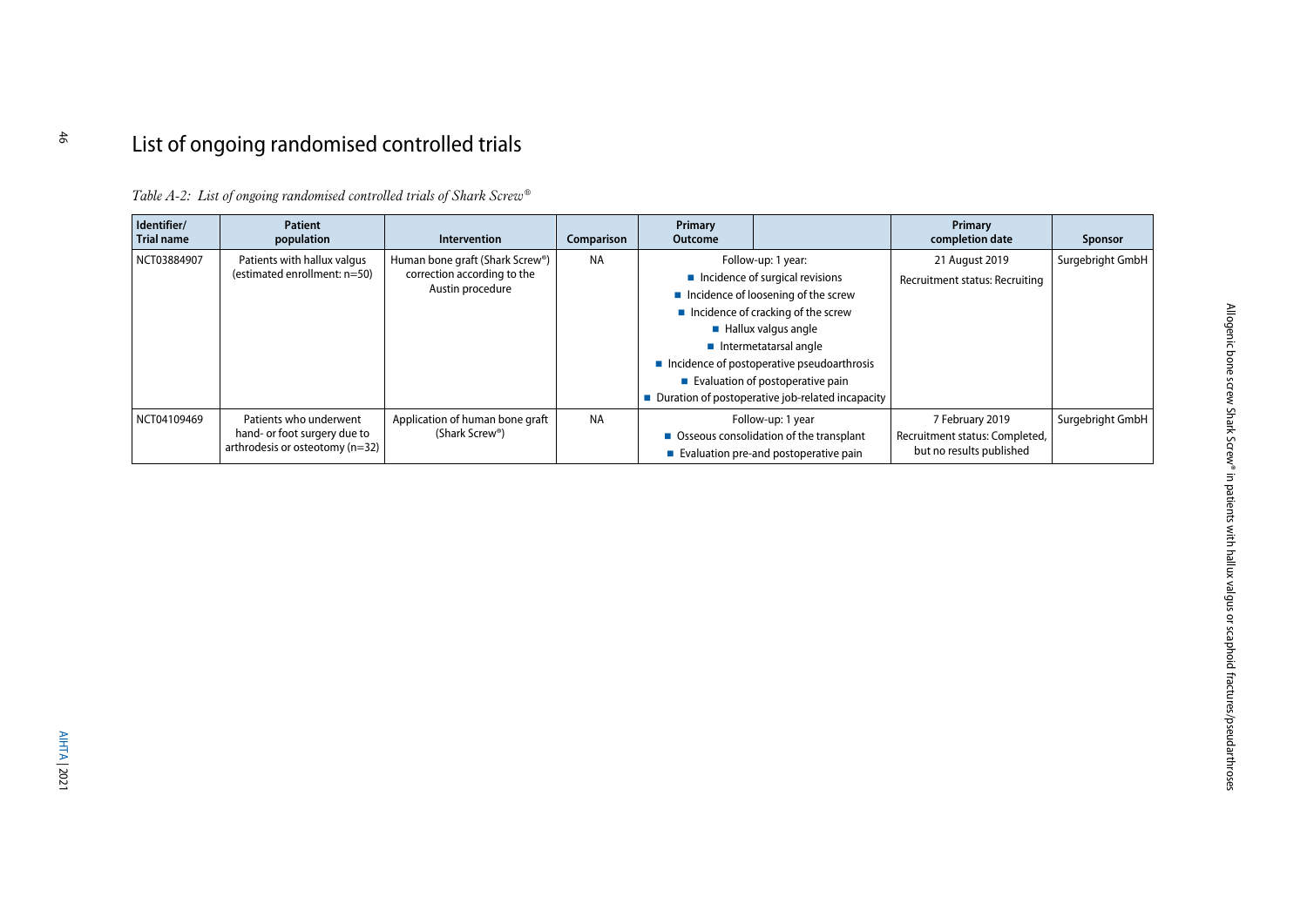# List of ongoing randomised controlled trials

*Table A-2: List of ongoing randomised controlled trials of Shark Screw®*

<span id="page-45-1"></span><span id="page-45-0"></span>

| Identifier/<br>Trial name | Patient<br>population                                                                       | <b>Intervention</b>                                                                | Comparison | Primary<br><b>Outcome</b> |                                                                                                                                                                                                                                                                                                                                                                                      | Primary<br>completion date                                                    | Sponsor          |
|---------------------------|---------------------------------------------------------------------------------------------|------------------------------------------------------------------------------------|------------|---------------------------|--------------------------------------------------------------------------------------------------------------------------------------------------------------------------------------------------------------------------------------------------------------------------------------------------------------------------------------------------------------------------------------|-------------------------------------------------------------------------------|------------------|
| NCT03884907               | Patients with hallux valgus<br>(estimated enrollment: n=50)                                 | Human bone graft (Shark Screw®)<br>correction according to the<br>Austin procedure | <b>NA</b>  |                           | Follow-up: 1 year:<br>$\blacksquare$ Incidence of surgical revisions<br>$\blacksquare$ Incidence of loosening of the screw<br>Incidence of cracking of the screw<br>$\blacksquare$ Hallux valgus angle<br>$\blacksquare$ Intermetatarsal angle<br>Incidence of postoperative pseudoarthrosis<br>Evaluation of postoperative pain<br>Duration of postoperative job-related incapacity | 21 August 2019<br>Recruitment status: Recruiting                              | Surgebright GmbH |
| NCT04109469               | Patients who underwent<br>hand- or foot surgery due to<br>arthrodesis or osteotomy $(n=32)$ | Application of human bone graft<br>(Shark Screw®)                                  | <b>NA</b>  |                           | Follow-up: 1 year<br>■ Osseous consolidation of the transplant<br>Evaluation pre-and postoperative pain                                                                                                                                                                                                                                                                              | 7 February 2019<br>Recruitment status: Completed,<br>but no results published | Surgebright GmbH |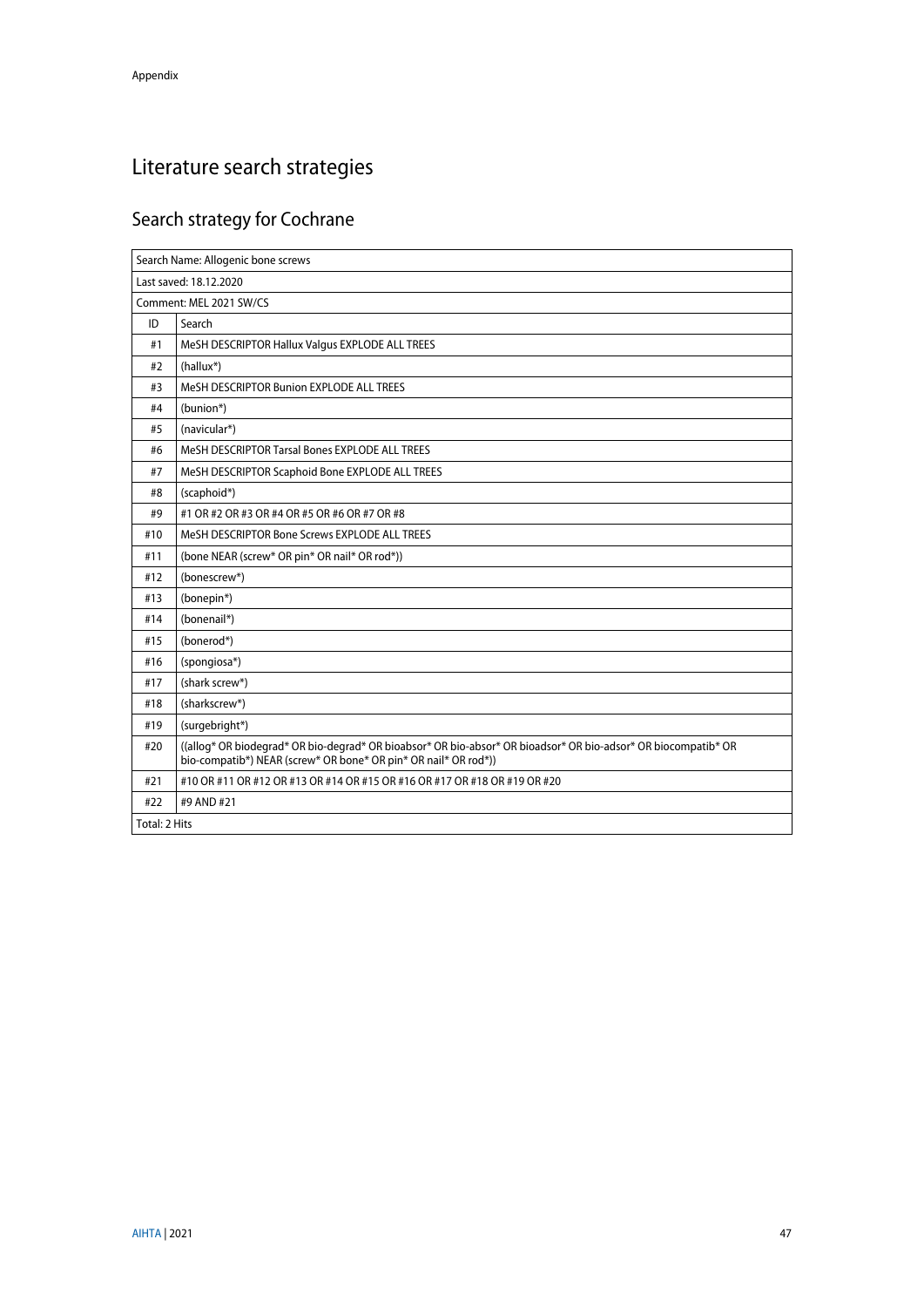# <span id="page-46-0"></span>Literature search strategies

# <span id="page-46-1"></span>Search strategy for Cochrane

|                         | Search Name: Allogenic bone screws                                                                                                                                                |  |
|-------------------------|-----------------------------------------------------------------------------------------------------------------------------------------------------------------------------------|--|
| Last saved: 18.12.2020  |                                                                                                                                                                                   |  |
| Comment: MEL 2021 SW/CS |                                                                                                                                                                                   |  |
| ID                      | Search                                                                                                                                                                            |  |
| #1                      | MeSH DESCRIPTOR Hallux Valgus EXPLODE ALL TREES                                                                                                                                   |  |
| #2                      | $(hallux^*)$                                                                                                                                                                      |  |
| #3                      | MeSH DESCRIPTOR Bunion EXPLODE ALL TREES                                                                                                                                          |  |
| #4                      | (bunion*)                                                                                                                                                                         |  |
| #5                      | (navicular*)                                                                                                                                                                      |  |
| #6                      | MeSH DESCRIPTOR Tarsal Bones EXPLODE ALL TREES                                                                                                                                    |  |
| #7                      | MeSH DESCRIPTOR Scaphoid Bone EXPLODE ALL TREES                                                                                                                                   |  |
| #8                      | (scaphoid*)                                                                                                                                                                       |  |
| #9                      | #1 OR #2 OR #3 OR #4 OR #5 OR #6 OR #7 OR #8                                                                                                                                      |  |
| #10                     | MeSH DESCRIPTOR Bone Screws EXPLODE ALL TREES                                                                                                                                     |  |
| #11                     | (bone NEAR (screw* OR pin* OR nail* OR rod*))                                                                                                                                     |  |
| #12                     | (bonescrew*)                                                                                                                                                                      |  |
| #13                     | (bonepin*)                                                                                                                                                                        |  |
| #14                     | (bonenail*)                                                                                                                                                                       |  |
| #15                     | (bonerod*)                                                                                                                                                                        |  |
| #16                     | (spongiosa*)                                                                                                                                                                      |  |
| #17                     | (shark screw*)                                                                                                                                                                    |  |
| #18                     | (sharkscrew*)                                                                                                                                                                     |  |
| #19                     | (surgebright*)                                                                                                                                                                    |  |
| #20                     | ((allog* OR biodegrad* OR bio-degrad* OR bioabsor* OR bio-absor* OR bioadsor* OR bio-adsor* OR biocompatib* OR<br>bio-compatib*) NEAR (screw* OR bone* OR pin* OR nail* OR rod*)) |  |
| #21                     | #10 OR #11 OR #12 OR #13 OR #14 OR #15 OR #16 OR #17 OR #18 OR #19 OR #20                                                                                                         |  |
| #22                     | #9 AND #21                                                                                                                                                                        |  |
| Total: 2 Hits           |                                                                                                                                                                                   |  |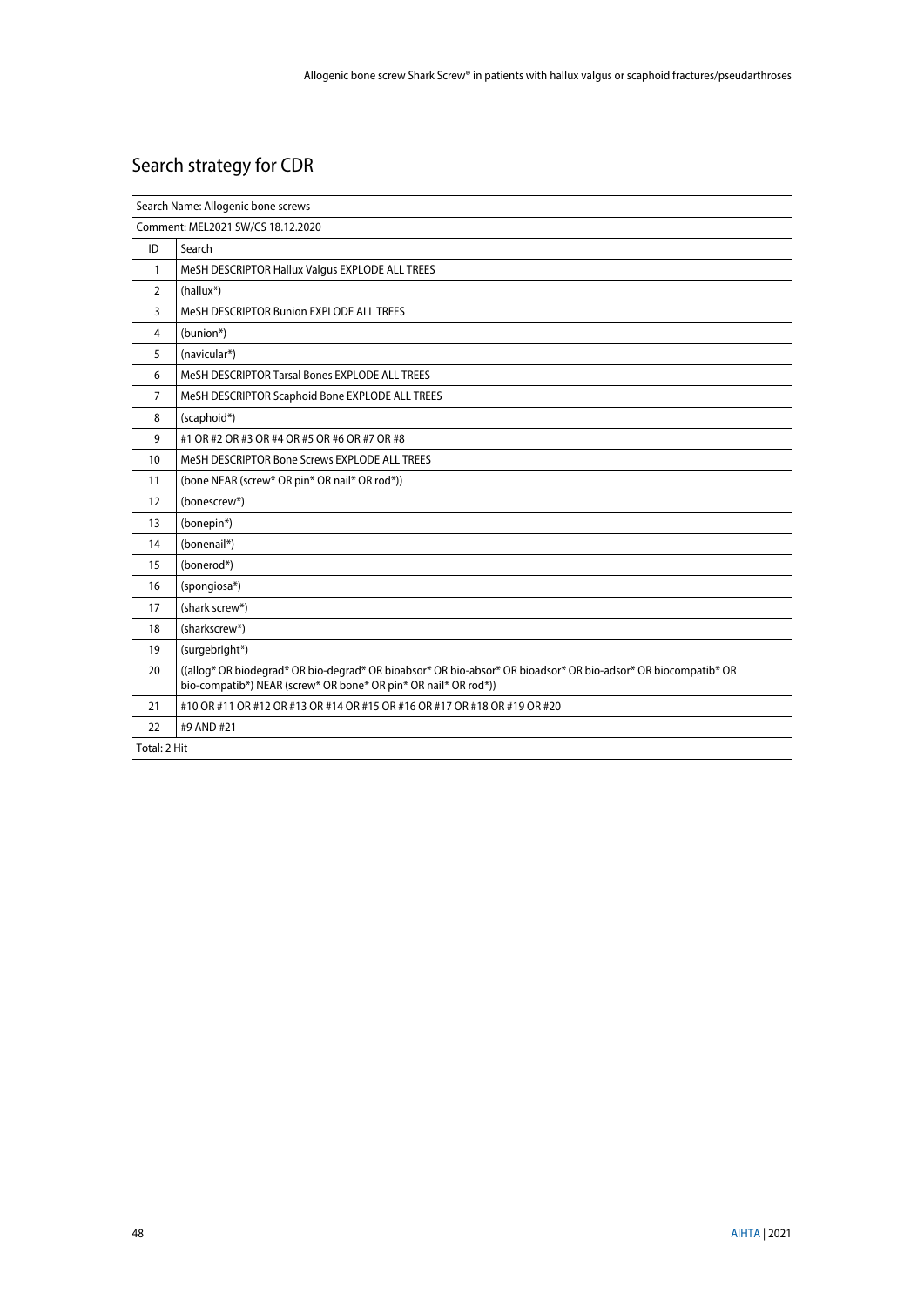# <span id="page-47-0"></span>Search strategy for CDR

|                                   | Search Name: Allogenic bone screws                                                                                                                                                |  |
|-----------------------------------|-----------------------------------------------------------------------------------------------------------------------------------------------------------------------------------|--|
| Comment: MEL2021 SW/CS 18.12.2020 |                                                                                                                                                                                   |  |
| ID                                | Search                                                                                                                                                                            |  |
| $\mathbf{1}$                      | MeSH DESCRIPTOR Hallux Valgus EXPLODE ALL TREES                                                                                                                                   |  |
| $\overline{2}$                    | $(hallux^*)$                                                                                                                                                                      |  |
| 3                                 | MeSH DESCRIPTOR Bunion EXPLODE ALL TREES                                                                                                                                          |  |
| 4                                 | (bunion*)                                                                                                                                                                         |  |
| 5                                 | (navicular*)                                                                                                                                                                      |  |
| 6                                 | MeSH DESCRIPTOR Tarsal Bones EXPLODE ALL TREES                                                                                                                                    |  |
| $\overline{7}$                    | MeSH DESCRIPTOR Scaphoid Bone EXPLODE ALL TREES                                                                                                                                   |  |
| 8                                 | (scaphoid*)                                                                                                                                                                       |  |
| 9                                 | #1 OR #2 OR #3 OR #4 OR #5 OR #6 OR #7 OR #8                                                                                                                                      |  |
| 10                                | MeSH DESCRIPTOR Bone Screws EXPLODE ALL TREES                                                                                                                                     |  |
| 11                                | (bone NEAR (screw* OR pin* OR nail* OR rod*))                                                                                                                                     |  |
| 12                                | (bonescrew*)                                                                                                                                                                      |  |
| 13                                | (bonepin*)                                                                                                                                                                        |  |
| 14                                | (bonenail*)                                                                                                                                                                       |  |
| 15                                | (bonerod*)                                                                                                                                                                        |  |
| 16                                | (spongiosa*)                                                                                                                                                                      |  |
| 17                                | (shark screw*)                                                                                                                                                                    |  |
| 18                                | (sharkscrew*)                                                                                                                                                                     |  |
| 19                                | (surgebright*)                                                                                                                                                                    |  |
| 20                                | ((allog* OR biodegrad* OR bio-degrad* OR bioabsor* OR bio-absor* OR bioadsor* OR bio-adsor* OR biocompatib* OR<br>bio-compatib*) NEAR (screw* OR bone* OR pin* OR nail* OR rod*)) |  |
| 21                                | #10 OR #11 OR #12 OR #13 OR #14 OR #15 OR #16 OR #17 OR #18 OR #19 OR #20                                                                                                         |  |
| 22                                | #9 AND #21                                                                                                                                                                        |  |
| Total: 2 Hit                      |                                                                                                                                                                                   |  |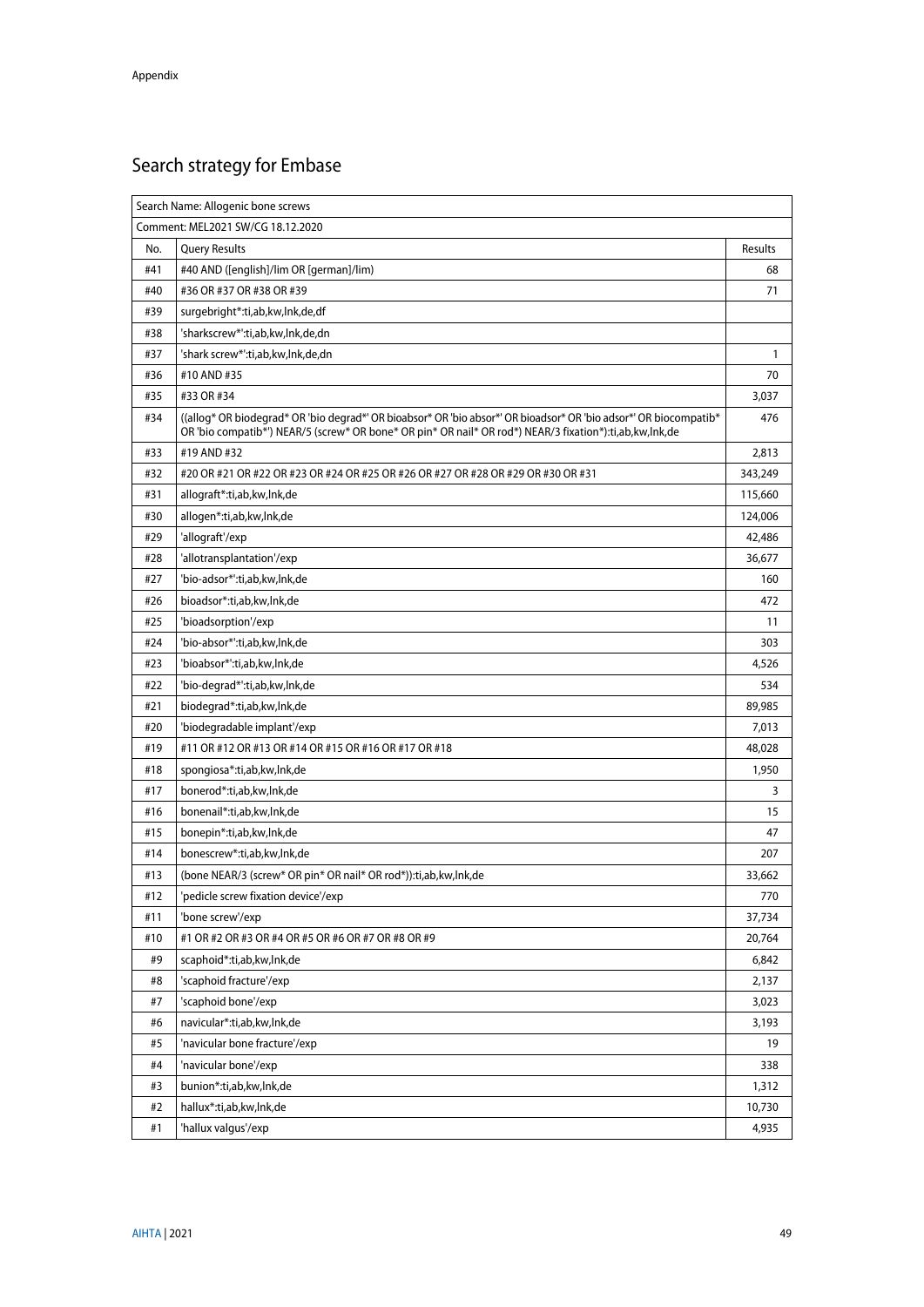# <span id="page-48-0"></span>Search strategy for Embase

|     | Search Name: Allogenic bone screws                                                                                                                                                                                           |              |  |
|-----|------------------------------------------------------------------------------------------------------------------------------------------------------------------------------------------------------------------------------|--------------|--|
|     | Comment: MEL2021 SW/CG 18.12.2020                                                                                                                                                                                            |              |  |
| No. | <b>Query Results</b>                                                                                                                                                                                                         | Results      |  |
| #41 | #40 AND ([english]/lim OR [german]/lim)                                                                                                                                                                                      | 68           |  |
| #40 | #36 OR #37 OR #38 OR #39                                                                                                                                                                                                     | 71           |  |
| #39 | surgebright*:ti,ab,kw,lnk,de,df                                                                                                                                                                                              |              |  |
| #38 | 'sharkscrew*':ti,ab,kw,lnk,de,dn                                                                                                                                                                                             |              |  |
| #37 | 'shark screw*':ti,ab,kw,lnk,de,dn                                                                                                                                                                                            | $\mathbf{1}$ |  |
| #36 | #10 AND #35                                                                                                                                                                                                                  | 70           |  |
| #35 | #33 OR #34                                                                                                                                                                                                                   | 3,037        |  |
| #34 | ((allog* OR biodegrad* OR 'bio degrad*' OR bioabsor* OR 'bio absor*' OR bioadsor* OR 'bio adsor*' OR biocompatib*<br>OR 'bio compatib*') NEAR/5 (screw* OR bone* OR pin* OR nail* OR rod*) NEAR/3 fixation*):ti,ab,kw,lnk,de | 476          |  |
| #33 | #19 AND #32                                                                                                                                                                                                                  | 2,813        |  |
| #32 | #20 OR #21 OR #22 OR #23 OR #24 OR #25 OR #26 OR #27 OR #28 OR #29 OR #30 OR #31                                                                                                                                             | 343,249      |  |
| #31 | allograft*:ti,ab,kw,lnk,de                                                                                                                                                                                                   | 115,660      |  |
| #30 | allogen*:ti,ab,kw,lnk,de                                                                                                                                                                                                     | 124,006      |  |
| #29 | 'allograft'/exp                                                                                                                                                                                                              | 42,486       |  |
| #28 | 'allotransplantation'/exp                                                                                                                                                                                                    | 36,677       |  |
| #27 | 'bio-adsor*':ti.ab.kw.lnk.de                                                                                                                                                                                                 | 160          |  |
| #26 | bioadsor*:ti,ab,kw,lnk,de                                                                                                                                                                                                    | 472          |  |
| #25 | 'bioadsorption'/exp                                                                                                                                                                                                          | 11           |  |
| #24 | 'bio-absor*':ti,ab,kw,lnk,de                                                                                                                                                                                                 | 303          |  |
| #23 | 'bioabsor*':ti,ab,kw,lnk,de                                                                                                                                                                                                  | 4,526        |  |
| #22 | 'bio-degrad*':ti,ab,kw,lnk,de                                                                                                                                                                                                | 534          |  |
| #21 | biodegrad*:ti,ab,kw,lnk,de                                                                                                                                                                                                   | 89,985       |  |
| #20 | 'biodegradable implant'/exp                                                                                                                                                                                                  | 7,013        |  |
| #19 | #11 OR #12 OR #13 OR #14 OR #15 OR #16 OR #17 OR #18                                                                                                                                                                         | 48,028       |  |
| #18 | spongiosa*:ti,ab,kw,lnk,de                                                                                                                                                                                                   | 1,950        |  |
| #17 | bonerod*:ti,ab,kw,lnk,de                                                                                                                                                                                                     | 3            |  |
| #16 | bonenail*:ti,ab,kw,lnk,de                                                                                                                                                                                                    | 15           |  |
| #15 | bonepin*:ti,ab,kw,lnk,de                                                                                                                                                                                                     | 47           |  |
| #14 | bonescrew*:ti,ab,kw,lnk,de                                                                                                                                                                                                   | 207          |  |
| #13 | (bone NEAR/3 (screw* OR pin* OR nail* OR rod*)): ti, ab, kw, lnk, de                                                                                                                                                         | 33,662       |  |
| #12 | pedicle screw fixation device'/exp                                                                                                                                                                                           | 1/0          |  |
| #11 | 'bone screw'/exp                                                                                                                                                                                                             | 37,734       |  |
| #10 | #1 OR #2 OR #3 OR #4 OR #5 OR #6 OR #7 OR #8 OR #9                                                                                                                                                                           | 20,764       |  |
| #9  | scaphoid*:ti,ab,kw,lnk,de                                                                                                                                                                                                    | 6,842        |  |
| #8  | 'scaphoid fracture'/exp                                                                                                                                                                                                      | 2,137        |  |
| #7  | 'scaphoid bone'/exp                                                                                                                                                                                                          | 3,023        |  |
| #6  | navicular*:ti,ab,kw,lnk,de                                                                                                                                                                                                   | 3,193        |  |
| #5  | 'navicular bone fracture'/exp                                                                                                                                                                                                | 19           |  |
| #4  | 'navicular bone'/exp                                                                                                                                                                                                         | 338          |  |
| #3  | bunion*:ti,ab,kw,lnk,de                                                                                                                                                                                                      | 1,312        |  |
| #2  | hallux*:ti,ab,kw,lnk,de                                                                                                                                                                                                      | 10,730       |  |
| #1  | 'hallux valgus'/exp                                                                                                                                                                                                          | 4,935        |  |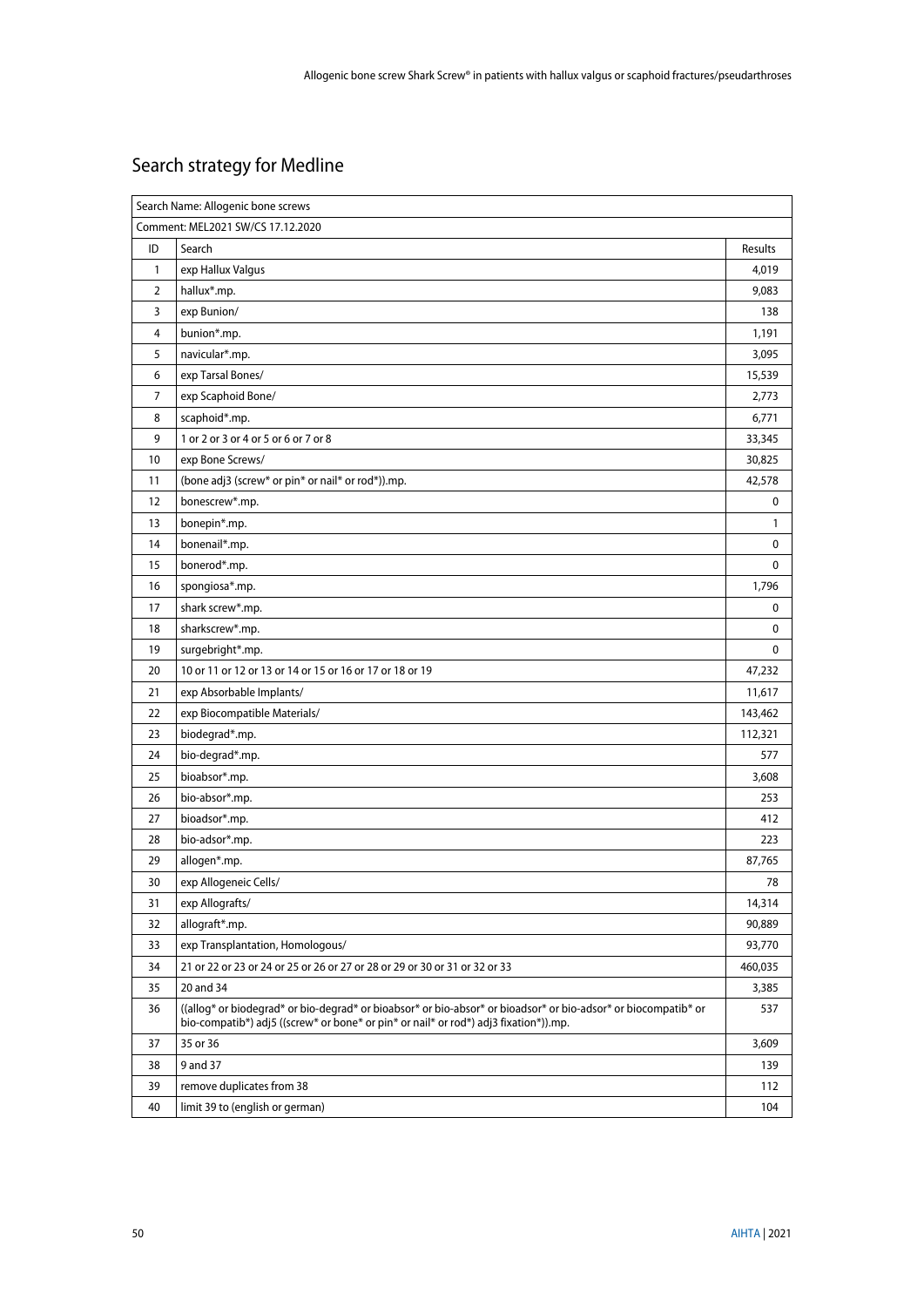# <span id="page-49-0"></span>Search strategy for Medline

|                | Search Name: Allogenic bone screws                                                                                                                                                                     |                |  |
|----------------|--------------------------------------------------------------------------------------------------------------------------------------------------------------------------------------------------------|----------------|--|
|                | Comment: MEL2021 SW/CS 17.12.2020                                                                                                                                                                      |                |  |
| ID             | Search                                                                                                                                                                                                 | <b>Results</b> |  |
| $\mathbf{1}$   | exp Hallux Valgus                                                                                                                                                                                      | 4,019          |  |
| 2              | hallux*.mp.                                                                                                                                                                                            | 9,083          |  |
| 3              | exp Bunion/                                                                                                                                                                                            | 138            |  |
| 4              | bunion*.mp.                                                                                                                                                                                            | 1,191          |  |
| 5              | navicular*.mp.                                                                                                                                                                                         | 3,095          |  |
| 6              | exp Tarsal Bones/                                                                                                                                                                                      | 15,539         |  |
| $\overline{7}$ | exp Scaphoid Bone/                                                                                                                                                                                     | 2,773          |  |
| 8              | scaphoid*.mp.                                                                                                                                                                                          | 6,771          |  |
| 9              | 1 or 2 or 3 or 4 or 5 or 6 or 7 or 8                                                                                                                                                                   | 33,345         |  |
| 10             | exp Bone Screws/                                                                                                                                                                                       | 30,825         |  |
| 11             | (bone adj3 (screw* or pin* or nail* or rod*)).mp.                                                                                                                                                      | 42,578         |  |
| 12             | bonescrew*.mp.                                                                                                                                                                                         | 0              |  |
| 13             | bonepin*.mp.                                                                                                                                                                                           | $\mathbf{1}$   |  |
| 14             | bonenail*.mp.                                                                                                                                                                                          | 0              |  |
| 15             | bonerod*.mp.                                                                                                                                                                                           | 0              |  |
| 16             | spongiosa*.mp.                                                                                                                                                                                         | 1,796          |  |
| 17             | shark screw*.mp.                                                                                                                                                                                       | 0              |  |
| 18             | sharkscrew*.mp.                                                                                                                                                                                        | 0              |  |
| 19             | surgebright*.mp.                                                                                                                                                                                       | 0              |  |
| 20             | 10 or 11 or 12 or 13 or 14 or 15 or 16 or 17 or 18 or 19                                                                                                                                               | 47,232         |  |
| 21             | exp Absorbable Implants/                                                                                                                                                                               | 11,617         |  |
| 22             | exp Biocompatible Materials/                                                                                                                                                                           | 143,462        |  |
| 23             | biodegrad*.mp.                                                                                                                                                                                         | 112,321        |  |
| 24             | bio-degrad*.mp.                                                                                                                                                                                        | 577            |  |
| 25             | bioabsor*.mp.                                                                                                                                                                                          | 3,608          |  |
| 26             | bio-absor*.mp.                                                                                                                                                                                         | 253            |  |
| 27             | bioadsor*.mp.                                                                                                                                                                                          | 412            |  |
| 28             | bio-adsor*.mp.                                                                                                                                                                                         | 223            |  |
| 29             | allogen*.mp.                                                                                                                                                                                           | 87,765         |  |
| 30             | exp Allogeneic Cells/                                                                                                                                                                                  | 78             |  |
| 31             | exp Allografts/                                                                                                                                                                                        | 14,314         |  |
| 32             | allograft*.mp.                                                                                                                                                                                         | 90,889         |  |
| 33             | exp Transplantation, Homologous/                                                                                                                                                                       | 93,770         |  |
| 34             | 21 or 22 or 23 or 24 or 25 or 26 or 27 or 28 or 29 or 30 or 31 or 32 or 33                                                                                                                             | 460,035        |  |
| 35             | 20 and 34                                                                                                                                                                                              | 3,385          |  |
| 36             | ((allog* or biodegrad* or bio-degrad* or bioabsor* or bio-absor* or bioadsor* or bio-adsor* or biocompatib* or<br>bio-compatib*) adj5 ((screw* or bone* or pin* or nail* or rod*) adj3 fixation*)).mp. | 537            |  |
| 37             | 35 or 36                                                                                                                                                                                               | 3,609          |  |
| 38             | 9 and 37                                                                                                                                                                                               | 139            |  |
| 39             | remove duplicates from 38                                                                                                                                                                              | 112            |  |
| 40             | limit 39 to (english or german)                                                                                                                                                                        | 104            |  |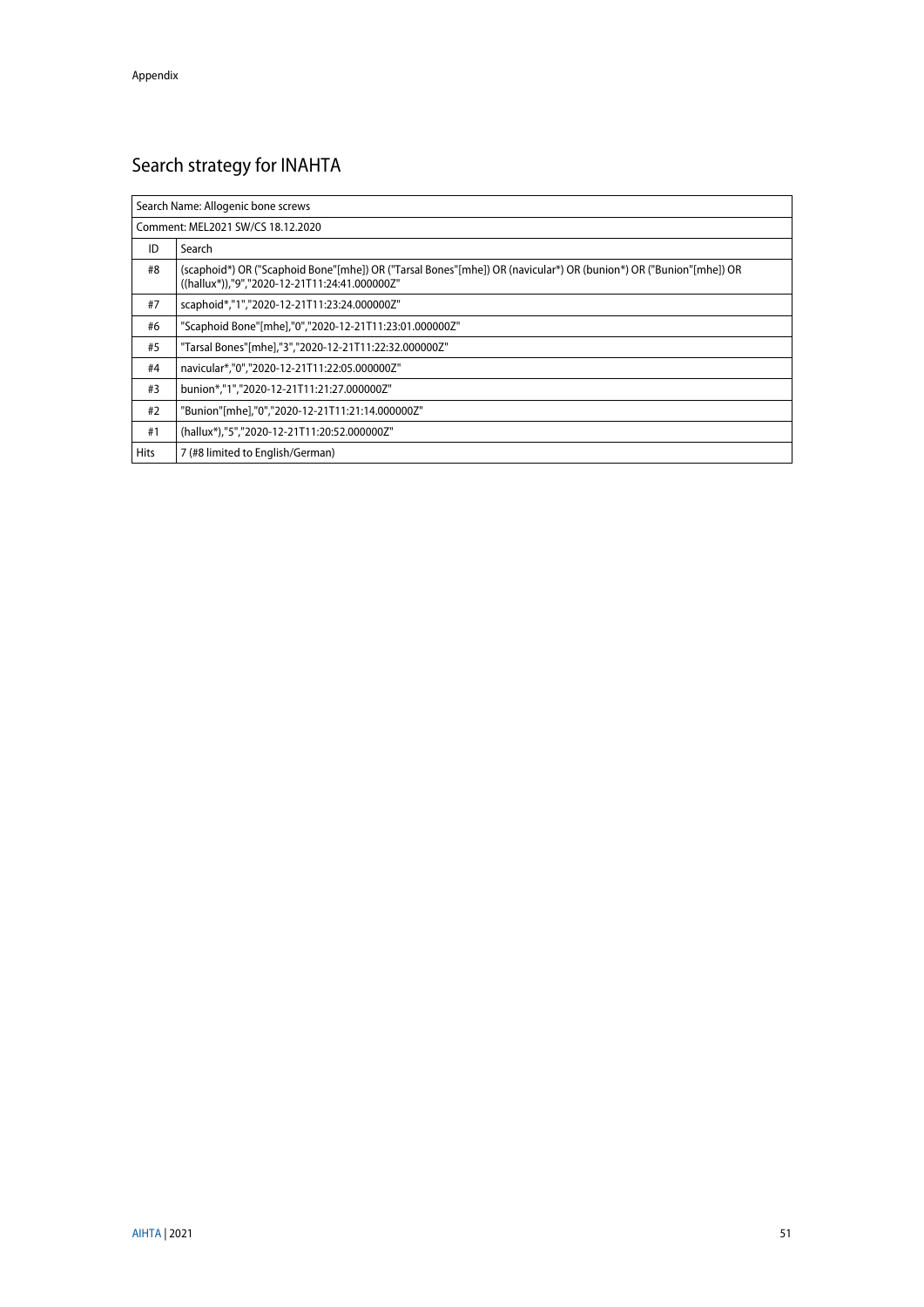# <span id="page-50-0"></span>Search strategy for INAHTA

| Search Name: Allogenic bone screws |                                                                                                                                                                    |  |
|------------------------------------|--------------------------------------------------------------------------------------------------------------------------------------------------------------------|--|
|                                    | Comment: MEL2021 SW/CS 18.12.2020                                                                                                                                  |  |
| ID                                 | Search                                                                                                                                                             |  |
| #8                                 | (scaphoid*) OR ("Scaphoid Bone"[mhe]) OR ("Tarsal Bones"[mhe]) OR (navicular*) OR (bunion*) OR ("Bunion"[mhe]) OR<br>((hallux*)),"9","2020-12-21T11:24:41.000000Z" |  |
| #7                                 | scaphoid*,"1","2020-12-21T11:23:24.000000Z"                                                                                                                        |  |
| #6                                 | "Scaphoid Bone"[mhe],"0","2020-12-21T11:23:01.000000Z"                                                                                                             |  |
| #5                                 | "Tarsal Bones"[mhe],"3","2020-12-21T11:22:32.000000Z"                                                                                                              |  |
| #4                                 | navicular*,"0","2020-12-21T11:22:05.000000Z"                                                                                                                       |  |
| #3                                 | bunion*,"1","2020-12-21T11:21:27.000000Z"                                                                                                                          |  |
| #2                                 | "Bunion"[mhe],"0","2020-12-21T11:21:14.000000Z"                                                                                                                    |  |
| #1                                 | (hallux*),"5","2020-12-21T11:20:52.000000Z"                                                                                                                        |  |
| <b>Hits</b>                        | 7 (#8 limited to English/German)                                                                                                                                   |  |